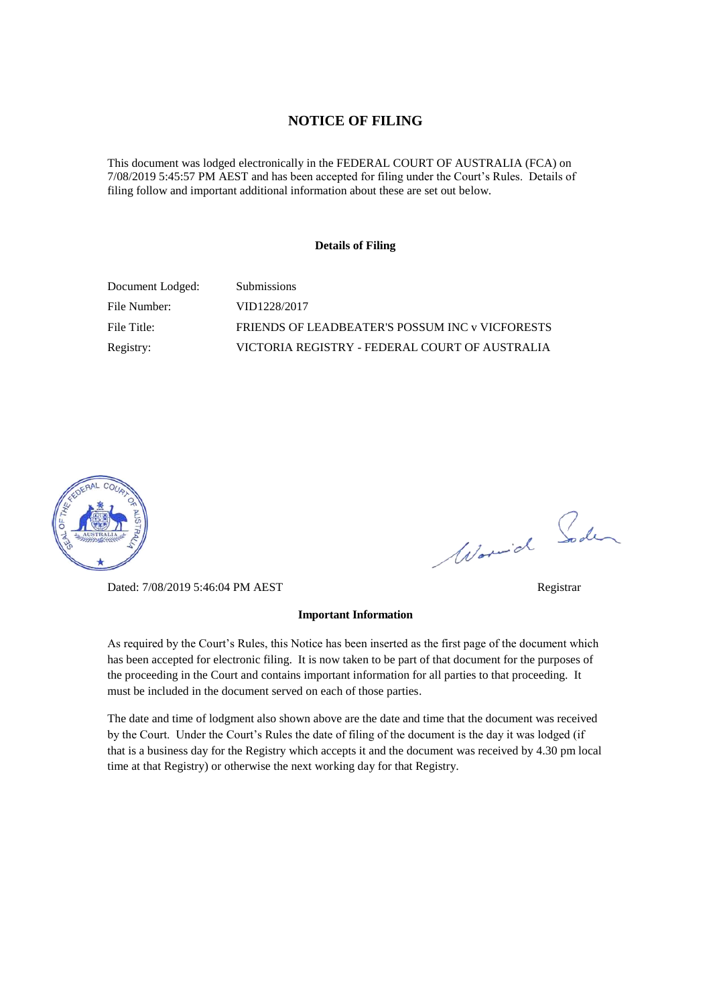# **NOTICE OF FILING**

This document was lodged electronically in the FEDERAL COURT OF AUSTRALIA (FCA) on 7/08/2019 5:45:57 PM AEST and has been accepted for filing under the Court's Rules. Details of filing follow and important additional information about these are set out below.

### **Details of Filing**

| Document Lodged: | <b>Submissions</b>                              |
|------------------|-------------------------------------------------|
| File Number:     | VID1228/2017                                    |
| File Title:      | FRIENDS OF LEADBEATER'S POSSUM INC v VICFORESTS |
| Registry:        | VICTORIA REGISTRY - FEDERAL COURT OF AUSTRALIA  |



Dated: 7/08/2019 5:46:04 PM AEST Registrar

# **Important Information**

As required by the Court's Rules, this Notice has been inserted as the first page of the document which has been accepted for electronic filing. It is now taken to be part of that document for the purposes of the proceeding in the Court and contains important information for all parties to that proceeding. It must be included in the document served on each of those parties.

The date and time of lodgment also shown above are the date and time that the document was received by the Court. Under the Court's Rules the date of filing of the document is the day it was lodged (if that is a business day for the Registry which accepts it and the document was received by 4.30 pm local time at that Registry) or otherwise the next working day for that Registry.

Worwich Soden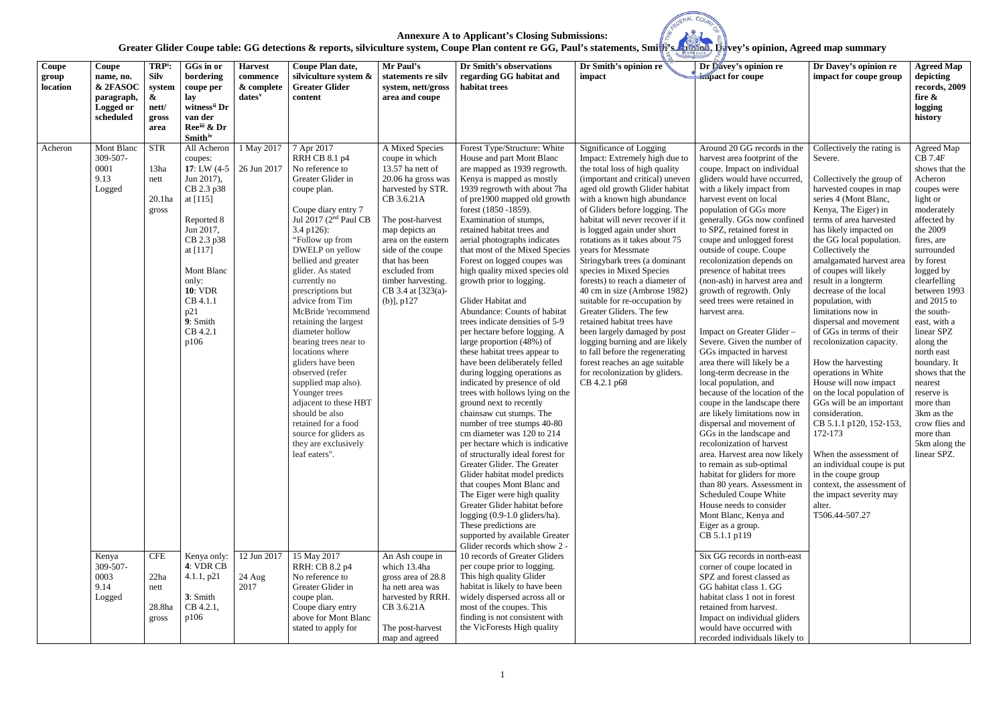# Greater Glider Coupe table: GG detections & reports, silviculture system, Coupe Plan content re GG, Paul's statements, Smith's **Apir 2011, Ba**vey's opinion, Agreed map summary

|  | ि#vey's o |  |
|--|-----------|--|

 $\overline{M}$  C

| Coupe<br>group<br>location | Coupe<br>name, no.<br>& 2FASOC<br>paragraph,<br>Logged or<br>scheduled | TRP <sup>i</sup> :<br><b>Silv</b><br>system<br>$\boldsymbol{\&}$<br>nett/<br>gross<br>area | GGs in or<br>bordering<br>coupe per<br>lay<br>witness <sup>ii</sup> Dr<br>van der<br>Reeii & Dr<br><b>Smith</b> <sup>iv</sup>                                                                                                              | <b>Harvest</b><br>commence<br>& complete<br>dates <sup>v</sup> | Coupe Plan date,<br>silviculture system &<br><b>Greater Glider</b><br>content                                                                                                                                                                                                                                                                                                                                                                                                                                                                                                                                                            | Mr Paul's<br>statements re silv<br>system, nett/gross<br>area and coupe                                                                                                                                                                                                                         | Dr Smith's observations<br>regarding GG habitat and<br>habitat trees                                                                                                                                                                                                                                                                                                                                                                                                                                                                                                                                                                                                                                                                                                                                                                                                                                                                                                                                                                                                                                                                                                                                                                                     | Dr Smith's opinion re<br>impact                                                                                                                                                                                                                                                                                                                                                                                                                                                                                                                                                                                                                                                                                                                                                  | Dr Davey's opinion re<br>impact for coupe                                                                                                                                                                                                                                                                                                                                                                                                                                                                                                                                                                                                                                                                                                                                                                                                                                                                                                                                                                                                                                                                                   | Dr Davey's opinion re<br>impact for coupe group                                                                                                                                                                                                                                                                                                                                                                                                                                                                                                                                                                                                                                                                                                                                                                                                 | <b>Agreed Map</b><br>depicting<br>records, 2009<br>fire &<br>logging<br>history                                                                                                                                                                                                                                                                                                                                                                                |
|----------------------------|------------------------------------------------------------------------|--------------------------------------------------------------------------------------------|--------------------------------------------------------------------------------------------------------------------------------------------------------------------------------------------------------------------------------------------|----------------------------------------------------------------|------------------------------------------------------------------------------------------------------------------------------------------------------------------------------------------------------------------------------------------------------------------------------------------------------------------------------------------------------------------------------------------------------------------------------------------------------------------------------------------------------------------------------------------------------------------------------------------------------------------------------------------|-------------------------------------------------------------------------------------------------------------------------------------------------------------------------------------------------------------------------------------------------------------------------------------------------|----------------------------------------------------------------------------------------------------------------------------------------------------------------------------------------------------------------------------------------------------------------------------------------------------------------------------------------------------------------------------------------------------------------------------------------------------------------------------------------------------------------------------------------------------------------------------------------------------------------------------------------------------------------------------------------------------------------------------------------------------------------------------------------------------------------------------------------------------------------------------------------------------------------------------------------------------------------------------------------------------------------------------------------------------------------------------------------------------------------------------------------------------------------------------------------------------------------------------------------------------------|----------------------------------------------------------------------------------------------------------------------------------------------------------------------------------------------------------------------------------------------------------------------------------------------------------------------------------------------------------------------------------------------------------------------------------------------------------------------------------------------------------------------------------------------------------------------------------------------------------------------------------------------------------------------------------------------------------------------------------------------------------------------------------|-----------------------------------------------------------------------------------------------------------------------------------------------------------------------------------------------------------------------------------------------------------------------------------------------------------------------------------------------------------------------------------------------------------------------------------------------------------------------------------------------------------------------------------------------------------------------------------------------------------------------------------------------------------------------------------------------------------------------------------------------------------------------------------------------------------------------------------------------------------------------------------------------------------------------------------------------------------------------------------------------------------------------------------------------------------------------------------------------------------------------------|-------------------------------------------------------------------------------------------------------------------------------------------------------------------------------------------------------------------------------------------------------------------------------------------------------------------------------------------------------------------------------------------------------------------------------------------------------------------------------------------------------------------------------------------------------------------------------------------------------------------------------------------------------------------------------------------------------------------------------------------------------------------------------------------------------------------------------------------------|----------------------------------------------------------------------------------------------------------------------------------------------------------------------------------------------------------------------------------------------------------------------------------------------------------------------------------------------------------------------------------------------------------------------------------------------------------------|
| Acheron                    | Mont Blanc<br>309-507-<br>0001<br>9.13<br>Logged                       | <b>STR</b><br>13ha<br>nett<br>20.1ha<br>gross                                              | All Acheron<br>coupes:<br>17: LW $(4-5)$<br>Jun 2017),<br>CB 2.3 p38<br>at [115]<br>Reported 8<br>Jun 2017,<br>CB 2.3 p38<br>at $[117]$<br><b>Mont Blanc</b><br>only:<br><b>10: VDR</b><br>CB 4.1.1<br>p21<br>9: Smith<br>CB 4.2.1<br>p106 | 1 May 2017<br>26 Jun 2017                                      | 7 Apr 2017<br>RRH CB 8.1 p4<br>No reference to<br>Greater Glider in<br>coupe plan.<br>Coupe diary entry 7<br>Jul 2017 (2 <sup>nd</sup> Paul CB<br>3.4 p126):<br>"Follow up from<br>DWELP on yellow<br>bellied and greater<br>glider. As stated<br>currently no<br>prescriptions but<br>advice from Tim<br>McBride 'recommend<br>retaining the largest<br>diameter hollow<br>bearing trees near to<br>locations where<br>gliders have been<br>observed (refer<br>supplied map also).<br>Younger trees<br>adjacent to these HBT<br>should be also<br>retained for a food<br>source for gliders as<br>they are exclusively<br>leaf eaters". | A Mixed Species<br>coupe in which<br>13.57 ha nett of<br>20.06 ha gross was<br>harvested by STR.<br>CB 3.6.21A<br>The post-harvest<br>map depicts an<br>area on the eastern<br>side of the coupe<br>that has been<br>excluded from<br>timber harvesting.<br>CB 3.4 at [323(a)-<br>$(b)$ ], p127 | Forest Type/Structure: White<br>House and part Mont Blanc<br>are mapped as 1939 regrowth.<br>Kenya is mapped as mostly<br>1939 regrowth with about 7ha<br>of pre1900 mapped old growth<br>forest (1850 - 1859).<br>Examination of stumps,<br>retained habitat trees and<br>aerial photographs indicates<br>that most of the Mixed Species<br>Forest on logged coupes was<br>high quality mixed species old<br>growth prior to logging.<br>Glider Habitat and<br>Abundance: Counts of habitat<br>trees indicate densities of 5-9<br>per hectare before logging. A<br>large proportion (48%) of<br>these habitat trees appear to<br>have been deliberately felled<br>during logging operations as<br>indicated by presence of old<br>trees with hollows lying on the<br>ground next to recently<br>chainsaw cut stumps. The<br>number of tree stumps 40-80<br>cm diameter was 120 to 214<br>per hectare which is indicative<br>of structurally ideal forest for<br>Greater Glider. The Greater<br>Glider habitat model predicts<br>that coupes Mont Blanc and<br>The Eiger were high quality<br>Greater Glider habitat before<br>logging (0.9-1.0 gliders/ha).<br>These predictions are<br>supported by available Greater<br>Glider records which show 2 - | Significance of Logging<br>Impact: Extremely high due to<br>the total loss of high quality<br>(important and critical) uneven<br>aged old growth Glider habitat<br>with a known high abundance<br>of Gliders before logging. The<br>habitat will never recover if it<br>is logged again under short<br>rotations as it takes about 75<br>years for Messmate<br>Stringybark trees (a dominant<br>species in Mixed Species<br>forests) to reach a diameter of<br>40 cm in size (Ambrose 1982)<br>suitable for re-occupation by<br>Greater Gliders. The few<br>retained habitat trees have<br>been largely damaged by post<br>logging burning and are likely<br>to fall before the regenerating<br>forest reaches an age suitable<br>for recolonization by gliders.<br>CB 4.2.1 p68 | Around 20 GG records in the<br>harvest area footprint of the<br>coupe. Impact on individual<br>gliders would have occurred<br>with a likely impact from<br>harvest event on local<br>population of GGs more<br>generally. GGs now confine<br>to SPZ, retained forest in<br>coupe and unlogged forest<br>outside of coupe. Coupe<br>recolonization depends on<br>presence of habitat trees<br>(non-ash) in harvest area and<br>growth of regrowth. Only<br>seed trees were retained in<br>harvest area.<br>Impact on Greater Glider-<br>Severe. Given the number of<br>GGs impacted in harvest<br>area there will likely be a<br>long-term decrease in the<br>local population, and<br>because of the location of the<br>coupe in the landscape there<br>are likely limitations now in<br>dispersal and movement of<br>GGs in the landscape and<br>recolonization of harvest<br>area. Harvest area now likely<br>to remain as sub-optimal<br>habitat for gliders for more<br>than 80 years. Assessment in<br>Scheduled Coupe White<br>House needs to consider<br>Mont Blanc, Kenya and<br>Eiger as a group.<br>CB 5.1.1 p119 | Collectively the rating is<br>Severe.<br>Collectively the group of<br>harvested coupes in map<br>series 4 (Mont Blanc,<br>Kenya, The Eiger) in<br>terms of area harvested<br>has likely impacted on<br>the GG local population<br>Collectively the<br>amalgamated harvest area<br>of coupes will likely<br>result in a longterm<br>decrease of the local<br>population, with<br>limitations now in<br>dispersal and movement<br>of GGs in terms of their<br>recolonization capacity.<br>How the harvesting<br>operations in White<br>House will now impact<br>on the local population of<br>GGs will be an important<br>consideration.<br>CB 5.1.1 p120, 152-153,<br>172-173<br>When the assessment of<br>an individual coupe is put<br>in the coupe group<br>context, the assessment of<br>the impact severity may<br>alter.<br>T506.44-507.27 | Agreed Map<br><b>CB 7.4F</b><br>shows that the<br>Acheron<br>coupes were<br>light or<br>moderately<br>affected by<br>the 2009<br>fires, are<br>surrounded<br>by forest<br>logged by<br>clearfelling<br>between 1993<br>and 2015 to<br>the south-<br>east, with a<br>linear SPZ<br>along the<br>north east<br>boundary. It<br>shows that the<br>nearest<br>reserve is<br>more than<br>3km as the<br>crow flies and<br>more than<br>5km along the<br>linear SPZ. |
|                            | Kenya<br>309-507-<br>0003<br>9.14<br>Logged                            | <b>CFE</b><br>22ha<br>nett<br>28.8ha<br>gross                                              | Kenya only:<br>4: VDR CB<br>4.1.1, p21<br>3: Smith<br>CB 4.2.1,<br>p106                                                                                                                                                                    | 12 Jun 2017<br>24 Aug<br>2017                                  | 15 May 2017<br>RRH: CB 8.2 p4<br>No reference to<br>Greater Glider in<br>coupe plan.<br>Coupe diary entry<br>above for Mont Blanc<br>stated to apply for                                                                                                                                                                                                                                                                                                                                                                                                                                                                                 | An Ash coupe in<br>which 13.4ha<br>gross area of 28.8<br>ha nett area was<br>harvested by RRH.<br>CB 3.6.21A<br>The post-harvest<br>map and agreed                                                                                                                                              | 10 records of Greater Gliders<br>per coupe prior to logging.<br>This high quality Glider<br>habitat is likely to have been<br>widely dispersed across all or<br>most of the coupes. This<br>finding is not consistent with<br>the VicForests High quality                                                                                                                                                                                                                                                                                                                                                                                                                                                                                                                                                                                                                                                                                                                                                                                                                                                                                                                                                                                                |                                                                                                                                                                                                                                                                                                                                                                                                                                                                                                                                                                                                                                                                                                                                                                                  | Six GG records in north-east<br>corner of coupe located in<br>SPZ and forest classed as<br>GG habitat class 1. GG<br>habitat class 1 not in forest<br>retained from harvest.<br>Impact on individual gliders<br>would have occurred with<br>recorded individuals likely to                                                                                                                                                                                                                                                                                                                                                                                                                                                                                                                                                                                                                                                                                                                                                                                                                                                  |                                                                                                                                                                                                                                                                                                                                                                                                                                                                                                                                                                                                                                                                                                                                                                                                                                                 |                                                                                                                                                                                                                                                                                                                                                                                                                                                                |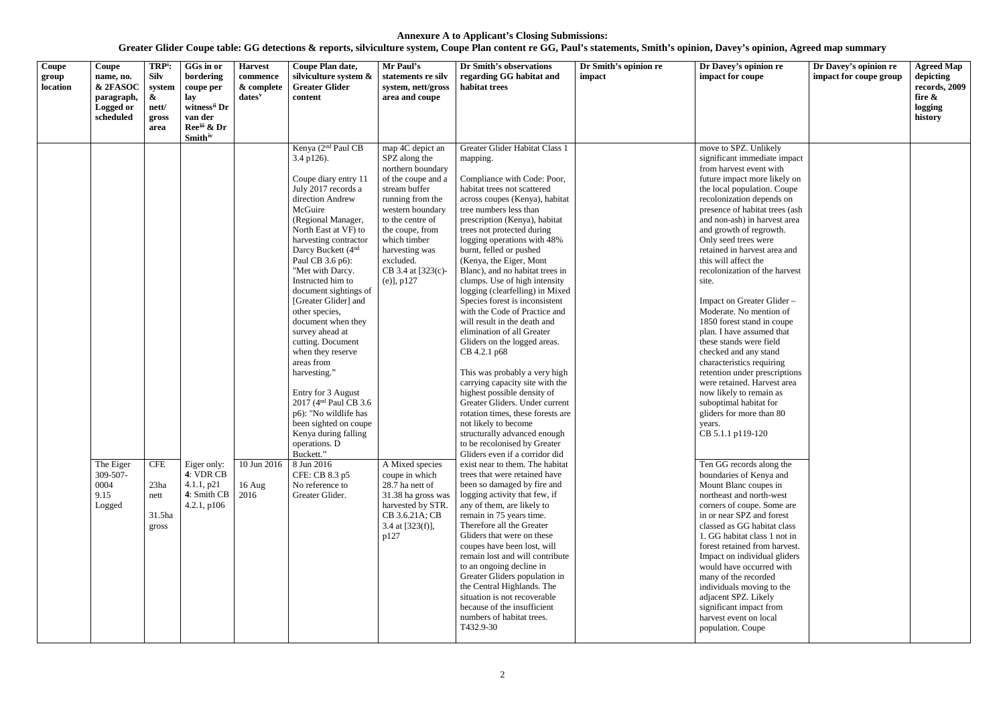| $\overline{\mathrm{Coupe}}$<br>group<br>location | Coupe<br>name, no.<br>& 2FASOC<br>paragraph,<br>Logged or<br>scheduled | TRP <sup>i</sup> :<br><b>Silv</b><br>system<br>$\boldsymbol{\&}$<br>nett/<br>gross<br>area | GGs in or<br>bordering<br>coupe per<br>lay<br>witness <sup>ii</sup> Dr<br>van der<br>Ree <sup>iii</sup> & Dr<br><b>Smith</b> iv | <b>Harvest</b><br>commence<br>& complete<br>dates <sup>v</sup> | Coupe Plan date,<br>silviculture system &<br><b>Greater Glider</b><br>content                                                                                                                                                                                                                                                                                                                                                                                                                                                                                                                                                                                                                                                  | Mr Paul's<br>statements re silv<br>system, nett/gross<br>area and coupe                                                                                                                                                                                                                                                                                                                                               | Dr Smith's observations<br>regarding GG habitat and<br>habitat trees                                                                                                                                                                                                                                                                                                                                                                                                                                                                                                                                                                                                                                                                                                                                                                                                                                                                                                                                                                                                                                                                                                                                                                                                                                                                                                                                                                                | Dr Smith's opinion re<br>impact | Dr Davey's opinion re<br>impact for coupe                                                                                                                                                                                                                                                                                                                                                                                                                                                                                                                                                                                                                                                                                                                                                                                                                                                                                                                                                                                                                                                                                                                                                                                                                                          | Dr Davey's opinion re<br>impact for coupe group | <b>Agreed Map</b><br>depicting<br>records, 2009<br>fire &<br>logging<br>history |
|--------------------------------------------------|------------------------------------------------------------------------|--------------------------------------------------------------------------------------------|---------------------------------------------------------------------------------------------------------------------------------|----------------------------------------------------------------|--------------------------------------------------------------------------------------------------------------------------------------------------------------------------------------------------------------------------------------------------------------------------------------------------------------------------------------------------------------------------------------------------------------------------------------------------------------------------------------------------------------------------------------------------------------------------------------------------------------------------------------------------------------------------------------------------------------------------------|-----------------------------------------------------------------------------------------------------------------------------------------------------------------------------------------------------------------------------------------------------------------------------------------------------------------------------------------------------------------------------------------------------------------------|-----------------------------------------------------------------------------------------------------------------------------------------------------------------------------------------------------------------------------------------------------------------------------------------------------------------------------------------------------------------------------------------------------------------------------------------------------------------------------------------------------------------------------------------------------------------------------------------------------------------------------------------------------------------------------------------------------------------------------------------------------------------------------------------------------------------------------------------------------------------------------------------------------------------------------------------------------------------------------------------------------------------------------------------------------------------------------------------------------------------------------------------------------------------------------------------------------------------------------------------------------------------------------------------------------------------------------------------------------------------------------------------------------------------------------------------------------|---------------------------------|------------------------------------------------------------------------------------------------------------------------------------------------------------------------------------------------------------------------------------------------------------------------------------------------------------------------------------------------------------------------------------------------------------------------------------------------------------------------------------------------------------------------------------------------------------------------------------------------------------------------------------------------------------------------------------------------------------------------------------------------------------------------------------------------------------------------------------------------------------------------------------------------------------------------------------------------------------------------------------------------------------------------------------------------------------------------------------------------------------------------------------------------------------------------------------------------------------------------------------------------------------------------------------|-------------------------------------------------|---------------------------------------------------------------------------------|
|                                                  | The Eiger<br>309-507-<br>0004<br>9.15<br>Logged                        | <b>CFE</b><br>23ha<br>nett<br>$31.5$ ha<br>gross                                           | Eiger only:<br>4: VDR CB<br>4.1.1, p21<br>4: Smith CB<br>4.2.1, p106                                                            | 10 Jun 2016<br>$16$ Aug<br>2016                                | Kenya (2 <sup>nd</sup> Paul CB<br>3.4 p126).<br>Coupe diary entry 11<br>July 2017 records a<br>direction Andrew<br>McGuire<br>(Regional Manager,<br>North East at VF) to<br>harvesting contractor<br>Darcy Buckett (4 <sup>nd</sup><br>Paul CB 3.6 p6):<br>"Met with Darcy.<br>Instructed him to<br>document sightings of<br>[Greater Glider] and<br>other species,<br>document when they<br>survey ahead at<br>cutting. Document<br>when they reserve<br>areas from<br>harvesting."<br>Entry for 3 August<br>2017 (4 <sup>nd</sup> Paul CB 3.6)<br>p6): "No wildlife has<br>been sighted on coupe<br>Kenya during falling<br>operations. D<br>Buckett."<br>8 Jun 2016<br>CFE: CB 8.3 p5<br>No reference to<br>Greater Glider. | map 4C depict an<br>SPZ along the<br>northern boundary<br>of the coupe and a<br>stream buffer<br>running from the<br>western boundary<br>to the centre of<br>the coupe, from<br>which timber<br>harvesting was<br>excluded.<br>CB 3.4 at [323(c)-<br>$(e)$ ], p127<br>A Mixed species<br>coupe in which<br>28.7 ha nett of<br>31.38 ha gross was<br>harvested by STR.<br>CB 3.6.21A; CB<br>3.4 at $[323(f)],$<br>p127 | Greater Glider Habitat Class 1<br>mapping.<br>Compliance with Code: Poor,<br>habitat trees not scattered<br>across coupes (Kenya), habitat<br>tree numbers less than<br>prescription (Kenya), habitat<br>trees not protected during<br>logging operations with 48%<br>burnt, felled or pushed<br>(Kenya, the Eiger, Mont<br>Blanc), and no habitat trees in<br>clumps. Use of high intensity<br>logging (clearfelling) in Mixed<br>Species forest is inconsistent<br>with the Code of Practice and<br>will result in the death and<br>elimination of all Greater<br>Gliders on the logged areas.<br>CB 4.2.1 p68<br>This was probably a very high<br>carrying capacity site with the<br>highest possible density of<br>Greater Gliders. Under current<br>rotation times, these forests are<br>not likely to become<br>structurally advanced enough<br>to be recolonised by Greater<br>Gliders even if a corridor did<br>exist near to them. The habitat<br>trees that were retained have<br>been so damaged by fire and<br>logging activity that few, if<br>any of them, are likely to<br>remain in 75 years time.<br>Therefore all the Greater<br>Gliders that were on these<br>coupes have been lost, will<br>remain lost and will contribute<br>to an ongoing decline in<br>Greater Gliders population in<br>the Central Highlands. The<br>situation is not recoverable<br>because of the insufficient<br>numbers of habitat trees.<br>T432.9-30 |                                 | move to SPZ. Unlikely<br>significant immediate impact<br>from harvest event with<br>future impact more likely on<br>the local population. Coupe<br>recolonization depends on<br>presence of habitat trees (ash<br>and non-ash) in harvest area<br>and growth of regrowth.<br>Only seed trees were<br>retained in harvest area and<br>this will affect the<br>recolonization of the harvest<br>site.<br>Impact on Greater Glider -<br>Moderate. No mention of<br>1850 forest stand in coupe<br>plan. I have assumed that<br>these stands were field<br>checked and any stand<br>characteristics requiring<br>retention under prescriptions<br>were retained. Harvest area<br>now likely to remain as<br>suboptimal habitat for<br>gliders for more than 80<br>years.<br>CB 5.1.1 p119-120<br>Ten GG records along the<br>boundaries of Kenya and<br>Mount Blanc coupes in<br>northeast and north-west<br>corners of coupe. Some are<br>in or near SPZ and forest<br>classed as GG habitat class<br>1. GG habitat class 1 not in<br>forest retained from harvest.<br>Impact on individual gliders<br>would have occurred with<br>many of the recorded<br>individuals moving to the<br>adjacent SPZ. Likely<br>significant impact from<br>harvest event on local<br>population. Coupe |                                                 |                                                                                 |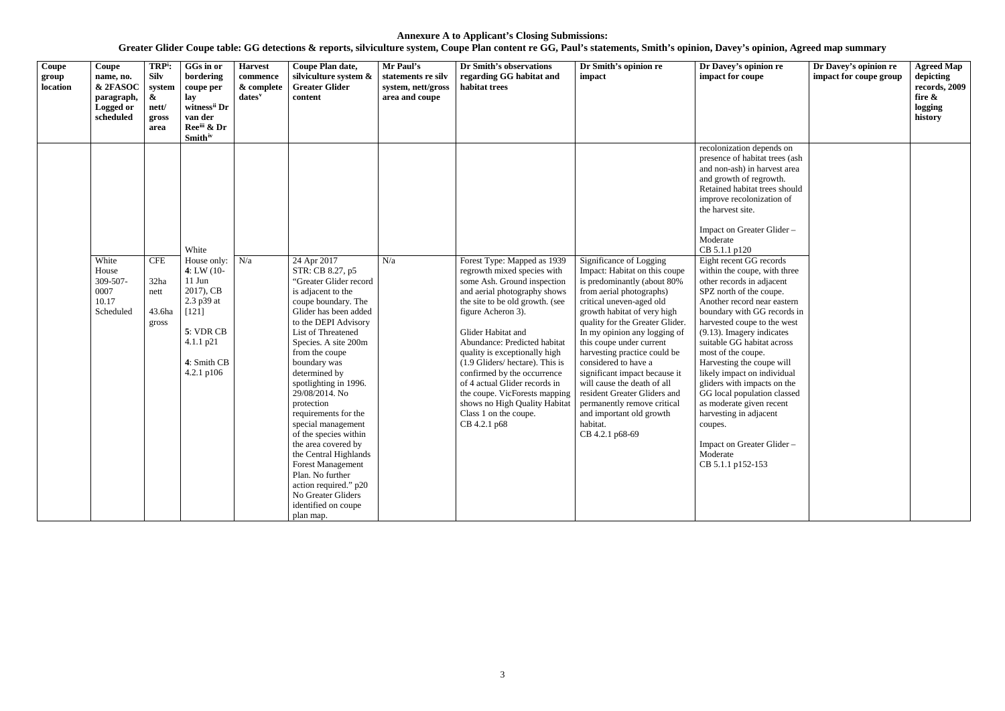| $\overline{\text{Coupe}}$<br>group<br>location | Coupe<br>name, no.<br>& 2FASOC<br>paragraph,<br>Logged or<br>scheduled | TRP <sup>i</sup> :<br><b>Silv</b><br>system<br>$\boldsymbol{\alpha}$<br>nett/<br>gross<br>area | GGs in or<br>bordering<br>coupe per<br>lay<br>witness <sup>ii</sup> Dr<br>van der<br>Ree <sup>iii</sup> & Dr<br><b>Smith</b> iv             | <b>Harvest</b><br>commence<br>& complete<br>dates <sup>v</sup> | Coupe Plan date,<br>silviculture system &<br><b>Greater Glider</b><br>content                                                                                                                                                                                                                                                                                                                                                                                                                                                                                               | Mr Paul's<br>statements re silv<br>system, nett/gross<br>area and coupe | Dr Smith's observations<br>regarding GG habitat and<br>habitat trees                                                                                                                                                                                                                                                                                                                                                                                                                   | Dr Smith's opinion re<br>impact                                                                                                                                                                                                                                                                                                                                                                                                                                                                                                 | Dr Davey's opinion re<br>impact for coupe                                                                                                                                                                                                                                                                                                                                                                                                                                                                                                                                                                                                                                                                                                                                                                                      | Dr Davey's opinion re<br>impact for coupe group | <b>Agreed Map</b><br>depicting<br>records, 2009<br>fire &<br>logging<br>history |
|------------------------------------------------|------------------------------------------------------------------------|------------------------------------------------------------------------------------------------|---------------------------------------------------------------------------------------------------------------------------------------------|----------------------------------------------------------------|-----------------------------------------------------------------------------------------------------------------------------------------------------------------------------------------------------------------------------------------------------------------------------------------------------------------------------------------------------------------------------------------------------------------------------------------------------------------------------------------------------------------------------------------------------------------------------|-------------------------------------------------------------------------|----------------------------------------------------------------------------------------------------------------------------------------------------------------------------------------------------------------------------------------------------------------------------------------------------------------------------------------------------------------------------------------------------------------------------------------------------------------------------------------|---------------------------------------------------------------------------------------------------------------------------------------------------------------------------------------------------------------------------------------------------------------------------------------------------------------------------------------------------------------------------------------------------------------------------------------------------------------------------------------------------------------------------------|--------------------------------------------------------------------------------------------------------------------------------------------------------------------------------------------------------------------------------------------------------------------------------------------------------------------------------------------------------------------------------------------------------------------------------------------------------------------------------------------------------------------------------------------------------------------------------------------------------------------------------------------------------------------------------------------------------------------------------------------------------------------------------------------------------------------------------|-------------------------------------------------|---------------------------------------------------------------------------------|
|                                                | White<br>House<br>309-507-<br>0007<br>10.17<br>Scheduled               | <b>CFE</b><br>32ha<br>nett<br>43.6ha<br>gross                                                  | White<br>House only:<br>4: LW $(10-$<br>11 Jun<br>2017), CB<br>2.3 p39 at<br>$[121]$<br>5: VDR CB<br>4.1.1 p21<br>4: Smith CB<br>4.2.1 p106 | N/a                                                            | 24 Apr 2017<br>STR: CB 8.27, p5<br>"Greater Glider record<br>is adjacent to the<br>coupe boundary. The<br>Glider has been added<br>to the DEPI Advisory<br>List of Threatened<br>Species. A site 200m<br>from the coupe<br>boundary was<br>determined by<br>spotlighting in 1996.<br>29/08/2014. No<br>protection<br>requirements for the<br>special management<br>of the species within<br>the area covered by<br>the Central Highlands<br><b>Forest Management</b><br>Plan. No further<br>action required." p20<br>No Greater Gliders<br>identified on coupe<br>plan map. | N/a                                                                     | Forest Type: Mapped as 1939<br>regrowth mixed species with<br>some Ash. Ground inspection<br>and aerial photography shows<br>the site to be old growth. (see<br>figure Acheron 3).<br>Glider Habitat and<br>Abundance: Predicted habitat<br>quality is exceptionally high<br>(1.9 Gliders/hectare). This is<br>confirmed by the occurrence<br>of 4 actual Glider records in<br>the coupe. VicForests mapping<br>shows no High Quality Habitat<br>Class 1 on the coupe.<br>CB 4.2.1 p68 | Significance of Logging<br>Impact: Habitat on this coupe<br>is predominantly (about 80%<br>from aerial photographs)<br>critical uneven-aged old<br>growth habitat of very high<br>quality for the Greater Glider.<br>In my opinion any logging of<br>this coupe under current<br>harvesting practice could be<br>considered to have a<br>significant impact because it<br>will cause the death of all<br>resident Greater Gliders and<br>permanently remove critical<br>and important old growth<br>habitat.<br>CB 4.2.1 p68-69 | recolonization depends on<br>presence of habitat trees (ash<br>and non-ash) in harvest area<br>and growth of regrowth.<br>Retained habitat trees should<br>improve recolonization of<br>the harvest site.<br>Impact on Greater Glider -<br>Moderate<br>CB 5.1.1 p120<br>Eight recent GG records<br>within the coupe, with three<br>other records in adjacent<br>SPZ north of the coupe.<br>Another record near eastern<br>boundary with GG records in<br>harvested coupe to the west<br>(9.13). Imagery indicates<br>suitable GG habitat across<br>most of the coupe.<br>Harvesting the coupe will<br>likely impact on individual<br>gliders with impacts on the<br>GG local population classed<br>as moderate given recent<br>harvesting in adjacent<br>coupes.<br>Impact on Greater Glider-<br>Moderate<br>CB 5.1.1 p152-153 |                                                 |                                                                                 |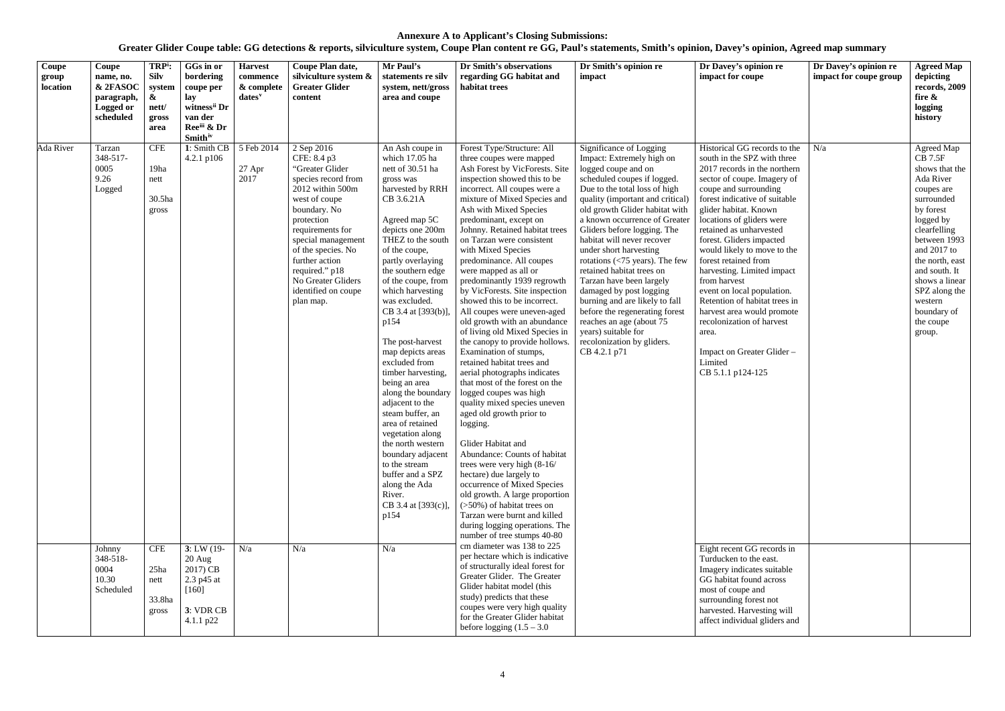| Coupe<br>group<br>location | Coupe<br>name, no.<br>& 2FASOC<br>paragraph,<br>Logged or<br>scheduled | TRP <sup>i</sup> :<br><b>Silv</b><br>system<br>$\boldsymbol{\alpha}$<br>nett/<br>gross<br>area | GGs in or<br>bordering<br>coupe per<br>lay<br>witness <sup>ii</sup> Dr<br>van der<br>Reeiii & Dr<br><b>Smith</b> iv | <b>Harvest</b><br>commence<br>& complete<br>$dates^v$ | Coupe Plan date,<br>silviculture system &<br><b>Greater Glider</b><br>content                                                                                                                                                                                                                        | Mr Paul's<br>statements re silv<br>system, nett/gross<br>area and coupe                                                                                                                                                                                                                                                                                                                                                                                                                                                                                                                                                                                            | Dr Smith's observations<br>regarding GG habitat and<br>habitat trees                                                                                                                                                                                                                                                                                                                                                                                                                                                                                                                                                                                                                                                                                                                                                                                                                                                                                                                                                                                                                                                                                                      | Dr Smith's opinion re<br>impact                                                                                                                                                                                                                                                                                                                                                                                                                                                                                                                                                                                                                                            | Dr Davey's opinion re<br>impact for coupe                                                                                                                                                                                                                                                                                                                                                                                                                                                                                                                                                               | Dr Davey's opinion re<br>impact for coupe group | <b>Agreed Map</b><br>depicting<br>records, 2009<br>fire $\&$<br>logging<br>history                                                                                                                                                                                                       |
|----------------------------|------------------------------------------------------------------------|------------------------------------------------------------------------------------------------|---------------------------------------------------------------------------------------------------------------------|-------------------------------------------------------|------------------------------------------------------------------------------------------------------------------------------------------------------------------------------------------------------------------------------------------------------------------------------------------------------|--------------------------------------------------------------------------------------------------------------------------------------------------------------------------------------------------------------------------------------------------------------------------------------------------------------------------------------------------------------------------------------------------------------------------------------------------------------------------------------------------------------------------------------------------------------------------------------------------------------------------------------------------------------------|---------------------------------------------------------------------------------------------------------------------------------------------------------------------------------------------------------------------------------------------------------------------------------------------------------------------------------------------------------------------------------------------------------------------------------------------------------------------------------------------------------------------------------------------------------------------------------------------------------------------------------------------------------------------------------------------------------------------------------------------------------------------------------------------------------------------------------------------------------------------------------------------------------------------------------------------------------------------------------------------------------------------------------------------------------------------------------------------------------------------------------------------------------------------------|----------------------------------------------------------------------------------------------------------------------------------------------------------------------------------------------------------------------------------------------------------------------------------------------------------------------------------------------------------------------------------------------------------------------------------------------------------------------------------------------------------------------------------------------------------------------------------------------------------------------------------------------------------------------------|---------------------------------------------------------------------------------------------------------------------------------------------------------------------------------------------------------------------------------------------------------------------------------------------------------------------------------------------------------------------------------------------------------------------------------------------------------------------------------------------------------------------------------------------------------------------------------------------------------|-------------------------------------------------|------------------------------------------------------------------------------------------------------------------------------------------------------------------------------------------------------------------------------------------------------------------------------------------|
| Ada River                  | Tarzan<br>348-517-<br>0005<br>9.26<br>Logged                           | <b>CFE</b><br>19ha<br>nett<br>30.5ha<br>gross                                                  | 1: Smith CB<br>4.2.1 $p106$                                                                                         | 5 Feb 2014<br>$27$ Apr<br>2017                        | 2 Sep 2016<br>CFE: 8.4 p3<br>"Greater Glider<br>species record from<br>2012 within 500m<br>west of coupe<br>boundary. No<br>protection<br>requirements for<br>special management<br>of the species. No<br>further action<br>required." p18<br>No Greater Gliders<br>identified on coupe<br>plan map. | An Ash coupe in<br>which 17.05 ha<br>nett of 30.51 ha<br>gross was<br>harvested by RRH<br>CB 3.6.21A<br>Agreed map 5C<br>depicts one 200m<br>THEZ to the south<br>of the coupe,<br>partly overlaying<br>the southern edge<br>of the coupe, from<br>which harvesting<br>was excluded.<br>CB 3.4 at [393(b)],<br>p154<br>The post-harvest<br>map depicts areas<br>excluded from<br>timber harvesting,<br>being an area<br>along the boundary<br>adjacent to the<br>steam buffer, an<br>area of retained<br>vegetation along<br>the north western<br>boundary adjacent<br>to the stream<br>buffer and a SPZ<br>along the Ada<br>River.<br>CB 3.4 at [393(c)],<br>p154 | Forest Type/Structure: All<br>three coupes were mapped<br>Ash Forest by VicForests. Site<br>inspection showed this to be<br>incorrect. All coupes were a<br>mixture of Mixed Species and<br>Ash with Mixed Species<br>predominant, except on<br>Johnny. Retained habitat trees<br>on Tarzan were consistent<br>with Mixed Species<br>predominance. All coupes<br>were mapped as all or<br>predominantly 1939 regrowth<br>by VicForests. Site inspection<br>showed this to be incorrect.<br>All coupes were uneven-aged<br>old growth with an abundance<br>of living old Mixed Species in<br>the canopy to provide hollows.<br>Examination of stumps,<br>retained habitat trees and<br>aerial photographs indicates<br>that most of the forest on the<br>logged coupes was high<br>quality mixed species uneven<br>aged old growth prior to<br>logging.<br>Glider Habitat and<br>Abundance: Counts of habitat<br>trees were very high (8-16/<br>hectare) due largely to<br>occurrence of Mixed Species<br>old growth. A large proportion<br>$($ >50%) of habitat trees on<br>Tarzan were burnt and killed<br>during logging operations. The<br>number of tree stumps 40-80 | Significance of Logging<br>Impact: Extremely high on<br>logged coupe and on<br>scheduled coupes if logged.<br>Due to the total loss of high<br>quality (important and critical)<br>old growth Glider habitat with<br>a known occurrence of Greater<br>Gliders before logging. The<br>habitat will never recover<br>under short harvesting<br>rotations $\left\langle \frac{-75}{2} \right\rangle$ years). The few<br>retained habitat trees on<br>Tarzan have been largely<br>damaged by post logging<br>burning and are likely to fall<br>before the regenerating forest<br>reaches an age (about 75<br>years) suitable for<br>recolonization by gliders.<br>CB 4.2.1 p71 | Historical GG records to the<br>south in the SPZ with three<br>2017 records in the northern<br>sector of coupe. Imagery of<br>coupe and surrounding<br>forest indicative of suitable<br>glider habitat. Known<br>locations of gliders were<br>retained as unharvested<br>forest. Gliders impacted<br>would likely to move to the<br>forest retained from<br>harvesting. Limited impact<br>from harvest<br>event on local population.<br>Retention of habitat trees in<br>harvest area would promote<br>recolonization of harvest<br>area.<br>Impact on Greater Glider -<br>Limited<br>CB 5.1.1 p124-125 | N/a                                             | Agreed Map<br><b>CB</b> 7.5F<br>shows that the<br>Ada River<br>coupes are<br>surrounded<br>by forest<br>logged by<br>clearfelling<br>between 1993<br>and 2017 to<br>the north, east<br>and south. It<br>shows a linear<br>SPZ along the<br>western<br>boundary of<br>the coupe<br>group. |
|                            | Johnny<br>348-518-<br>0004<br>10.30<br>Scheduled                       | <b>CFE</b><br>25ha<br>nett<br>33.8ha<br>gross                                                  | $3: LW(19-$<br>20 Aug<br>2017) CB<br>2.3 p45 at<br>$[160]$<br>3: VDR CB<br>4.1.1 p22                                | N/a                                                   | N/a                                                                                                                                                                                                                                                                                                  | N/a                                                                                                                                                                                                                                                                                                                                                                                                                                                                                                                                                                                                                                                                | cm diameter was 138 to 225<br>per hectare which is indicative<br>of structurally ideal forest for<br>Greater Glider. The Greater<br>Glider habitat model (this<br>study) predicts that these<br>coupes were very high quality<br>for the Greater Glider habitat<br>before logging $(1.5 - 3.0)$                                                                                                                                                                                                                                                                                                                                                                                                                                                                                                                                                                                                                                                                                                                                                                                                                                                                           |                                                                                                                                                                                                                                                                                                                                                                                                                                                                                                                                                                                                                                                                            | Eight recent GG records in<br>Turducken to the east.<br>Imagery indicates suitable<br>GG habitat found across<br>most of coupe and<br>surrounding forest not<br>harvested. Harvesting will<br>affect individual gliders and                                                                                                                                                                                                                                                                                                                                                                             |                                                 |                                                                                                                                                                                                                                                                                          |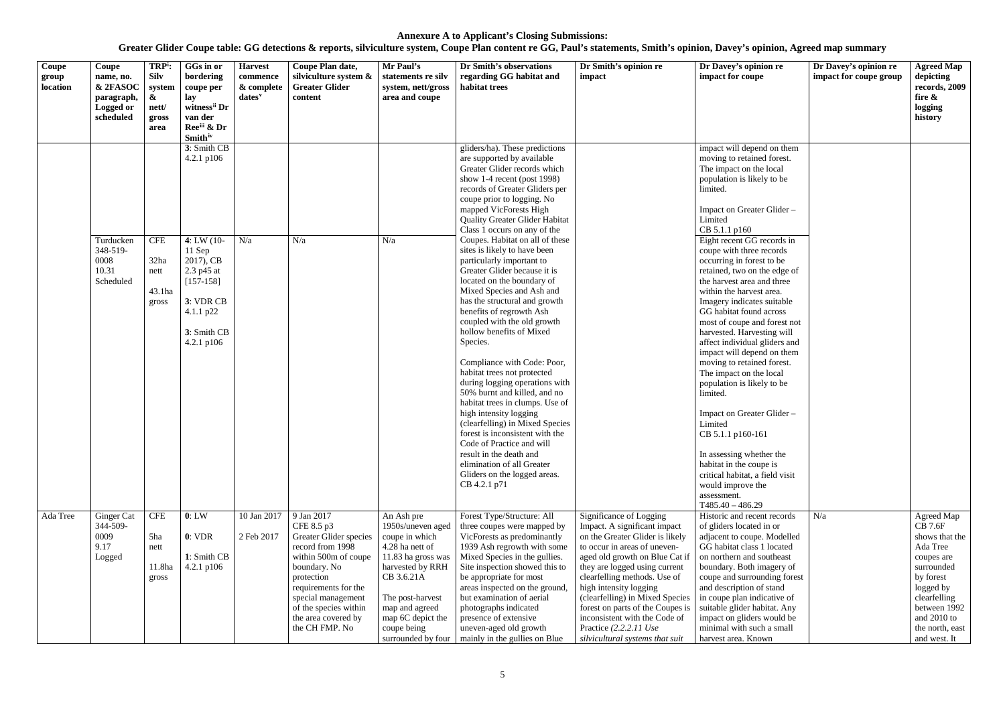| Coupe<br>group<br>location | Coupe<br>name, no.<br>& 2FASOC<br>paragraph,<br>Logged or<br>scheduled | TRP <sup>i</sup> :<br><b>Silv</b><br>system<br>&<br>nett/<br>gross<br>area | GGs in or<br>bordering<br>coupe per<br>lay<br>witness <sup>ii</sup> Dr<br>van der<br>Ree <sup>iii</sup> & Dr<br><b>Smith</b> iv | <b>Harvest</b><br>commence<br>& complete<br>$dates$ <sup>v</sup> | Coupe Plan date,<br>silviculture system &<br><b>Greater Glider</b><br>content                                                                                                                                                                | Mr Paul's<br>statements re silv<br>system, nett/gross<br>area and coupe                                                                                                                                                      | Dr Smith's observations<br>regarding GG habitat and<br>habitat trees                                                                                                                                                                                                                                                                                                                                                                                                                                                                                                                                                                                                                                                                                                 | Dr Smith's opinion re<br>impact                                                                                                                                                                                                                                                                                                                                                                                                                             | Dr Davey's opinion re<br>impact for coupe                                                                                                                                                                                                                                                                                                                                                                                                                                                                                                                                                                                                                                                                 | Dr Davey's opinion re<br>impact for coupe group | <b>Agreed Map</b><br>depicting<br>records, 2009<br>fire &<br>logging<br>history                                                                                                                      |
|----------------------------|------------------------------------------------------------------------|----------------------------------------------------------------------------|---------------------------------------------------------------------------------------------------------------------------------|------------------------------------------------------------------|----------------------------------------------------------------------------------------------------------------------------------------------------------------------------------------------------------------------------------------------|------------------------------------------------------------------------------------------------------------------------------------------------------------------------------------------------------------------------------|----------------------------------------------------------------------------------------------------------------------------------------------------------------------------------------------------------------------------------------------------------------------------------------------------------------------------------------------------------------------------------------------------------------------------------------------------------------------------------------------------------------------------------------------------------------------------------------------------------------------------------------------------------------------------------------------------------------------------------------------------------------------|-------------------------------------------------------------------------------------------------------------------------------------------------------------------------------------------------------------------------------------------------------------------------------------------------------------------------------------------------------------------------------------------------------------------------------------------------------------|-----------------------------------------------------------------------------------------------------------------------------------------------------------------------------------------------------------------------------------------------------------------------------------------------------------------------------------------------------------------------------------------------------------------------------------------------------------------------------------------------------------------------------------------------------------------------------------------------------------------------------------------------------------------------------------------------------------|-------------------------------------------------|------------------------------------------------------------------------------------------------------------------------------------------------------------------------------------------------------|
|                            |                                                                        |                                                                            | 3: Smith CB<br>$4.2.1$ p $106$                                                                                                  |                                                                  |                                                                                                                                                                                                                                              |                                                                                                                                                                                                                              | gliders/ha). These predictions<br>are supported by available<br>Greater Glider records which<br>show 1-4 recent (post $1998$ )<br>records of Greater Gliders per<br>coupe prior to logging. No<br>mapped VicForests High<br><b>Quality Greater Glider Habitat</b>                                                                                                                                                                                                                                                                                                                                                                                                                                                                                                    |                                                                                                                                                                                                                                                                                                                                                                                                                                                             | impact will depend on them<br>moving to retained forest.<br>The impact on the local<br>population is likely to be<br>limited.<br>Impact on Greater Glider -<br>Limited                                                                                                                                                                                                                                                                                                                                                                                                                                                                                                                                    |                                                 |                                                                                                                                                                                                      |
|                            | Turducken<br>348-519-<br>0008<br>10.31<br>Scheduled                    | <b>CFE</b><br>32ha<br>nett<br>43.1ha<br>gross                              | $4: LW(10-$<br>$11$ Sep<br>2017), CB<br>2.3 p45 at<br>$[157-158]$<br>3: VDR CB<br>4.1.1 p22<br>3: Smith CB<br>$4.2.1$ p $106$   | N/a                                                              | N/a                                                                                                                                                                                                                                          | N/a                                                                                                                                                                                                                          | Class 1 occurs on any of the<br>Coupes. Habitat on all of these<br>sites is likely to have been<br>particularly important to<br>Greater Glider because it is<br>located on the boundary of<br>Mixed Species and Ash and<br>has the structural and growth<br>benefits of regrowth Ash<br>coupled with the old growth<br>hollow benefits of Mixed<br>Species.<br>Compliance with Code: Poor,<br>habitat trees not protected<br>during logging operations with<br>50% burnt and killed, and no<br>habitat trees in clumps. Use of<br>high intensity logging<br>(clearfelling) in Mixed Species<br>forest is inconsistent with the<br>Code of Practice and will<br>result in the death and<br>elimination of all Greater<br>Gliders on the logged areas.<br>CB 4.2.1 p71 |                                                                                                                                                                                                                                                                                                                                                                                                                                                             | CB 5.1.1 p160<br>Eight recent GG records in<br>coupe with three records<br>occurring in forest to be<br>retained, two on the edge of<br>the harvest area and three<br>within the harvest area.<br>Imagery indicates suitable<br>GG habitat found across<br>most of coupe and forest not<br>harvested. Harvesting will<br>affect individual gliders and<br>impact will depend on them<br>moving to retained forest.<br>The impact on the local<br>population is likely to be<br>limited.<br>Impact on Greater Glider -<br>Limited<br>CB 5.1.1 p160-161<br>In assessing whether the<br>habitat in the coupe is<br>critical habitat, a field visit<br>would improve the<br>assessment.<br>$T485.40 - 486.29$ |                                                 |                                                                                                                                                                                                      |
| Ada Tree                   | Ginger Cat<br>344-509-<br>0009<br>9.17<br>Logged                       | <b>CFE</b><br>5ha<br>nett<br>11.8ha<br>gross                               | 0: LW<br>0: VDR<br>1: Smith CB<br>$4.2.1$ p $106$                                                                               | 10 Jan 2017<br>2 Feb 2017                                        | 9 Jan 2017<br>CFE 8.5 p3<br>Greater Glider species<br>record from 1998<br>within 500m of coupe<br>boundary. No<br>protection<br>requirements for the<br>special management<br>of the species within<br>the area covered by<br>the CH FMP. No | An Ash pre<br>1950s/uneven aged<br>coupe in which<br>4.28 ha nett of<br>11.83 ha gross was<br>harvested by RRH<br>CB 3.6.21A<br>The post-harvest<br>map and agreed<br>map 6C depict the<br>coupe being<br>surrounded by four | Forest Type/Structure: All<br>three coupes were mapped by<br>VicForests as predominantly<br>1939 Ash regrowth with some<br>Mixed Species in the gullies.<br>Site inspection showed this to<br>be appropriate for most<br>areas inspected on the ground,<br>but examination of aerial<br>photographs indicated<br>presence of extensive<br>uneven-aged old growth<br>mainly in the gullies on Blue                                                                                                                                                                                                                                                                                                                                                                    | Significance of Logging<br>Impact. A significant impact<br>on the Greater Glider is likely<br>to occur in areas of uneven-<br>aged old growth on Blue Cat if<br>they are logged using current<br>clearfelling methods. Use of<br>high intensity logging<br>(clearfelling) in Mixed Species<br>forest on parts of the Coupes is   suitable glider habitat. Any<br>inconsistent with the Code of<br>Practice (2.2.2.11 Use<br>silvicultural systems that suit | Historic and recent records<br>of gliders located in or<br>adjacent to coupe. Modelled<br>GG habitat class 1 located<br>on northern and southeast<br>boundary. Both imagery of<br>coupe and surrounding forest<br>and description of stand<br>in coupe plan indicative of<br>impact on gliders would be<br>minimal with such a small<br>harvest area. Known                                                                                                                                                                                                                                                                                                                                               | N/a                                             | Agreed Map<br><b>CB</b> 7.6F<br>shows that the<br>Ada Tree<br>coupes are<br>surrounded<br>by forest<br>logged by<br>clearfelling<br>between 1992<br>and $2010$ to<br>the north, east<br>and west. It |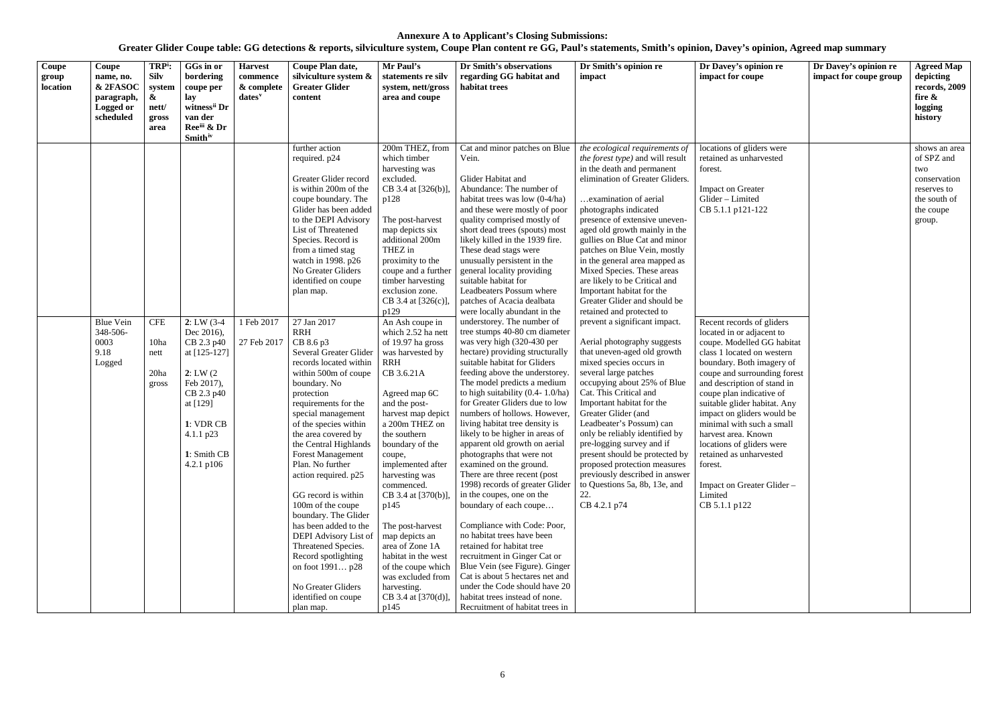| Coupe<br>group<br>location | Coupe<br>name, no.<br>& 2FASOC<br>paragraph,<br>Logged or<br>scheduled | TRP <sup>i</sup> :<br><b>Silv</b><br>system<br>&<br>nett/<br>gross<br>area | GGs in or<br>bordering<br>coupe per<br>lay<br>witness <sup>ii</sup> Dr<br>van der<br>Ree <sup>iii</sup> & Dr<br><b>Smith</b> iv                         | <b>Harvest</b><br>commence<br>& complete<br>$dates^v$ | Coupe Plan date,<br>silviculture system &<br><b>Greater Glider</b><br>content                                                                                                                                                                                                                                                                                                                                                                                                                                                                                                      | Mr Paul's<br>statements re silv<br>system, nett/gross<br>area and coupe                                                                                                                                                                                                                                                                                                                                                                                                     | Dr Smith's observations<br>regarding GG habitat and<br>habitat trees                                                                                                                                                                                                                                                                                                                                                                                                                                                                                                                                                                                                                                                                                                                                                                                                                                          | Dr Smith's opinion re<br>impact                                                                                                                                                                                                                                                                                                                                                                                                                                                                                                                     | Dr Davey's opinion re<br>impact for coupe                                                                                                                                                                                                                                                                                                                                                                                                                    | Dr Davey's opinion re<br>impact for coupe group | <b>Agreed Map</b><br>depicting<br>records, 2009<br>fire &<br>logging<br>history                          |
|----------------------------|------------------------------------------------------------------------|----------------------------------------------------------------------------|---------------------------------------------------------------------------------------------------------------------------------------------------------|-------------------------------------------------------|------------------------------------------------------------------------------------------------------------------------------------------------------------------------------------------------------------------------------------------------------------------------------------------------------------------------------------------------------------------------------------------------------------------------------------------------------------------------------------------------------------------------------------------------------------------------------------|-----------------------------------------------------------------------------------------------------------------------------------------------------------------------------------------------------------------------------------------------------------------------------------------------------------------------------------------------------------------------------------------------------------------------------------------------------------------------------|---------------------------------------------------------------------------------------------------------------------------------------------------------------------------------------------------------------------------------------------------------------------------------------------------------------------------------------------------------------------------------------------------------------------------------------------------------------------------------------------------------------------------------------------------------------------------------------------------------------------------------------------------------------------------------------------------------------------------------------------------------------------------------------------------------------------------------------------------------------------------------------------------------------|-----------------------------------------------------------------------------------------------------------------------------------------------------------------------------------------------------------------------------------------------------------------------------------------------------------------------------------------------------------------------------------------------------------------------------------------------------------------------------------------------------------------------------------------------------|--------------------------------------------------------------------------------------------------------------------------------------------------------------------------------------------------------------------------------------------------------------------------------------------------------------------------------------------------------------------------------------------------------------------------------------------------------------|-------------------------------------------------|----------------------------------------------------------------------------------------------------------|
|                            | <b>Blue Vein</b>                                                       | <b>CFE</b>                                                                 | $2: LW(3-4)$                                                                                                                                            | 1 Feb 2017                                            | further action<br>required. p24<br>Greater Glider record<br>is within 200m of the<br>coupe boundary. The<br>Glider has been added<br>to the DEPI Advisory<br>List of Threatened<br>Species. Record is<br>from a timed stag<br>watch in 1998. p26<br>No Greater Gliders<br>identified on coupe<br>plan map.<br>27 Jan 2017                                                                                                                                                                                                                                                          | 200m THEZ, from<br>which timber<br>harvesting was<br>excluded.<br>CB 3.4 at [326(b)]<br>p128<br>The post-harvest<br>map depicts six<br>additional 200m<br>THEZ in<br>proximity to the<br>coupe and a further<br>timber harvesting<br>exclusion zone.<br>CB 3.4 at $[326(c)]$ ,<br>p129<br>An Ash coupe in                                                                                                                                                                   | Cat and minor patches on Blue<br>Vein.<br>Glider Habitat and<br>Abundance: The number of<br>habitat trees was low $(0-4/ha)$<br>and these were mostly of poor<br>quality comprised mostly of<br>short dead trees (spouts) most<br>likely killed in the 1939 fire.<br>These dead stags were<br>unusually persistent in the<br>general locality providing<br>suitable habitat for<br>Leadbeaters Possum where<br>patches of Acacia dealbata<br>were locally abundant in the<br>understorey. The number of                                                                                                                                                                                                                                                                                                                                                                                                       | the ecological requirements of<br>the forest type) and will result<br>in the death and permanent<br>elimination of Greater Gliders.<br>examination of aerial<br>photographs indicated<br>presence of extensive uneven-<br>aged old growth mainly in the<br>gullies on Blue Cat and minor<br>patches on Blue Vein, mostly<br>in the general area mapped as<br>Mixed Species. These areas<br>are likely to be Critical and<br>Important habitat for the<br>Greater Glider and should be<br>retained and protected to<br>prevent a significant impact. | locations of gliders were<br>retained as unharvested<br>forest.<br><b>Impact on Greater</b><br>Glider - Limited<br>CB 5.1.1 p121-122<br>Recent records of gliders                                                                                                                                                                                                                                                                                            |                                                 | shows an area<br>of SPZ and<br>two<br>conservation<br>reserves to<br>the south of<br>the coupe<br>group. |
|                            | 348-506-<br>0003<br>9.18<br>Logged                                     | 10ha<br>nett<br>20ha<br>gross                                              | Dec 2016),<br>CB 2.3 p40<br>at $[125-127]$<br>2: LW(2)<br>Feb 2017),<br>CB 2.3 p40<br>at [129]<br>1: VDR CB<br>4.1.1 p23<br>1: Smith CB<br>4.2.1 $p106$ | 27 Feb 2017                                           | <b>RRH</b><br>CB 8.6 p3<br>Several Greater Glider<br>records located within<br>within 500m of coupe<br>boundary. No<br>protection<br>requirements for the<br>special management<br>of the species within<br>the area covered by<br>the Central Highlands<br><b>Forest Management</b><br>Plan. No further<br>action required. p25<br>GG record is within<br>100m of the coupe<br>boundary. The Glider<br>has been added to the<br>DEPI Advisory List of<br>Threatened Species.<br>Record spotlighting<br>on foot 1991 p28<br>No Greater Gliders<br>identified on coupe<br>plan map. | which 2.52 ha nett<br>of 19.97 ha gross<br>was harvested by<br><b>RRH</b><br>CB 3.6.21A<br>Agreed map 6C<br>and the post-<br>harvest map depict<br>a 200m THEZ on<br>the southern<br>boundary of the<br>coupe,<br>implemented after<br>harvesting was<br>commenced.<br>CB 3.4 at [370(b)],<br>p145<br>The post-harvest<br>map depicts an<br>area of Zone 1A<br>habitat in the west<br>of the coupe which<br>was excluded from<br>harvesting.<br>CB 3.4 at [370(d)],<br>p145 | tree stumps 40-80 cm diameter<br>was very high (320-430 per<br>hectare) providing structurally<br>suitable habitat for Gliders<br>feeding above the understorey.<br>The model predicts a medium<br>to high suitability $(0.4 - 1.0/\text{ha})$<br>for Greater Gliders due to low<br>numbers of hollows. However,<br>living habitat tree density is<br>likely to be higher in areas of<br>apparent old growth on aerial<br>photographs that were not<br>examined on the ground.<br>There are three recent (post<br>1998) records of greater Glider<br>in the coupes, one on the<br>boundary of each coupe<br>Compliance with Code: Poor,<br>no habitat trees have been<br>retained for habitat tree<br>recruitment in Ginger Cat or<br>Blue Vein (see Figure). Ginger<br>Cat is about 5 hectares net and<br>under the Code should have 20<br>habitat trees instead of none.<br>Recruitment of habitat trees in | Aerial photography suggests<br>that uneven-aged old growth<br>mixed species occurs in<br>several large patches<br>occupying about 25% of Blue<br>Cat. This Critical and<br>Important habitat for the<br>Greater Glider (and<br>Leadbeater's Possum) can<br>only be reliably identified by<br>pre-logging survey and if<br>present should be protected by<br>proposed protection measures<br>previously described in answer<br>to Questions 5a, 8b, 13e, and<br>22.<br>CB 4.2.1 p74                                                                  | located in or adjacent to<br>coupe. Modelled GG habitat<br>class 1 located on western<br>boundary. Both imagery of<br>coupe and surrounding forest<br>and description of stand in<br>coupe plan indicative of<br>suitable glider habitat. Any<br>impact on gliders would be<br>minimal with such a small<br>harvest area. Known<br>locations of gliders were<br>retained as unharvested<br>forest.<br>Impact on Greater Glider -<br>Limited<br>CB 5.1.1 p122 |                                                 |                                                                                                          |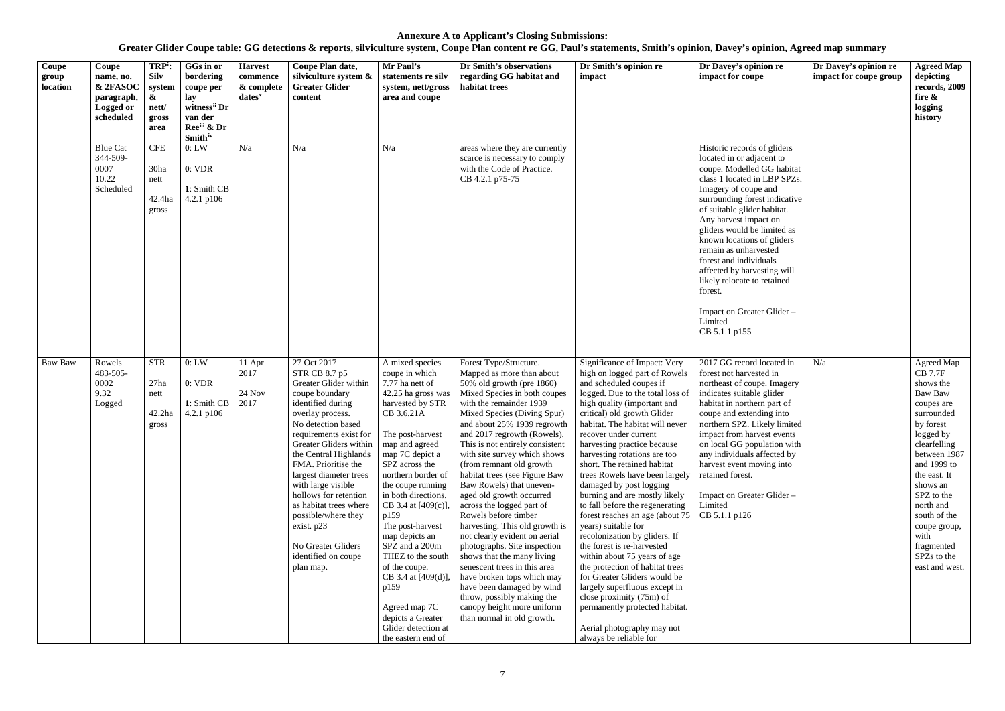| Coupe<br>group<br>location | Coupe<br>name, no.<br>& 2FASOC<br>paragraph,<br>Logged or<br>scheduled | TRP <sup>i</sup> :<br><b>Silv</b><br>system<br>$\boldsymbol{\&}$<br>nett/<br>gross<br>area | GGs in or<br>bordering<br>coupe per<br>lay<br>witness <sup>ii</sup> Dr<br>van der<br>Reeiii & Dr<br><b>Smith</b> iv | <b>Harvest</b><br>commence<br>& complete<br>dates <sup>v</sup> | Coupe Plan date,<br>silviculture system &<br><b>Greater Glider</b><br>content                                                                                                                                                                                                                                                                                                                                                                | Mr Paul's<br>statements re silv<br>system, nett/gross<br>area and coupe                                                                                                                                                                                                                                                                                                                                                                                                                                  | Dr Smith's observations<br>regarding GG habitat and<br>habitat trees                                                                                                                                                                                                                                                                                                                                                                                                                                                                                                                                                                                                                                                                                                                                           | Dr Smith's opinion re<br>impact                                                                                                                                                                                                                                                                                                                                                                                                                                                                                                                                                                                                                                                                                                                                                                                                                                          | Dr Davey's opinion re<br>impact for coupe                                                                                                                                                                                                                                                                                                                                                                                                                                                  | Dr Davey's opinion re<br>impact for coupe group | <b>Agreed Map</b><br>depicting<br>records, 2009<br>fire &<br>logging<br>history                                                                                                                                                                                                                         |
|----------------------------|------------------------------------------------------------------------|--------------------------------------------------------------------------------------------|---------------------------------------------------------------------------------------------------------------------|----------------------------------------------------------------|----------------------------------------------------------------------------------------------------------------------------------------------------------------------------------------------------------------------------------------------------------------------------------------------------------------------------------------------------------------------------------------------------------------------------------------------|----------------------------------------------------------------------------------------------------------------------------------------------------------------------------------------------------------------------------------------------------------------------------------------------------------------------------------------------------------------------------------------------------------------------------------------------------------------------------------------------------------|----------------------------------------------------------------------------------------------------------------------------------------------------------------------------------------------------------------------------------------------------------------------------------------------------------------------------------------------------------------------------------------------------------------------------------------------------------------------------------------------------------------------------------------------------------------------------------------------------------------------------------------------------------------------------------------------------------------------------------------------------------------------------------------------------------------|--------------------------------------------------------------------------------------------------------------------------------------------------------------------------------------------------------------------------------------------------------------------------------------------------------------------------------------------------------------------------------------------------------------------------------------------------------------------------------------------------------------------------------------------------------------------------------------------------------------------------------------------------------------------------------------------------------------------------------------------------------------------------------------------------------------------------------------------------------------------------|--------------------------------------------------------------------------------------------------------------------------------------------------------------------------------------------------------------------------------------------------------------------------------------------------------------------------------------------------------------------------------------------------------------------------------------------------------------------------------------------|-------------------------------------------------|---------------------------------------------------------------------------------------------------------------------------------------------------------------------------------------------------------------------------------------------------------------------------------------------------------|
|                            | <b>Blue Cat</b><br>344-509-<br>0007<br>10.22<br>Scheduled              | <b>CFE</b><br>30ha<br>nett<br>42.4ha<br>gross                                              | 0: LW<br>0: VDR<br>1: Smith CB<br>4.2.1 p106                                                                        | N/a                                                            | N/a                                                                                                                                                                                                                                                                                                                                                                                                                                          | N/a                                                                                                                                                                                                                                                                                                                                                                                                                                                                                                      | areas where they are currently<br>scarce is necessary to comply<br>with the Code of Practice.<br>CB 4.2.1 p75-75                                                                                                                                                                                                                                                                                                                                                                                                                                                                                                                                                                                                                                                                                               |                                                                                                                                                                                                                                                                                                                                                                                                                                                                                                                                                                                                                                                                                                                                                                                                                                                                          | Historic records of gliders<br>located in or adjacent to<br>coupe. Modelled GG habitat<br>class 1 located in LBP SPZs.<br>Imagery of coupe and<br>surrounding forest indicative<br>of suitable glider habitat.<br>Any harvest impact on<br>gliders would be limited as<br>known locations of gliders<br>remain as unharvested<br>forest and individuals<br>affected by harvesting will<br>likely relocate to retained<br>forest.<br>Impact on Greater Glider -<br>Limited<br>CB 5.1.1 p155 |                                                 |                                                                                                                                                                                                                                                                                                         |
| Baw Baw                    | Rowels<br>483-505-<br>0002<br>9.32<br>Logged                           | <b>STR</b><br>27ha<br>nett<br>42.2ha<br>gross                                              | 0: LW<br>0: VDR<br>1: Smith CB<br>4.2.1 p106                                                                        | $11$ Apr<br>2017<br>24 Nov<br>2017                             | 27 Oct 2017<br>STR CB 8.7 p5<br>Greater Glider within<br>coupe boundary<br>identified during<br>overlay process.<br>No detection based<br>requirements exist for<br>Greater Gliders within<br>the Central Highlands<br>FMA. Prioritise the<br>largest diameter trees<br>with large visible<br>hollows for retention<br>as habitat trees where<br>possible/where they<br>exist. p23<br>No Greater Gliders<br>identified on coupe<br>plan map. | A mixed species<br>coupe in which<br>7.77 ha nett of<br>42.25 ha gross was<br>harvested by STR<br>CB 3.6.21A<br>The post-harvest<br>map and agreed<br>map 7C depict a<br>SPZ across the<br>northern border of<br>the coupe running<br>in both directions.<br>CB 3.4 at [409(c)],<br>p159<br>The post-harvest<br>map depicts an<br>SPZ and a 200m<br>THEZ to the south<br>of the coupe.<br>CB 3.4 at [409(d)],<br>p159<br>Agreed map 7C<br>depicts a Greater<br>Glider detection at<br>the eastern end of | Forest Type/Structure.<br>Mapped as more than about<br>$50\%$ old growth (pre 1860)<br>Mixed Species in both coupes<br>with the remainder 1939<br>Mixed Species (Diving Spur)<br>and about 25% 1939 regrowth<br>and 2017 regrowth (Rowels).<br>This is not entirely consistent<br>with site survey which shows<br>(from remnant old growth<br>habitat trees (see Figure Baw<br>Baw Rowels) that uneven-<br>aged old growth occurred<br>across the logged part of<br>Rowels before timber<br>harvesting. This old growth is<br>not clearly evident on aerial<br>photographs. Site inspection<br>shows that the many living<br>senescent trees in this area<br>have broken tops which may<br>have been damaged by wind<br>throw, possibly making the<br>canopy height more uniform<br>than normal in old growth. | Significance of Impact: Very<br>high on logged part of Rowels<br>and scheduled coupes if<br>logged. Due to the total loss of<br>high quality (important and<br>critical) old growth Glider<br>habitat. The habitat will never<br>recover under current<br>harvesting practice because<br>harvesting rotations are too<br>short. The retained habitat<br>trees Rowels have been largely<br>damaged by post logging<br>burning and are mostly likely<br>to fall before the regenerating<br>forest reaches an age (about 75<br>years) suitable for<br>recolonization by gliders. If<br>the forest is re-harvested<br>within about 75 years of age<br>the protection of habitat trees<br>for Greater Gliders would be<br>largely superfluous except in<br>close proximity (75m) of<br>permanently protected habitat.<br>Aerial photography may not<br>always be reliable for | 2017 GG record located in<br>forest not harvested in<br>northeast of coupe. Imagery<br>indicates suitable glider<br>habitat in northern part of<br>coupe and extending into<br>northern SPZ. Likely limited<br>impact from harvest events<br>on local GG population with<br>any individuals affected by<br>harvest event moving into<br>retained forest.<br>Impact on Greater Glider -<br>Limited<br>CB 5.1.1 p126                                                                         | N/a                                             | Agreed Map<br><b>CB 7.7F</b><br>shows the<br>Baw Baw<br>coupes are<br>surrounded<br>by forest<br>logged by<br>clearfelling<br>between 1987<br>and 1999 to<br>the east. It<br>shows an<br>SPZ to the<br>north and<br>south of the<br>coupe group,<br>with<br>fragmented<br>SPZs to the<br>east and west. |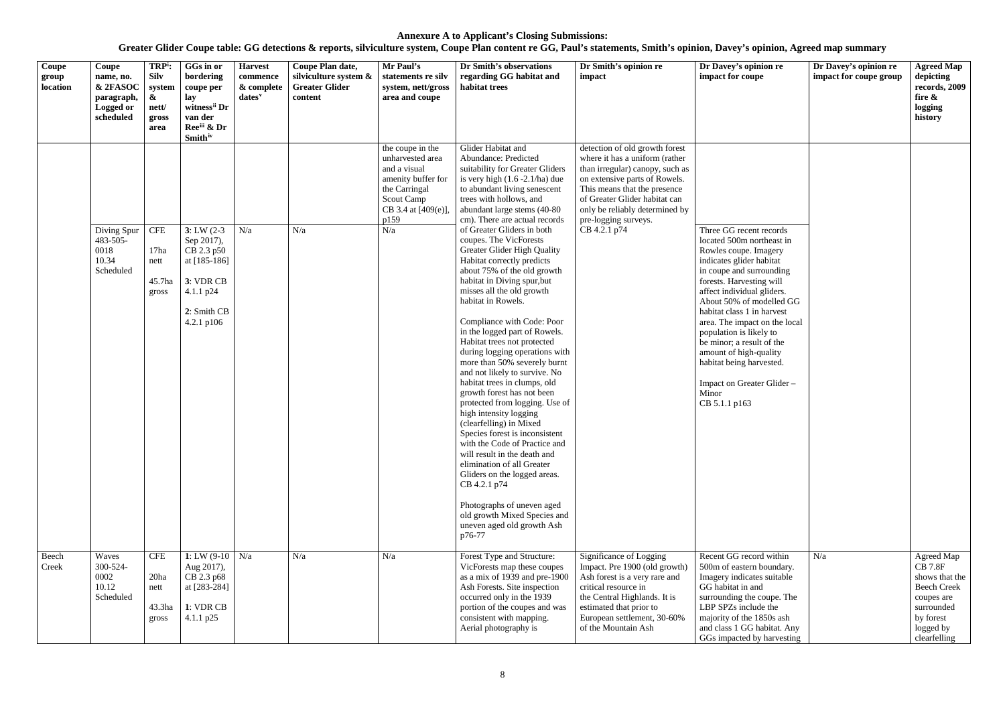| Coupe<br>group<br>location | Coupe<br>name, no.<br>& 2FASOC<br>paragraph,<br>Logged or<br>scheduled | TRP <sup>i</sup> :<br><b>Silv</b><br>system<br>$\boldsymbol{\alpha}$<br>nett/<br>gross<br>area | GGs in or<br>bordering<br>coupe per<br>lay<br>witness <sup>ii</sup> Dr<br>van der<br>Reeiii & Dr<br><b>Smith</b> iv    | <b>Harvest</b><br>commence<br>& complete<br>$dates$ <sup>v</sup> | Coupe Plan date,<br>silviculture system &<br><b>Greater Glider</b><br>content | Mr Paul's<br>statements re silv<br>system, nett/gross<br>area and coupe                                                                         | Dr Smith's observations<br>regarding GG habitat and<br>habitat trees                                                                                                                                                                                                                                                                                                                                                                                                                                                                                                                                                                                                                                                                                                                                                                                                                                                                                                                                                               | Dr Smith's opinion re<br>impact                                                                                                                                                                                                                                                 | Dr Davey's opinion re<br>impact for coupe                                                                                                                                                                                                                                                                                                                                                                                                                        | Dr Davey's opinion re<br>impact for coupe group | <b>Agreed Map</b><br>depicting<br>records, 2009<br>fire &<br>logging<br>history                                                            |
|----------------------------|------------------------------------------------------------------------|------------------------------------------------------------------------------------------------|------------------------------------------------------------------------------------------------------------------------|------------------------------------------------------------------|-------------------------------------------------------------------------------|-------------------------------------------------------------------------------------------------------------------------------------------------|------------------------------------------------------------------------------------------------------------------------------------------------------------------------------------------------------------------------------------------------------------------------------------------------------------------------------------------------------------------------------------------------------------------------------------------------------------------------------------------------------------------------------------------------------------------------------------------------------------------------------------------------------------------------------------------------------------------------------------------------------------------------------------------------------------------------------------------------------------------------------------------------------------------------------------------------------------------------------------------------------------------------------------|---------------------------------------------------------------------------------------------------------------------------------------------------------------------------------------------------------------------------------------------------------------------------------|------------------------------------------------------------------------------------------------------------------------------------------------------------------------------------------------------------------------------------------------------------------------------------------------------------------------------------------------------------------------------------------------------------------------------------------------------------------|-------------------------------------------------|--------------------------------------------------------------------------------------------------------------------------------------------|
|                            | Diving Spur<br>483-505-<br>0018<br>10.34<br>Scheduled                  | <b>CFE</b><br>17ha<br>nett<br>45.7ha<br>gross                                                  | $3: LW(2-3)$<br>Sep 2017),<br>CB 2.3 p50<br>at [185-186]<br>3: VDR CB<br>4.1.1 $p24$<br>2: Smith CB<br>$4.2.1$ p $106$ | N/a                                                              | N/a                                                                           | the coupe in the<br>unharvested area<br>and a visual<br>amenity buffer for<br>the Carringal<br>Scout Camp<br>CB 3.4 at [409(e)],<br>p159<br>N/a | Glider Habitat and<br>Abundance: Predicted<br>suitability for Greater Gliders<br>is very high $(1.6 - 2.1/ha)$ due<br>to abundant living senescent<br>trees with hollows, and<br>abundant large stems (40-80)<br>cm). There are actual records<br>of Greater Gliders in both<br>coupes. The VicForests<br><b>Greater Glider High Quality</b><br>Habitat correctly predicts<br>about 75% of the old growth<br>habitat in Diving spur, but<br>misses all the old growth<br>habitat in Rowels.<br>Compliance with Code: Poor<br>in the logged part of Rowels.<br>Habitat trees not protected<br>during logging operations with<br>more than 50% severely burnt<br>and not likely to survive. No<br>habitat trees in clumps, old<br>growth forest has not been<br>protected from logging. Use of<br>high intensity logging<br>(clearfelling) in Mixed<br>Species forest is inconsistent<br>with the Code of Practice and<br>will result in the death and<br>elimination of all Greater<br>Gliders on the logged areas.<br>CB 4.2.1 p74 | detection of old growth forest<br>where it has a uniform (rather<br>than irregular) canopy, such as<br>on extensive parts of Rowels.<br>This means that the presence<br>of Greater Glider habitat can<br>only be reliably determined by<br>pre-logging surveys.<br>CB 4.2.1 p74 | Three GG recent records<br>located 500m northeast in<br>Rowles coupe. Imagery<br>indicates glider habitat<br>in coupe and surrounding<br>forests. Harvesting will<br>affect individual gliders.<br>About 50% of modelled GG<br>habitat class 1 in harvest<br>area. The impact on the local<br>population is likely to<br>be minor; a result of the<br>amount of high-quality<br>habitat being harvested.<br>Impact on Greater Glider -<br>Minor<br>CB 5.1.1 p163 |                                                 |                                                                                                                                            |
|                            |                                                                        |                                                                                                |                                                                                                                        |                                                                  |                                                                               |                                                                                                                                                 | Photographs of uneven aged<br>old growth Mixed Species and<br>uneven aged old growth Ash<br>p76-77                                                                                                                                                                                                                                                                                                                                                                                                                                                                                                                                                                                                                                                                                                                                                                                                                                                                                                                                 |                                                                                                                                                                                                                                                                                 |                                                                                                                                                                                                                                                                                                                                                                                                                                                                  |                                                 |                                                                                                                                            |
| Beech<br>Creek             | Waves<br>300-524-<br>0002<br>10.12<br>Scheduled                        | <b>CFE</b><br>20ha<br>nett<br>43.3ha<br>gross                                                  | 1: LW $(9-10)$ N/a<br>Aug 2017),<br>CB 2.3 p68<br>at [283-284]<br>1: VDR CB<br>4.1.1 $p25$                             |                                                                  | N/a                                                                           | N/a                                                                                                                                             | Forest Type and Structure:<br>VicForests map these coupes<br>as a mix of 1939 and pre-1900<br>Ash Forests. Site inspection<br>occurred only in the 1939<br>portion of the coupes and was<br>consistent with mapping.<br>Aerial photography is                                                                                                                                                                                                                                                                                                                                                                                                                                                                                                                                                                                                                                                                                                                                                                                      | Significance of Logging<br>Impact. Pre 1900 (old growth)<br>Ash forest is a very rare and<br>critical resource in<br>the Central Highlands. It is<br>estimated that prior to<br>European settlement, 30-60%<br>of the Mountain Ash                                              | Recent GG record within<br>500m of eastern boundary.<br>Imagery indicates suitable<br>GG habitat in and<br>surrounding the coupe. The<br>LBP SPZs include the<br>majority of the 1850s ash<br>and class 1 GG habitat. Any<br>GGs impacted by harvesting                                                                                                                                                                                                          | N/a                                             | Agreed Map<br><b>CB 7.8F</b><br>shows that the<br><b>Beech Creek</b><br>coupes are<br>surrounded<br>by forest<br>logged by<br>clearfelling |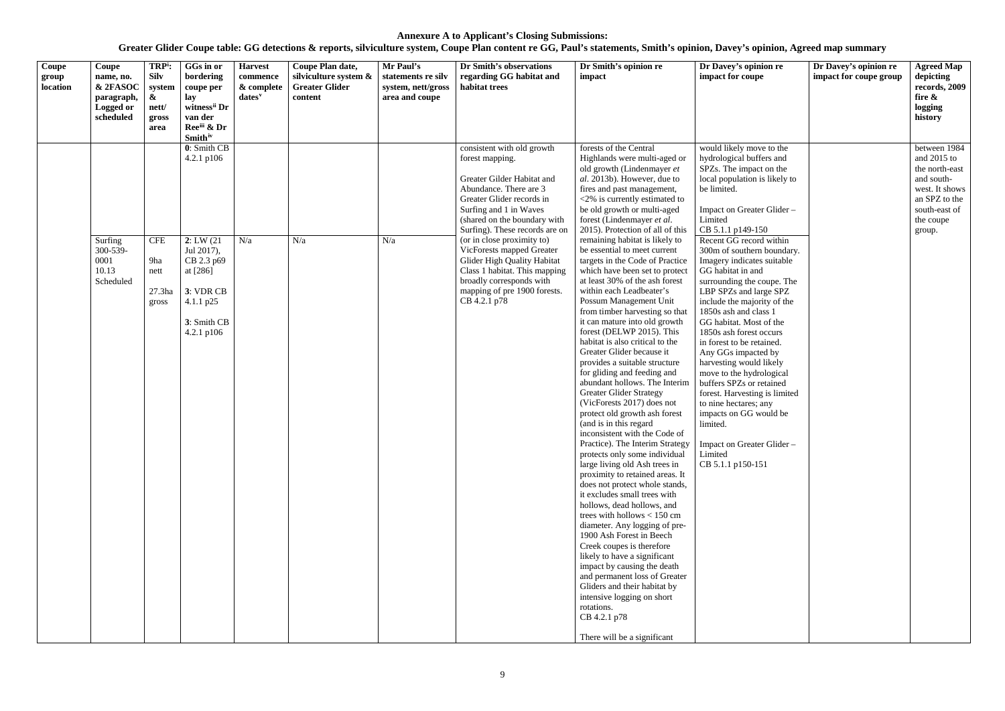| Coupe<br>group<br>location | Coupe<br>name, no.<br>& 2FASOC<br>paragraph,<br>Logged or<br>scheduled | TRP <sup>i</sup> :<br><b>Silv</b><br>system<br>&<br>nett/<br>gross<br>area | GGs in or<br>bordering<br>coupe per<br>lay<br>witness <sup>ii</sup> Dr<br>van der<br>Reeiii & Dr                                                                             | <b>Harvest</b><br>commence<br>& complete<br>dates <sup>v</sup> | Coupe Plan date,<br>silviculture system &<br><b>Greater Glider</b><br>content | Mr Paul's<br>statements re silv<br>system, nett/gross<br>area and coupe | Dr Smith's observations<br>regarding GG habitat and<br>habitat trees                                                                                                                                                                                                                                                                                                                                                                  | Dr Smith's opinion re<br>impact                                                                                                                                                                                                                                                                                                                                                                                                                                                                                                                                                                                                                                                                                                                                                                                                                                                                                                                                                                                                                                                                                                                                                                                                                                                                                    | Dr Davey's opinion re<br>impact for coupe                                                                                                                                                                                                                                                                                                                                                                                                                                                                                                                                                                                                                                                                                                                                           | Dr Davey's opinion re<br>impact for coupe group | <b>Agreed Map</b><br>depicting<br>records, 2009<br>fire &<br>logging<br>history                                                          |
|----------------------------|------------------------------------------------------------------------|----------------------------------------------------------------------------|------------------------------------------------------------------------------------------------------------------------------------------------------------------------------|----------------------------------------------------------------|-------------------------------------------------------------------------------|-------------------------------------------------------------------------|---------------------------------------------------------------------------------------------------------------------------------------------------------------------------------------------------------------------------------------------------------------------------------------------------------------------------------------------------------------------------------------------------------------------------------------|--------------------------------------------------------------------------------------------------------------------------------------------------------------------------------------------------------------------------------------------------------------------------------------------------------------------------------------------------------------------------------------------------------------------------------------------------------------------------------------------------------------------------------------------------------------------------------------------------------------------------------------------------------------------------------------------------------------------------------------------------------------------------------------------------------------------------------------------------------------------------------------------------------------------------------------------------------------------------------------------------------------------------------------------------------------------------------------------------------------------------------------------------------------------------------------------------------------------------------------------------------------------------------------------------------------------|-------------------------------------------------------------------------------------------------------------------------------------------------------------------------------------------------------------------------------------------------------------------------------------------------------------------------------------------------------------------------------------------------------------------------------------------------------------------------------------------------------------------------------------------------------------------------------------------------------------------------------------------------------------------------------------------------------------------------------------------------------------------------------------|-------------------------------------------------|------------------------------------------------------------------------------------------------------------------------------------------|
|                            | Surfing<br>300-539-<br>0001<br>10.13<br>Scheduled                      | <b>CFE</b><br>9ha<br>nett<br>27.3 <sub>ha</sub><br>gross                   | <b>Smith</b> <sup>iv</sup><br>0: Smith CB<br>$4.2.1$ p $106$<br>2: LW(21)<br>Jul 2017),<br>CB 2.3 p69<br>at [286]<br>3: VDR CB<br>4.1.1 $p25$<br>3: Smith CB<br>4.2.1 $p106$ | N/a                                                            | N/a                                                                           | N/a                                                                     | consistent with old growth<br>forest mapping.<br>Greater Gilder Habitat and<br>Abundance. There are 3<br>Greater Glider records in<br>Surfing and 1 in Waves<br>(shared on the boundary with<br>Surfing). These records are on<br>(or in close proximity to)<br>VicForests mapped Greater<br>Glider High Quality Habitat<br>Class 1 habitat. This mapping<br>broadly corresponds with<br>mapping of pre 1900 forests.<br>CB 4.2.1 p78 | forests of the Central<br>Highlands were multi-aged or<br>old growth (Lindenmayer et<br>al. 2013b). However, due to<br>fires and past management,<br><2% is currently estimated to<br>be old growth or multi-aged<br>forest (Lindenmayer et al.<br>2015). Protection of all of this<br>remaining habitat is likely to<br>be essential to meet current<br>targets in the Code of Practice<br>which have been set to protect<br>at least 30% of the ash forest<br>within each Leadbeater's<br>Possum Management Unit<br>from timber harvesting so that<br>it can mature into old growth<br>forest (DELWP 2015). This<br>habitat is also critical to the<br>Greater Glider because it<br>provides a suitable structure<br>for gliding and feeding and<br>abundant hollows. The Interim<br><b>Greater Glider Strategy</b><br>(VicForests 2017) does not<br>protect old growth ash forest<br>(and is in this regard<br>inconsistent with the Code of<br>Practice). The Interim Strategy<br>protects only some individual<br>large living old Ash trees in<br>proximity to retained areas. It<br>does not protect whole stands,<br>it excludes small trees with<br>hollows, dead hollows, and<br>trees with hollows $< 150$ cm<br>diameter. Any logging of pre-<br>1900 Ash Forest in Beech<br>Creek coupes is therefore | would likely move to the<br>hydrological buffers and<br>SPZs. The impact on the<br>local population is likely to<br>be limited.<br>Impact on Greater Glider -<br>Limited<br>CB 5.1.1 p149-150<br>Recent GG record within<br>300m of southern boundary.<br>Imagery indicates suitable<br>GG habitat in and<br>surrounding the coupe. The<br>LBP SPZs and large SPZ<br>include the majority of the<br>1850s ash and class 1<br>GG habitat. Most of the<br>1850s ash forest occurs<br>in forest to be retained.<br>Any GGs impacted by<br>harvesting would likely<br>move to the hydrological<br>buffers SPZs or retained<br>forest. Harvesting is limited<br>to nine hectares; any<br>impacts on GG would be<br>limited.<br>Impact on Greater Glider-<br>Limited<br>CB 5.1.1 p150-151 |                                                 | between 1984<br>and $2015$ to<br>the north-east<br>and south-<br>west. It shows<br>an SPZ to the<br>south-east of<br>the coupe<br>group. |
|                            |                                                                        |                                                                            |                                                                                                                                                                              |                                                                |                                                                               |                                                                         |                                                                                                                                                                                                                                                                                                                                                                                                                                       | likely to have a significant<br>impact by causing the death<br>and permanent loss of Greater<br>Gliders and their habitat by<br>intensive logging on short<br>rotations.<br>CB 4.2.1 p78<br>There will be a significant                                                                                                                                                                                                                                                                                                                                                                                                                                                                                                                                                                                                                                                                                                                                                                                                                                                                                                                                                                                                                                                                                            |                                                                                                                                                                                                                                                                                                                                                                                                                                                                                                                                                                                                                                                                                                                                                                                     |                                                 |                                                                                                                                          |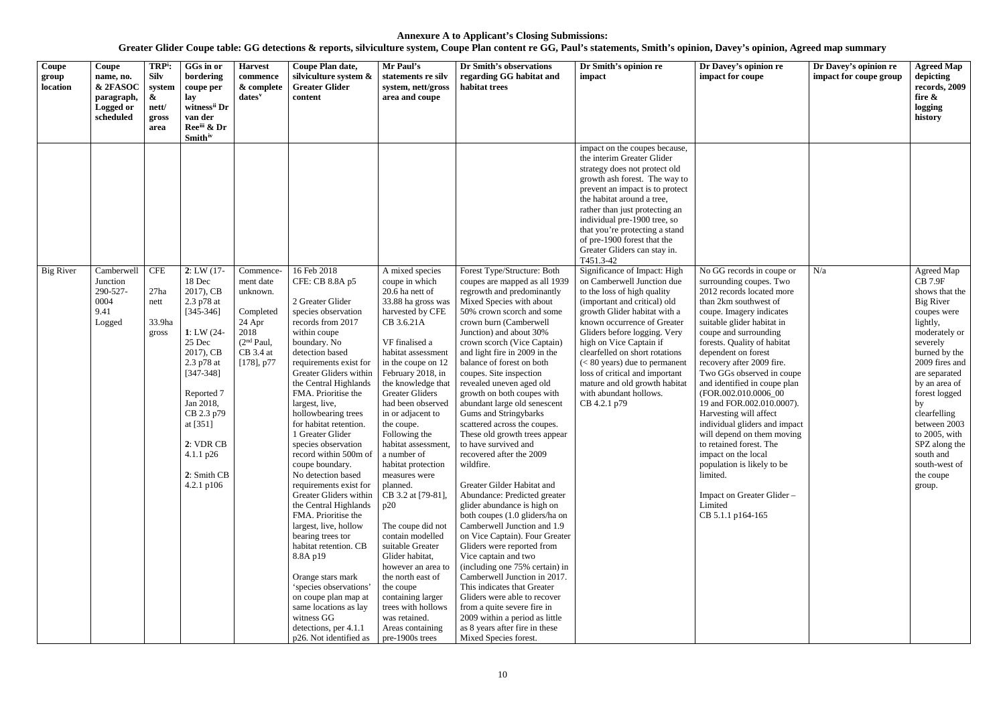| Coupe<br>group<br>location | Coupe<br>name, no.<br>& 2FASOC<br>paragraph,<br><b>Logged or</b><br>scheduled | TRP <sup>i</sup> :<br><b>Silv</b><br>system<br>$\boldsymbol{\alpha}$<br>nett/<br>gross<br>area | GGs in or<br>bordering<br>coupe per<br>lay<br>witness <sup>ii</sup> Dr<br>van der<br>Ree <sup>iii</sup> & Dr<br><b>Smith</b> <sup>iv</sup>                                                                                                                | <b>Harvest</b><br>commence<br>& complete<br>dates <sup>v</sup>                                                            | Coupe Plan date,<br>silviculture system &<br><b>Greater Glider</b><br>content                                                                                                                                                                                                                                                                                                                                                                                                                                                                                                                                                                                                                                                                                                                 | Mr Paul's<br>statements re silv<br>system, nett/gross<br>area and coupe                                                                                                                                                                                                                                                                                                                                                                                                                                                                                                                                                                                                                   | Dr Smith's observations<br>regarding GG habitat and<br>habitat trees                                                                                                                                                                                                                                                                                                                                                                                                                                                                                                                                                                                                                                                                                                                                                                                                                                                                                                                                                                                                                                     | Dr Smith's opinion re<br>impact                                                                                                                                                                                                                                                                                                                                                                                                       | Dr Davey's opinion re<br>impact for coupe                                                                                                                                                                                                                                                                                                                                                                                                                                                                                                                                                                                                             | Dr Davey's opinion re<br>impact for coupe group | <b>Agreed Map</b><br>depicting<br>records, 2009<br>fire $\&$<br>logging<br>history                                                                                                                                                                                                                                                               |
|----------------------------|-------------------------------------------------------------------------------|------------------------------------------------------------------------------------------------|-----------------------------------------------------------------------------------------------------------------------------------------------------------------------------------------------------------------------------------------------------------|---------------------------------------------------------------------------------------------------------------------------|-----------------------------------------------------------------------------------------------------------------------------------------------------------------------------------------------------------------------------------------------------------------------------------------------------------------------------------------------------------------------------------------------------------------------------------------------------------------------------------------------------------------------------------------------------------------------------------------------------------------------------------------------------------------------------------------------------------------------------------------------------------------------------------------------|-------------------------------------------------------------------------------------------------------------------------------------------------------------------------------------------------------------------------------------------------------------------------------------------------------------------------------------------------------------------------------------------------------------------------------------------------------------------------------------------------------------------------------------------------------------------------------------------------------------------------------------------------------------------------------------------|----------------------------------------------------------------------------------------------------------------------------------------------------------------------------------------------------------------------------------------------------------------------------------------------------------------------------------------------------------------------------------------------------------------------------------------------------------------------------------------------------------------------------------------------------------------------------------------------------------------------------------------------------------------------------------------------------------------------------------------------------------------------------------------------------------------------------------------------------------------------------------------------------------------------------------------------------------------------------------------------------------------------------------------------------------------------------------------------------------|---------------------------------------------------------------------------------------------------------------------------------------------------------------------------------------------------------------------------------------------------------------------------------------------------------------------------------------------------------------------------------------------------------------------------------------|-------------------------------------------------------------------------------------------------------------------------------------------------------------------------------------------------------------------------------------------------------------------------------------------------------------------------------------------------------------------------------------------------------------------------------------------------------------------------------------------------------------------------------------------------------------------------------------------------------------------------------------------------------|-------------------------------------------------|--------------------------------------------------------------------------------------------------------------------------------------------------------------------------------------------------------------------------------------------------------------------------------------------------------------------------------------------------|
|                            |                                                                               |                                                                                                |                                                                                                                                                                                                                                                           |                                                                                                                           |                                                                                                                                                                                                                                                                                                                                                                                                                                                                                                                                                                                                                                                                                                                                                                                               |                                                                                                                                                                                                                                                                                                                                                                                                                                                                                                                                                                                                                                                                                           |                                                                                                                                                                                                                                                                                                                                                                                                                                                                                                                                                                                                                                                                                                                                                                                                                                                                                                                                                                                                                                                                                                          | impact on the coupes because,<br>the interim Greater Glider<br>strategy does not protect old<br>growth ash forest. The way to<br>prevent an impact is to protect<br>the habitat around a tree,<br>rather than just protecting an<br>individual pre-1900 tree, so<br>that you're protecting a stand<br>of pre-1900 forest that the<br>Greater Gliders can stay in.<br>T451.3-42                                                        |                                                                                                                                                                                                                                                                                                                                                                                                                                                                                                                                                                                                                                                       |                                                 |                                                                                                                                                                                                                                                                                                                                                  |
| <b>Big River</b>           | Camberwell<br>Junction<br>290-527-<br>0004<br>9.41<br>Logged                  | <b>CFE</b><br>27ha<br>nett<br>33.9ha<br>gross                                                  | 2: LW(17)<br>18 Dec<br>2017), CB<br>2.3 p78 at<br>$[345 - 346]$<br>1: LW $(24 -$<br>25 Dec<br>2017), CB<br>2.3 p78 at<br>$[347 - 348]$<br>Reported 7<br>Jan 2018,<br>CB 2.3 p79<br>at [351]<br>2: VDR CB<br>4.1.1 $p26$<br>2: Smith CB<br>$4.2.1$ p $106$ | Commence-<br>ment date<br>unknown.<br>Completed<br>24 Apr<br>2018<br>(2 <sup>nd</sup> Paul,<br>CB 3.4 at<br>$[178]$ , p77 | 16 Feb 2018<br>CFE: CB 8.8A p5<br>2 Greater Glider<br>species observation<br>records from 2017<br>within coupe<br>boundary. No<br>detection based<br>requirements exist for<br>Greater Gliders within<br>the Central Highlands<br>FMA. Prioritise the<br>largest, live,<br>hollowbearing trees<br>for habitat retention.<br>1 Greater Glider<br>species observation<br>record within 500m of<br>coupe boundary.<br>No detection based<br>requirements exist for<br>Greater Gliders within<br>the Central Highlands<br>FMA. Prioritise the<br>largest, live, hollow<br>bearing trees tor<br>habitat retention. CB<br>8.8A p19<br>Orange stars mark<br>'species observations'<br>on coupe plan map at<br>same locations as lay<br>witness GG<br>detections, per 4.1.1<br>p26. Not identified as | A mixed species<br>coupe in which<br>20.6 ha nett of<br>33.88 ha gross was<br>harvested by CFE<br>CB 3.6.21A<br>VF finalised a<br>habitat assessment<br>in the coupe on 12<br>February 2018, in<br>the knowledge that<br><b>Greater Gliders</b><br>had been observed<br>in or adjacent to<br>the coupe.<br>Following the<br>habitat assessment,<br>a number of<br>habitat protection<br>measures were<br>planned.<br>CB 3.2 at [79-81],<br>p20<br>The coupe did not<br>contain modelled<br>suitable Greater<br>Glider habitat,<br>however an area to<br>the north east of<br>the coupe<br>containing larger<br>trees with hollows<br>was retained.<br>Areas containing<br>pre-1900s trees | Forest Type/Structure: Both<br>coupes are mapped as all 1939<br>regrowth and predominantly<br>Mixed Species with about<br>50% crown scorch and some<br>crown burn (Camberwell<br>Junction) and about 30%<br>crown scorch (Vice Captain)<br>and light fire in 2009 in the<br>balance of forest on both<br>coupes. Site inspection<br>revealed uneven aged old<br>growth on both coupes with<br>abundant large old senescent<br>Gums and Stringybarks<br>scattered across the coupes.<br>These old growth trees appear<br>to have survived and<br>recovered after the 2009<br>wildfire.<br>Greater Gilder Habitat and<br>Abundance: Predicted greater<br>glider abundance is high on<br>both coupes (1.0 gliders/ha on<br>Camberwell Junction and 1.9<br>on Vice Captain). Four Greater<br>Gliders were reported from<br>Vice captain and two<br>(including one 75% certain) in<br>Camberwell Junction in 2017.<br>This indicates that Greater<br>Gliders were able to recover<br>from a quite severe fire in<br>2009 within a period as little<br>as 8 years after fire in these<br>Mixed Species forest. | Significance of Impact: High<br>on Camberwell Junction due<br>to the loss of high quality<br>(important and critical) old<br>growth Glider habitat with a<br>known occurrence of Greater<br>Gliders before logging. Very<br>high on Vice Captain if<br>clearfelled on short rotations<br>$(< 80$ years) due to permanent<br>loss of critical and important<br>mature and old growth habitat<br>with abundant hollows.<br>CB 4.2.1 p79 | No GG records in coupe or<br>surrounding coupes. Two<br>2012 records located more<br>than 2km southwest of<br>coupe. Imagery indicates<br>suitable glider habitat in<br>coupe and surrounding<br>forests. Quality of habitat<br>dependent on forest<br>recovery after 2009 fire.<br>Two GGs observed in coupe<br>and identified in coupe plan<br>(FOR.002.010.0006_00<br>19 and FOR.002.010.0007).<br>Harvesting will affect<br>individual gliders and impact<br>will depend on them moving<br>to retained forest. The<br>impact on the local<br>population is likely to be<br>limited.<br>Impact on Greater Glider -<br>Limited<br>CB 5.1.1 p164-165 | N/a                                             | Agreed Map<br><b>CB 7.9F</b><br>shows that the<br><b>Big River</b><br>coupes were<br>lightly,<br>moderately or<br>severely<br>burned by the<br>2009 fires and<br>are separated<br>by an area of<br>forest logged<br>by<br>clearfelling<br>between 2003<br>to $2005$ , with<br>SPZ along the<br>south and<br>south-west of<br>the coupe<br>group. |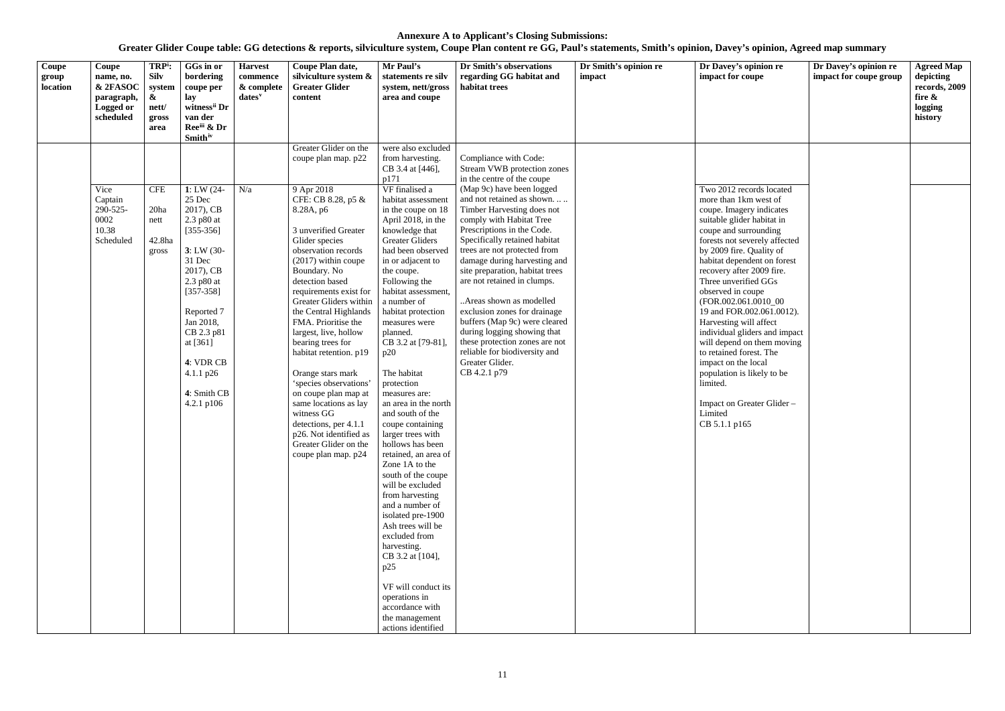| Coupe<br>group<br>location | Coupe<br>name, no.<br>& 2FASOC<br>paragraph,<br>Logged or<br>scheduled | TRP <sup>i</sup> :<br><b>Silv</b><br>system<br>$\boldsymbol{\alpha}$<br>nett/<br>gross<br>area | GGs in or<br>bordering<br>coupe per<br>lay<br>witness <sup>ii</sup> Dr<br>van der<br>Ree <sup>iii</sup> & Dr<br><b>Smith</b> <sup>iv</sup>                                                                                                             | <b>Harvest</b><br>commence<br>& complete<br>dates <sup>v</sup> | Coupe Plan date,<br>silviculture system &<br><b>Greater Glider</b><br>content                                                                                                                                                                                                                                                                                                                                                                                                                                                                                                                                           | Mr Paul's<br>statements re silv<br>system, nett/gross<br>area and coupe                                                                                                                                                                                                                                                                                                                                                                                                                                                                                                                                                                                                                                                                                                                                                                                                                    | Dr Smith's observations<br>regarding GG habitat and<br>habitat trees                                                                                                                                                                                                                                                                                                                                                                                                                                                                                                                                                                     | Dr Smith's opinion re<br>impact | Dr Davey's opinion re<br>impact for coupe                                                                                                                                                                                                                                                                                                                                                                                                                                                                                                                                                                      | Dr Davey's opinion re<br>impact for coupe group | <b>Agreed Map</b><br>depicting<br>records, 2009<br>fire &<br>logging<br>history |
|----------------------------|------------------------------------------------------------------------|------------------------------------------------------------------------------------------------|--------------------------------------------------------------------------------------------------------------------------------------------------------------------------------------------------------------------------------------------------------|----------------------------------------------------------------|-------------------------------------------------------------------------------------------------------------------------------------------------------------------------------------------------------------------------------------------------------------------------------------------------------------------------------------------------------------------------------------------------------------------------------------------------------------------------------------------------------------------------------------------------------------------------------------------------------------------------|--------------------------------------------------------------------------------------------------------------------------------------------------------------------------------------------------------------------------------------------------------------------------------------------------------------------------------------------------------------------------------------------------------------------------------------------------------------------------------------------------------------------------------------------------------------------------------------------------------------------------------------------------------------------------------------------------------------------------------------------------------------------------------------------------------------------------------------------------------------------------------------------|------------------------------------------------------------------------------------------------------------------------------------------------------------------------------------------------------------------------------------------------------------------------------------------------------------------------------------------------------------------------------------------------------------------------------------------------------------------------------------------------------------------------------------------------------------------------------------------------------------------------------------------|---------------------------------|----------------------------------------------------------------------------------------------------------------------------------------------------------------------------------------------------------------------------------------------------------------------------------------------------------------------------------------------------------------------------------------------------------------------------------------------------------------------------------------------------------------------------------------------------------------------------------------------------------------|-------------------------------------------------|---------------------------------------------------------------------------------|
|                            | Vice<br>Captain<br>290-525-<br>0002<br>10.38<br>Scheduled              | <b>CFE</b><br>20ha<br>nett<br>42.8ha<br>gross                                                  | 1: LW $(24 -$<br>25 Dec<br>2017), CB<br>2.3 p80 at<br>$[355-356]$<br>$3: LW(30-$<br>31 Dec<br>2017), CB<br>2.3 p80 at<br>$[357-358]$<br>Reported 7<br>Jan 2018,<br>CB 2.3 p81<br>at $[361]$<br>4: VDR CB<br>4.1.1 $p26$<br>4: Smith CB<br>4.2.1 $p106$ | N/a                                                            | Greater Glider on the<br>coupe plan map. p22<br>9 Apr 2018<br>CFE: CB 8.28, p5 &<br>8.28A, p6<br>3 unverified Greater<br>Glider species<br>observation records<br>$(2017)$ within coupe<br>Boundary. No<br>detection based<br>requirements exist for<br>Greater Gliders within<br>the Central Highlands<br>FMA. Prioritise the<br>largest, live, hollow<br>bearing trees for<br>habitat retention. p19<br>Orange stars mark<br>'species observations'<br>on coupe plan map at<br>same locations as lay<br>witness GG<br>detections, per 4.1.1<br>p26. Not identified as<br>Greater Glider on the<br>coupe plan map. p24 | were also excluded<br>from harvesting.<br>CB 3.4 at [446],<br>p171<br>VF finalised a<br>habitat assessment<br>in the coupe on 18<br>April 2018, in the<br>knowledge that<br><b>Greater Gliders</b><br>had been observed<br>in or adjacent to<br>the coupe.<br>Following the<br>habitat assessment,<br>a number of<br>habitat protection<br>measures were<br>planned.<br>CB 3.2 at [79-81],<br>p20<br>The habitat<br>protection<br>measures are:<br>an area in the north<br>and south of the<br>coupe containing<br>larger trees with<br>hollows has been<br>retained, an area of<br>Zone 1A to the<br>south of the coupe<br>will be excluded<br>from harvesting<br>and a number of<br>isolated pre-1900<br>Ash trees will be<br>excluded from<br>harvesting.<br>CB 3.2 at [104],<br>p25<br>VF will conduct its<br>operations in<br>accordance with<br>the management<br>actions identified | Compliance with Code:<br>Stream VWB protection zones<br>in the centre of the coupe<br>(Map 9c) have been logged<br>and not retained as shown<br>Timber Harvesting does not<br>comply with Habitat Tree<br>Prescriptions in the Code.<br>Specifically retained habitat<br>trees are not protected from<br>damage during harvesting and<br>site preparation, habitat trees<br>are not retained in clumps.<br>Areas shown as modelled<br>exclusion zones for drainage<br>buffers (Map 9c) were cleared<br>during logging showing that<br>these protection zones are not<br>reliable for biodiversity and<br>Greater Glider.<br>CB 4.2.1 p79 |                                 | Two 2012 records located<br>more than 1km west of<br>coupe. Imagery indicates<br>suitable glider habitat in<br>coupe and surrounding<br>forests not severely affected<br>by 2009 fire. Quality of<br>habitat dependent on forest<br>recovery after 2009 fire.<br>Three unverified GGs<br>observed in coupe<br>(FOR.002.061.0010_00<br>19 and FOR.002.061.0012).<br>Harvesting will affect<br>individual gliders and impact<br>will depend on them moving<br>to retained forest. The<br>impact on the local<br>population is likely to be<br>limited.<br>Impact on Greater Glider -<br>Limited<br>CB 5.1.1 p165 |                                                 |                                                                                 |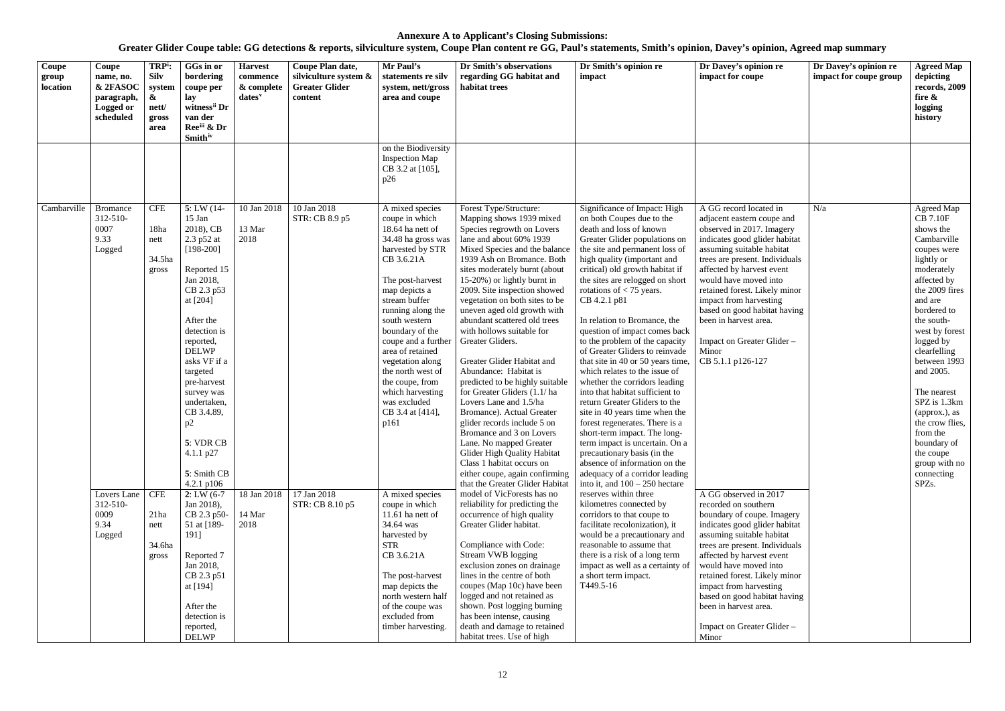| Coupe<br>group<br>location | Coupe<br>name, no.<br>& 2FASOC<br>paragraph,<br>Logged or<br>scheduled | TRP <sup>i</sup> :<br><b>Silv</b><br>system<br>&<br>nett/<br>gross<br>area | GGs in or<br>bordering<br>coupe per<br>lay<br>witness <sup>ii</sup> Dr<br>van der<br>Reeii & Dr<br><b>Smith</b> iv                                                                                                                                                                                                                   | <b>Harvest</b><br>commence<br>& complete<br>dates <sup>v</sup> | Coupe Plan date,<br>silviculture system &<br><b>Greater Glider</b><br>content | Mr Paul's<br>statements re silv<br>system, nett/gross<br>area and coupe                                                                                                                                                                                                                                                                                                                             | Dr Smith's observations<br>regarding GG habitat and<br>habitat trees                                                                                                                                                                                                                                                                                                                                                                                                                                                                                                                                                                                                                                                                                                                                                                | Dr Smith's opinion re<br>impact                                                                                                                                                                                                                                                                                                                                                                                                                                                                                                                                                                                                                                                                                                                                                                                                                                                                        | Dr Davey's opinion re<br>impact for coupe                                                                                                                                                                                                                                                                                                                                                                               | Dr Davey's opinion re<br>impact for coupe group | <b>Agreed Map</b><br>depicting<br>records, 2009<br>fire &<br>logging<br>history                                                                                                                                                                                                                                                                                                                              |
|----------------------------|------------------------------------------------------------------------|----------------------------------------------------------------------------|--------------------------------------------------------------------------------------------------------------------------------------------------------------------------------------------------------------------------------------------------------------------------------------------------------------------------------------|----------------------------------------------------------------|-------------------------------------------------------------------------------|-----------------------------------------------------------------------------------------------------------------------------------------------------------------------------------------------------------------------------------------------------------------------------------------------------------------------------------------------------------------------------------------------------|-------------------------------------------------------------------------------------------------------------------------------------------------------------------------------------------------------------------------------------------------------------------------------------------------------------------------------------------------------------------------------------------------------------------------------------------------------------------------------------------------------------------------------------------------------------------------------------------------------------------------------------------------------------------------------------------------------------------------------------------------------------------------------------------------------------------------------------|--------------------------------------------------------------------------------------------------------------------------------------------------------------------------------------------------------------------------------------------------------------------------------------------------------------------------------------------------------------------------------------------------------------------------------------------------------------------------------------------------------------------------------------------------------------------------------------------------------------------------------------------------------------------------------------------------------------------------------------------------------------------------------------------------------------------------------------------------------------------------------------------------------|-------------------------------------------------------------------------------------------------------------------------------------------------------------------------------------------------------------------------------------------------------------------------------------------------------------------------------------------------------------------------------------------------------------------------|-------------------------------------------------|--------------------------------------------------------------------------------------------------------------------------------------------------------------------------------------------------------------------------------------------------------------------------------------------------------------------------------------------------------------------------------------------------------------|
|                            |                                                                        |                                                                            |                                                                                                                                                                                                                                                                                                                                      |                                                                |                                                                               | on the Biodiversity<br><b>Inspection Map</b><br>CB 3.2 at [105],<br>p26                                                                                                                                                                                                                                                                                                                             |                                                                                                                                                                                                                                                                                                                                                                                                                                                                                                                                                                                                                                                                                                                                                                                                                                     |                                                                                                                                                                                                                                                                                                                                                                                                                                                                                                                                                                                                                                                                                                                                                                                                                                                                                                        |                                                                                                                                                                                                                                                                                                                                                                                                                         |                                                 |                                                                                                                                                                                                                                                                                                                                                                                                              |
| Cambarville                | <b>Bromance</b><br>312-510-<br>0007<br>9.33<br>Logged                  | <b>CFE</b><br>18ha<br>nett<br>34.5ha<br>gross                              | $5: LW(14-$<br>$15$ Jan<br>2018), CB<br>2.3 p52 at<br>$[198-200]$<br>Reported 15<br>Jan 2018,<br>CB 2.3 p53<br>at [204]<br>After the<br>detection is<br>reported,<br><b>DELWP</b><br>asks VF if a<br>targeted<br>pre-harvest<br>survey was<br>undertaken,<br>CB 3.4.89,<br>p2<br>5: VDR CB<br>4.1.1 p27<br>5: Smith CB<br>4.2.1 p106 | 10 Jan 2018<br>13 Mar<br>2018                                  | 10 Jan 2018<br>STR: CB 8.9 p5                                                 | A mixed species<br>coupe in which<br>18.64 ha nett of<br>34.48 ha gross was<br>harvested by STR<br>CB 3.6.21A<br>The post-harvest<br>map depicts a<br>stream buffer<br>running along the<br>south western<br>boundary of the<br>coupe and a further<br>area of retained<br>vegetation along<br>the north west of<br>the coupe, from<br>which harvesting<br>was excluded<br>CB 3.4 at [414],<br>p161 | Forest Type/Structure:<br>Mapping shows 1939 mixed<br>Species regrowth on Lovers<br>lane and about 60% 1939<br>Mixed Species and the balance<br>1939 Ash on Bromance. Both<br>sites moderately burnt (about<br>15-20%) or lightly burnt in<br>2009. Site inspection showed<br>vegetation on both sites to be<br>uneven aged old growth with<br>abundant scattered old trees<br>with hollows suitable for<br>Greater Gliders.<br>Greater Glider Habitat and<br>Abundance: Habitat is<br>predicted to be highly suitable<br>for Greater Gliders (1.1/ha<br>Lovers Lane and 1.5/ha<br>Bromance). Actual Greater<br>glider records include 5 on<br>Bromance and 3 on Lovers<br>Lane. No mapped Greater<br>Glider High Quality Habitat<br>Class 1 habitat occurs on<br>either coupe, again confirming<br>that the Greater Glider Habitat | Significance of Impact: High<br>on both Coupes due to the<br>death and loss of known<br>Greater Glider populations on<br>the site and permanent loss of<br>high quality (important and<br>critical) old growth habitat if<br>the sites are relogged on short<br>rotations of $<$ 75 years.<br>CB 4.2.1 p81<br>In relation to Bromance, the<br>question of impact comes back<br>to the problem of the capacity<br>of Greater Gliders to reinvade<br>that site in 40 or 50 years time,<br>which relates to the issue of<br>whether the corridors leading<br>into that habitat sufficient to<br>return Greater Gliders to the<br>site in 40 years time when the<br>forest regenerates. There is a<br>short-term impact. The long-<br>term impact is uncertain. On a<br>precautionary basis (in the<br>absence of information on the<br>adequacy of a corridor leading<br>into it, and $100 - 250$ hectare | A GG record located in<br>adjacent eastern coupe and<br>observed in 2017. Imagery<br>indicates good glider habitat<br>assuming suitable habitat<br>trees are present. Individuals<br>affected by harvest event<br>would have moved into<br>retained forest. Likely minor<br>impact from harvesting<br>based on good habitat having<br>been in harvest area.<br>Impact on Greater Glider -<br>Minor<br>CB 5.1.1 p126-127 | N/a                                             | Agreed Map<br><b>CB 7.10F</b><br>shows the<br>Cambarville<br>coupes were<br>lightly or<br>moderately<br>affected by<br>the 2009 fires<br>and are<br>bordered to<br>the south-<br>west by forest<br>logged by<br>clearfelling<br>between 1993<br>and 2005.<br>The nearest<br>SPZ is 1.3km<br>(approx.), as<br>the crow flies,<br>from the<br>boundary of<br>the coupe<br>group with no<br>connecting<br>SPZs. |
|                            | Lovers Lane<br>312-510-<br>0009<br>9.34<br>Logged                      | <b>CFE</b><br>21ha<br>nett<br>34.6ha<br>gross                              | $2: LW(6-7)$<br>Jan 2018),<br>CB 2.3 p50-<br>51 at [189-<br>1911<br>Reported 7<br>Jan 2018,<br>CB 2.3 p51<br>at [194]<br>After the<br>detection is<br>reported,<br><b>DELWP</b>                                                                                                                                                      | 18 Jan 2018<br>14 Mar<br>2018                                  | 17 Jan 2018<br>STR: CB 8.10 p5                                                | A mixed species<br>coupe in which<br>11.61 ha nett of<br>34.64 was<br>harvested by<br><b>STR</b><br>CB 3.6.21A<br>The post-harvest<br>map depicts the<br>north western half<br>of the coupe was<br>excluded from<br>timber harvesting.                                                                                                                                                              | model of VicForests has no<br>reliability for predicting the<br>occurrence of high quality<br>Greater Glider habitat.<br>Compliance with Code:<br>Stream VWB logging<br>exclusion zones on drainage<br>lines in the centre of both<br>coupes (Map 10c) have been<br>logged and not retained as<br>shown. Post logging burning<br>has been intense, causing<br>death and damage to retained<br>habitat trees. Use of high                                                                                                                                                                                                                                                                                                                                                                                                            | reserves within three<br>kilometres connected by<br>corridors to that coupe to<br>facilitate recolonization), it<br>would be a precautionary and<br>reasonable to assume that<br>there is a risk of a long term<br>impact as well as a certainty of<br>a short term impact.<br>T449.5-16                                                                                                                                                                                                                                                                                                                                                                                                                                                                                                                                                                                                               | A GG observed in 2017<br>recorded on southern<br>boundary of coupe. Imagery<br>indicates good glider habitat<br>assuming suitable habitat<br>trees are present. Individuals<br>affected by harvest event<br>would have moved into<br>retained forest. Likely minor<br>impact from harvesting<br>based on good habitat having<br>been in harvest area.<br>Impact on Greater Glider -<br>Minor                            |                                                 |                                                                                                                                                                                                                                                                                                                                                                                                              |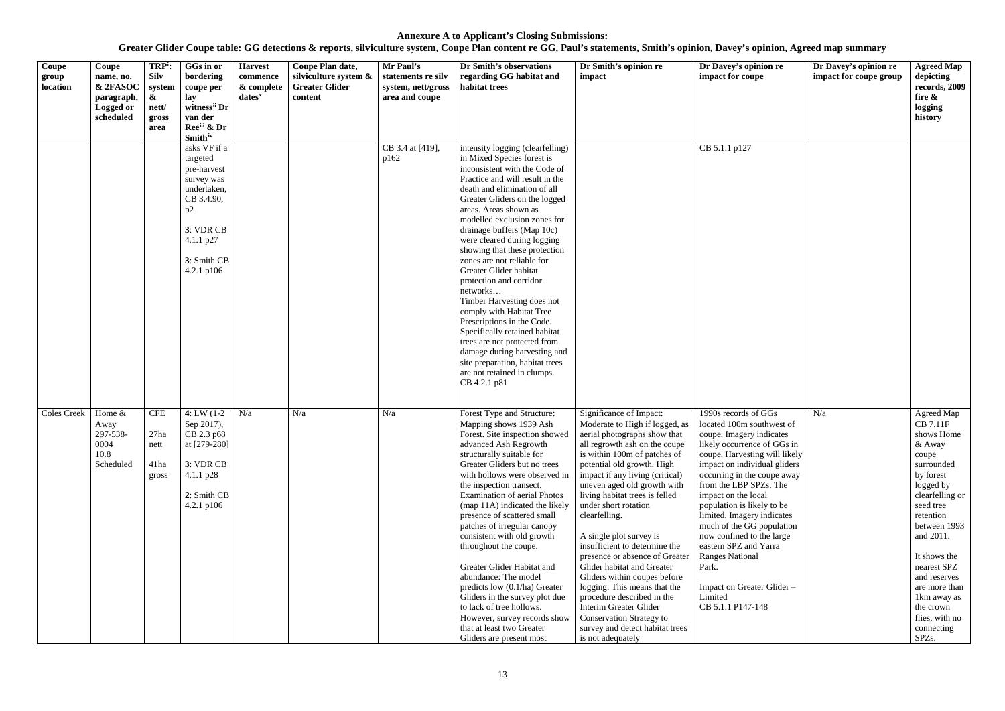| Coupe<br>group<br>location | Coupe<br>name, no.<br>& 2FASOC<br>paragraph,<br>Logged or<br>scheduled | TRP <sup>i</sup> :<br><b>Silv</b><br>system<br>&<br>nett/<br>gross | GGs in or<br>bordering<br>coupe per<br>lay<br>witness <sup>ii</sup> Dr<br>van der                                                                                      | <b>Harvest</b><br>commence<br>& complete<br>$dates^v$ | Coupe Plan date,<br>silviculture system &<br><b>Greater Glider</b><br>content | Mr Paul's<br>statements re silv<br>system, nett/gross<br>area and coupe | Dr Smith's observations<br>regarding GG habitat and<br>habitat trees                                                                                                                                                                                                                                                                                                                                                                                                                                                                                                                                                                                                                                                                 | Dr Smith's opinion re<br>impact                                                                                                                                                                                                                                                                                                                                                                                                                                                                                                                                                                                                                      | Dr Davey's opinion re<br>impact for coupe                                                                                                                                                                                                                                                                                                                                                                                                                                                                    | Dr Davey's opinion re<br>impact for coupe group | <b>Agreed Map</b><br>depicting<br>records, 2009<br>fire &<br>logging<br>history                                                                                                                                                                                                                                       |
|----------------------------|------------------------------------------------------------------------|--------------------------------------------------------------------|------------------------------------------------------------------------------------------------------------------------------------------------------------------------|-------------------------------------------------------|-------------------------------------------------------------------------------|-------------------------------------------------------------------------|--------------------------------------------------------------------------------------------------------------------------------------------------------------------------------------------------------------------------------------------------------------------------------------------------------------------------------------------------------------------------------------------------------------------------------------------------------------------------------------------------------------------------------------------------------------------------------------------------------------------------------------------------------------------------------------------------------------------------------------|------------------------------------------------------------------------------------------------------------------------------------------------------------------------------------------------------------------------------------------------------------------------------------------------------------------------------------------------------------------------------------------------------------------------------------------------------------------------------------------------------------------------------------------------------------------------------------------------------------------------------------------------------|--------------------------------------------------------------------------------------------------------------------------------------------------------------------------------------------------------------------------------------------------------------------------------------------------------------------------------------------------------------------------------------------------------------------------------------------------------------------------------------------------------------|-------------------------------------------------|-----------------------------------------------------------------------------------------------------------------------------------------------------------------------------------------------------------------------------------------------------------------------------------------------------------------------|
|                            |                                                                        | area                                                               | Reeiii & Dr                                                                                                                                                            |                                                       |                                                                               |                                                                         |                                                                                                                                                                                                                                                                                                                                                                                                                                                                                                                                                                                                                                                                                                                                      |                                                                                                                                                                                                                                                                                                                                                                                                                                                                                                                                                                                                                                                      |                                                                                                                                                                                                                                                                                                                                                                                                                                                                                                              |                                                 |                                                                                                                                                                                                                                                                                                                       |
|                            |                                                                        |                                                                    | <b>Smith</b> iv<br>asks VF if a<br>targeted<br>pre-harvest<br>survey was<br>undertaken,<br>CB 3.4.90,<br>p2<br>3: VDR CB<br>$4.1.1$ p27<br>3: Smith CB<br>4.2.1 $p106$ |                                                       |                                                                               | CB 3.4 at [419],<br>p162                                                | intensity logging (clearfelling)<br>in Mixed Species forest is<br>inconsistent with the Code of<br>Practice and will result in the<br>death and elimination of all<br>Greater Gliders on the logged<br>areas. Areas shown as<br>modelled exclusion zones for<br>drainage buffers (Map 10c)<br>were cleared during logging<br>showing that these protection<br>zones are not reliable for<br>Greater Glider habitat<br>protection and corridor<br>networks<br>Timber Harvesting does not<br>comply with Habitat Tree<br>Prescriptions in the Code.<br>Specifically retained habitat<br>trees are not protected from<br>damage during harvesting and<br>site preparation, habitat trees<br>are not retained in clumps.<br>CB 4.2.1 p81 |                                                                                                                                                                                                                                                                                                                                                                                                                                                                                                                                                                                                                                                      | CB 5.1.1 p127                                                                                                                                                                                                                                                                                                                                                                                                                                                                                                |                                                 |                                                                                                                                                                                                                                                                                                                       |
| <b>Coles Creek</b>         | Home &<br>Away<br>297-538-<br>0004<br>10.8<br>Scheduled                | <b>CFE</b><br>27ha<br>nett<br>41ha<br>gross                        | 4: LW $(1-2)$<br>Sep 2017),<br>CB 2.3 p68<br>at [279-280]<br>3: VDR CB<br>$4.1.1$ p28<br>2: Smith CB<br>4.2.1 $p106$                                                   | N/a                                                   | N/a                                                                           | N/a                                                                     | Forest Type and Structure:<br>Mapping shows 1939 Ash<br>Forest. Site inspection showed   aerial photographs show that<br>advanced Ash Regrowth<br>structurally suitable for<br>Greater Gliders but no trees<br>with hollows were observed in<br>the inspection transect.<br><b>Examination of aerial Photos</b><br>(map 11A) indicated the likely<br>presence of scattered small<br>patches of irregular canopy<br>consistent with old growth<br>throughout the coupe.<br>Greater Glider Habitat and<br>abundance: The model<br>predicts low (0.1/ha) Greater<br>Gliders in the survey plot due<br>to lack of tree hollows.<br>However, survey records show<br>that at least two Greater<br>Gliders are present most                 | Significance of Impact:<br>Moderate to High if logged, as<br>all regrowth ash on the coupe<br>is within 100m of patches of<br>potential old growth. High<br>impact if any living (critical)<br>uneven aged old growth with<br>living habitat trees is felled<br>under short rotation<br>clearfelling.<br>A single plot survey is<br>insufficient to determine the<br>presence or absence of Greater<br>Glider habitat and Greater<br>Gliders within coupes before<br>logging. This means that the<br>procedure described in the<br>Interim Greater Glider<br><b>Conservation Strategy to</b><br>survey and detect habitat trees<br>is not adequately | 1990s records of GGs<br>located 100m southwest of<br>coupe. Imagery indicates<br>likely occurrence of GGs in<br>coupe. Harvesting will likely<br>impact on individual gliders<br>occurring in the coupe away<br>from the LBP SPZs. The<br>impact on the local<br>population is likely to be<br>limited. Imagery indicates<br>much of the GG population<br>now confined to the large<br>eastern SPZ and Yarra<br><b>Ranges National</b><br>Park.<br>Impact on Greater Glider-<br>Limited<br>CB 5.1.1 P147-148 | N/a                                             | Agreed Map<br><b>CB 7.11F</b><br>shows Home<br>& Away<br>coupe<br>surrounded<br>by forest<br>logged by<br>clearfelling or<br>seed tree<br>retention<br>between 1993<br>and 2011.<br>It shows the<br>nearest SPZ<br>and reserves<br>are more than<br>1km away as<br>the crown<br>flies, with no<br>connecting<br>SPZs. |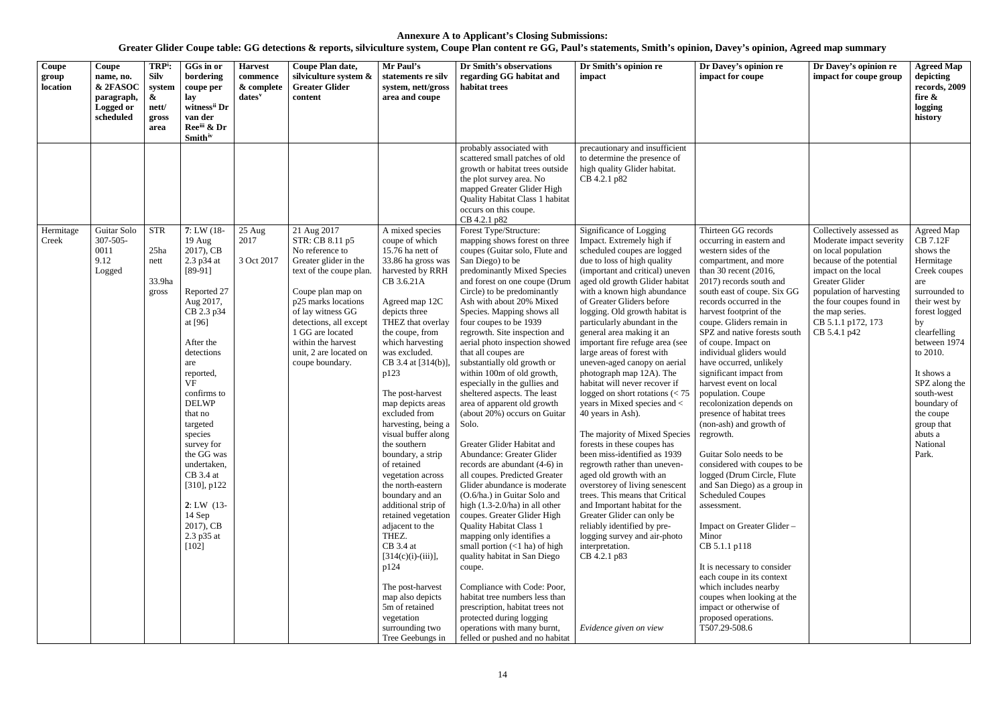| Coupe<br>group<br>location | Coupe<br>name, no.<br>& 2FASOC<br>paragraph,<br><b>Logged or</b><br>scheduled | TRP <sup>i</sup> :<br><b>Silv</b><br>system<br>&<br>nett/<br>gross<br>area | GGs in or<br>bordering<br>coupe per<br>lay<br>witness <sup>ii</sup> Dr<br>van der<br>Reeiii & Dr<br><b>Smith</b> <sup>iv</sup>                                                                                                                                                                                                                                                             | <b>Harvest</b><br>commence<br>& complete<br>dates <sup>v</sup> | Coupe Plan date,<br>silviculture system &<br><b>Greater Glider</b><br>content                                                                                                                                                                                                           | Mr Paul's<br>statements re silv<br>system, nett/gross<br>area and coupe                                                                                                                                                                                                                                                                                                                                                                                                                                                                                                                                                                                                                                                      | Dr Smith's observations<br>regarding GG habitat and<br>habitat trees                                                                                                                                                                                                                                                                                                                                                                                                                                                                                                                                                                                                                                                                                                                                                                                                                                                                                                                                                                                                                                                                                                                                           | Dr Smith's opinion re<br>impact                                                                                                                                                                                                                                                                                                                                                                                                                                                                                                                                                                                                                                                                                                                                                                                                                                                                                                                                                                                                                                 | Dr Davey's opinion re<br>impact for coupe                                                                                                                                                                                                                                                                                                                                                                                                                                                                                                                                                                                                                                                                                                                                                                                                                                                                                                                              | Dr Davey's opinion re<br>impact for coupe group                                                                                                                                                                                                                   | <b>Agreed Map</b><br>depicting<br>records, 2009<br>fire $\&$<br>logging<br>history                                                                                                                                                                                                                  |
|----------------------------|-------------------------------------------------------------------------------|----------------------------------------------------------------------------|--------------------------------------------------------------------------------------------------------------------------------------------------------------------------------------------------------------------------------------------------------------------------------------------------------------------------------------------------------------------------------------------|----------------------------------------------------------------|-----------------------------------------------------------------------------------------------------------------------------------------------------------------------------------------------------------------------------------------------------------------------------------------|------------------------------------------------------------------------------------------------------------------------------------------------------------------------------------------------------------------------------------------------------------------------------------------------------------------------------------------------------------------------------------------------------------------------------------------------------------------------------------------------------------------------------------------------------------------------------------------------------------------------------------------------------------------------------------------------------------------------------|----------------------------------------------------------------------------------------------------------------------------------------------------------------------------------------------------------------------------------------------------------------------------------------------------------------------------------------------------------------------------------------------------------------------------------------------------------------------------------------------------------------------------------------------------------------------------------------------------------------------------------------------------------------------------------------------------------------------------------------------------------------------------------------------------------------------------------------------------------------------------------------------------------------------------------------------------------------------------------------------------------------------------------------------------------------------------------------------------------------------------------------------------------------------------------------------------------------|-----------------------------------------------------------------------------------------------------------------------------------------------------------------------------------------------------------------------------------------------------------------------------------------------------------------------------------------------------------------------------------------------------------------------------------------------------------------------------------------------------------------------------------------------------------------------------------------------------------------------------------------------------------------------------------------------------------------------------------------------------------------------------------------------------------------------------------------------------------------------------------------------------------------------------------------------------------------------------------------------------------------------------------------------------------------|------------------------------------------------------------------------------------------------------------------------------------------------------------------------------------------------------------------------------------------------------------------------------------------------------------------------------------------------------------------------------------------------------------------------------------------------------------------------------------------------------------------------------------------------------------------------------------------------------------------------------------------------------------------------------------------------------------------------------------------------------------------------------------------------------------------------------------------------------------------------------------------------------------------------------------------------------------------------|-------------------------------------------------------------------------------------------------------------------------------------------------------------------------------------------------------------------------------------------------------------------|-----------------------------------------------------------------------------------------------------------------------------------------------------------------------------------------------------------------------------------------------------------------------------------------------------|
|                            |                                                                               |                                                                            |                                                                                                                                                                                                                                                                                                                                                                                            |                                                                |                                                                                                                                                                                                                                                                                         |                                                                                                                                                                                                                                                                                                                                                                                                                                                                                                                                                                                                                                                                                                                              | probably associated with<br>scattered small patches of old<br>growth or habitat trees outside<br>the plot survey area. No<br>mapped Greater Glider High<br><b>Quality Habitat Class 1 habitat</b><br>occurs on this coupe.<br>CB 4.2.1 p82                                                                                                                                                                                                                                                                                                                                                                                                                                                                                                                                                                                                                                                                                                                                                                                                                                                                                                                                                                     | precautionary and insufficient<br>to determine the presence of<br>high quality Glider habitat.<br>CB 4.2.1 p82                                                                                                                                                                                                                                                                                                                                                                                                                                                                                                                                                                                                                                                                                                                                                                                                                                                                                                                                                  |                                                                                                                                                                                                                                                                                                                                                                                                                                                                                                                                                                                                                                                                                                                                                                                                                                                                                                                                                                        |                                                                                                                                                                                                                                                                   |                                                                                                                                                                                                                                                                                                     |
| Hermitage<br>Creek         | Guitar Solo<br>$307 - 505$<br>0011<br>9.12<br>Logged                          | <b>STR</b><br>25ha<br>nett<br>33.9ha<br>gross                              | $7: LW(18-$<br>$19$ Aug<br>2017), CB<br>2.3 p34 at<br>$[89-91]$<br>Reported 27<br>Aug 2017,<br>CB 2.3 p34<br>at [96]<br>After the<br>detections<br>are<br>reported,<br><b>VF</b><br>confirms to<br><b>DELWP</b><br>that no<br>targeted<br>species<br>survey for<br>the GG was<br>undertaken,<br>$CB$ 3.4 at<br>[310], p122<br>$2: LW$ (13-<br>14 Sep<br>2017), CB<br>2.3 p35 at<br>$[102]$ | 25 Aug<br>2017<br>3 Oct 2017                                   | 21 Aug 2017<br>STR: CB 8.11 p5<br>No reference to<br>Greater glider in the<br>text of the coupe plan.<br>Coupe plan map on<br>p25 marks locations<br>of lay witness GG<br>detections, all except<br>1 GG are located<br>within the harvest<br>unit, 2 are located on<br>coupe boundary. | A mixed species<br>coupe of which<br>15.76 ha nett of<br>33.86 ha gross was<br>harvested by RRH<br>CB 3.6.21A<br>Agreed map 12C<br>depicts three<br>THEZ that overlay<br>the coupe, from<br>which harvesting<br>was excluded.<br>CB 3.4 at [314(b)]<br>p123<br>The post-harvest<br>map depicts areas<br>excluded from<br>harvesting, being a<br>visual buffer along<br>the southern<br>boundary, a strip<br>of retained<br>vegetation across<br>the north-eastern<br>boundary and an<br>additional strip of<br>retained vegetation<br>adjacent to the<br>THEZ.<br>$CB$ 3.4 at<br>$[314(c)(i)-(iii)],$<br>p124<br>The post-harvest<br>map also depicts<br>5m of retained<br>vegetation<br>surrounding two<br>Tree Geebungs in | Forest Type/Structure:<br>mapping shows forest on three<br>coupes (Guitar solo, Flute and<br>San Diego) to be<br>predominantly Mixed Species<br>and forest on one coupe (Drum<br>Circle) to be predominantly<br>Ash with about 20% Mixed<br>Species. Mapping shows all<br>four coupes to be 1939<br>regrowth. Site inspection and<br>aerial photo inspection showed<br>that all coupes are<br>substantially old growth or<br>within 100m of old growth,<br>especially in the gullies and<br>sheltered aspects. The least<br>area of apparent old growth<br>(about 20%) occurs on Guitar<br>Solo.<br>Greater Glider Habitat and<br>Abundance: Greater Glider<br>records are abundant (4-6) in<br>all coupes. Predicted Greater<br>Glider abundance is moderate<br>(O.6/ha.) in Guitar Solo and<br>high $(1.3-2.0/ha)$ in all other<br>coupes. Greater Glider High<br><b>Quality Habitat Class 1</b><br>mapping only identifies a<br>small portion $(<1$ ha) of high<br>quality habitat in San Diego<br>coupe.<br>Compliance with Code: Poor,<br>habitat tree numbers less than<br>prescription, habitat trees not<br>protected during logging<br>operations with many burnt,<br>felled or pushed and no habitat | Significance of Logging<br>Impact. Extremely high if<br>scheduled coupes are logged<br>due to loss of high quality<br>(important and critical) uneven<br>aged old growth Glider habitat<br>with a known high abundance<br>of Greater Gliders before<br>logging. Old growth habitat is<br>particularly abundant in the<br>general area making it an<br>important fire refuge area (see<br>large areas of forest with<br>uneven-aged canopy on aerial<br>photograph map 12A). The<br>habitat will never recover if<br>logged on short rotations $\left( < 75 \right)$<br>years in Mixed species and <<br>40 years in Ash).<br>The majority of Mixed Species   regrowth.<br>forests in these coupes has<br>been miss-identified as 1939<br>regrowth rather than uneven-<br>aged old growth with an<br>overstorey of living senescent<br>trees. This means that Critical<br>and Important habitat for the<br>Greater Glider can only be<br>reliably identified by pre-<br>logging survey and air-photo<br>interpretation.<br>CB 4.2.1 p83<br>Evidence given on view | Thirteen GG records<br>occurring in eastern and<br>western sides of the<br>compartment, and more<br>than 30 recent $(2016,$<br>2017) records south and<br>south east of coupe. Six GG<br>records occurred in the<br>harvest footprint of the<br>coupe. Gliders remain in<br>SPZ and native forests south<br>of coupe. Impact on<br>individual gliders would<br>have occurred, unlikely<br>significant impact from<br>harvest event on local<br>population. Coupe<br>recolonization depends on<br>presence of habitat trees<br>(non-ash) and growth of<br>Guitar Solo needs to be<br>considered with coupes to be<br>logged (Drum Circle, Flute<br>and San Diego) as a group in<br><b>Scheduled Coupes</b><br>assessment.<br>Impact on Greater Glider -<br>Minor<br>CB 5.1.1 p118<br>It is necessary to consider<br>each coupe in its context<br>which includes nearby<br>coupes when looking at the<br>impact or otherwise of<br>proposed operations.<br>T507.29-508.6 | Collectively assessed as<br>Moderate impact severity<br>on local population<br>because of the potential<br>impact on the local<br>Greater Glider<br>population of harvesting<br>the four coupes found in<br>the map series.<br>CB 5.1.1 p172, 173<br>CB 5.4.1 p42 | Agreed Map<br>CB 7.12F<br>shows the<br>Hermitage<br>Creek coupes<br>are<br>surrounded to<br>their west by<br>forest logged<br>by<br>clearfelling<br>between 1974<br>to 2010.<br>It shows a<br>SPZ along the<br>south-west<br>boundary of<br>the coupe<br>group that<br>abuts a<br>National<br>Park. |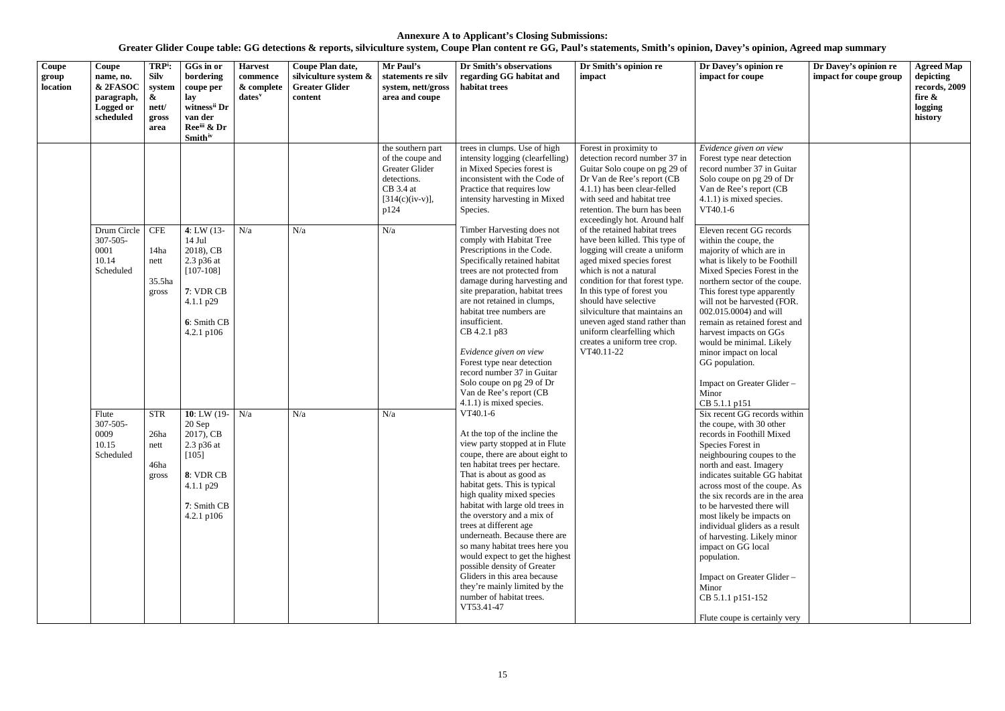| Coupe<br>group<br>location | Coupe<br>name, no.<br>& 2FASOC<br>paragraph,<br><b>Logged or</b><br>scheduled | TRP <sup>i</sup> :<br><b>Silv</b><br>system<br>&<br>nett/<br>gross<br>area | GGs in or<br>bordering<br>coupe per<br>lay<br>witness <sup>ii</sup> Dr<br>van der<br>Ree <sup>iii</sup> & Dr<br><b>Smith</b> iv     | <b>Harvest</b><br>commence<br>& complete<br>$dates^v$ | Coupe Plan date,<br>silviculture system &<br><b>Greater Glider</b><br>content | Mr Paul's<br>statements re silv<br>system, nett/gross<br>area and coupe                                          | Dr Smith's observations<br>regarding GG habitat and<br>habitat trees                                                                                                                                                                                                                                                                                                                                                                                                                                                                                                                   | Dr Smith's opinion re<br>impact                                                                                                                                                                                                                                                                                                                                                                  | Dr Davey's opinion re<br>impact for coupe                                                                                                                                                                                                                                                                                                                                                                                                                                                                                            | Dr Davey's opinion re<br>impact for coupe group | <b>Agreed Map</b><br>depicting<br>records, 2009<br>fire &<br>logging<br>history |
|----------------------------|-------------------------------------------------------------------------------|----------------------------------------------------------------------------|-------------------------------------------------------------------------------------------------------------------------------------|-------------------------------------------------------|-------------------------------------------------------------------------------|------------------------------------------------------------------------------------------------------------------|----------------------------------------------------------------------------------------------------------------------------------------------------------------------------------------------------------------------------------------------------------------------------------------------------------------------------------------------------------------------------------------------------------------------------------------------------------------------------------------------------------------------------------------------------------------------------------------|--------------------------------------------------------------------------------------------------------------------------------------------------------------------------------------------------------------------------------------------------------------------------------------------------------------------------------------------------------------------------------------------------|--------------------------------------------------------------------------------------------------------------------------------------------------------------------------------------------------------------------------------------------------------------------------------------------------------------------------------------------------------------------------------------------------------------------------------------------------------------------------------------------------------------------------------------|-------------------------------------------------|---------------------------------------------------------------------------------|
|                            |                                                                               |                                                                            |                                                                                                                                     |                                                       |                                                                               | the southern part<br>of the coupe and<br>Greater Glider<br>detections.<br>CB 3.4 at<br>$[314(c)(iv-v)],$<br>p124 | trees in clumps. Use of high<br>intensity logging (clearfelling)<br>in Mixed Species forest is<br>inconsistent with the Code of<br>Practice that requires low<br>intensity harvesting in Mixed<br>Species.                                                                                                                                                                                                                                                                                                                                                                             | Forest in proximity to<br>detection record number 37 in<br>Guitar Solo coupe on pg 29 of<br>Dr Van de Ree's report (CB<br>4.1.1) has been clear-felled<br>with seed and habitat tree<br>retention. The burn has been<br>exceedingly hot. Around half                                                                                                                                             | Evidence given on view<br>Forest type near detection<br>record number 37 in Guitar<br>Solo coupe on pg 29 of Dr<br>Van de Ree's report (CB<br>4.1.1) is mixed species.<br>VT40.1-6                                                                                                                                                                                                                                                                                                                                                   |                                                 |                                                                                 |
|                            | Drum Circle<br>307-505-<br>0001<br>10.14<br>Scheduled                         | <b>CFE</b><br>14ha<br>nett<br>35.5ha<br>gross                              | 4: LW $(13 -$<br>$14$ Jul<br>2018), CB<br>$2.3$ p $36$ at<br>$[107-108]$<br>7: VDR CB<br>4.1.1 p29<br>6: Smith CB<br>4.2.1 $p106$   | N/a                                                   | N/a                                                                           | N/a                                                                                                              | Timber Harvesting does not<br>comply with Habitat Tree<br>Prescriptions in the Code.<br>Specifically retained habitat<br>trees are not protected from<br>damage during harvesting and<br>site preparation, habitat trees<br>are not retained in clumps,<br>habitat tree numbers are<br>insufficient.<br>CB 4.2.1 p83<br>Evidence given on view<br>Forest type near detection<br>record number 37 in Guitar<br>Solo coupe on pg 29 of Dr<br>Van de Ree's report (CB<br>4.1.1) is mixed species.                                                                                         | of the retained habitat trees<br>have been killed. This type of<br>logging will create a uniform<br>aged mixed species forest<br>which is not a natural<br>condition for that forest type.<br>In this type of forest you<br>should have selective<br>silviculture that maintains an<br>uneven aged stand rather than<br>uniform clearfelling which<br>creates a uniform tree crop.<br>VT40.11-22 | Eleven recent GG records<br>within the coupe, the<br>majority of which are in<br>what is likely to be Foothill<br>Mixed Species Forest in the<br>northern sector of the coupe.<br>This forest type apparently<br>will not be harvested (FOR.<br>002.015.0004) and will<br>remain as retained forest and<br>harvest impacts on GGs<br>would be minimal. Likely<br>minor impact on local<br>GG population.<br>Impact on Greater Glider -<br>Minor<br>CB 5.1.1 p151                                                                     |                                                 |                                                                                 |
|                            | Flute<br>307-505-<br>0009<br>10.15<br>Scheduled                               | <b>STR</b><br>26ha<br>nett<br>46ha<br>gross                                | 10: LW (19- $N/a$ )<br>$20$ Sep<br>2017), CB<br>$2.3$ p $36$ at<br>[105]<br>8: VDR CB<br>$4.1.1$ p29<br>7: Smith CB<br>4.2.1 $p106$ |                                                       | N/a                                                                           | N/a                                                                                                              | VT40.1-6<br>At the top of the incline the<br>view party stopped at in Flute<br>coupe, there are about eight to<br>ten habitat trees per hectare.<br>That is about as good as<br>habitat gets. This is typical<br>high quality mixed species<br>habitat with large old trees in<br>the overstory and a mix of<br>trees at different age<br>underneath. Because there are<br>so many habitat trees here you<br>would expect to get the highest<br>possible density of Greater<br>Gliders in this area because<br>they're mainly limited by the<br>number of habitat trees.<br>VT53.41-47 |                                                                                                                                                                                                                                                                                                                                                                                                  | Six recent GG records within<br>the coupe, with 30 other<br>records in Foothill Mixed<br>Species Forest in<br>neighbouring coupes to the<br>north and east. Imagery<br>indicates suitable GG habitat<br>across most of the coupe. As<br>the six records are in the area<br>to be harvested there will<br>most likely be impacts on<br>individual gliders as a result<br>of harvesting. Likely minor<br>impact on GG local<br>population.<br>Impact on Greater Glider-<br>Minor<br>CB 5.1.1 p151-152<br>Flute coupe is certainly very |                                                 |                                                                                 |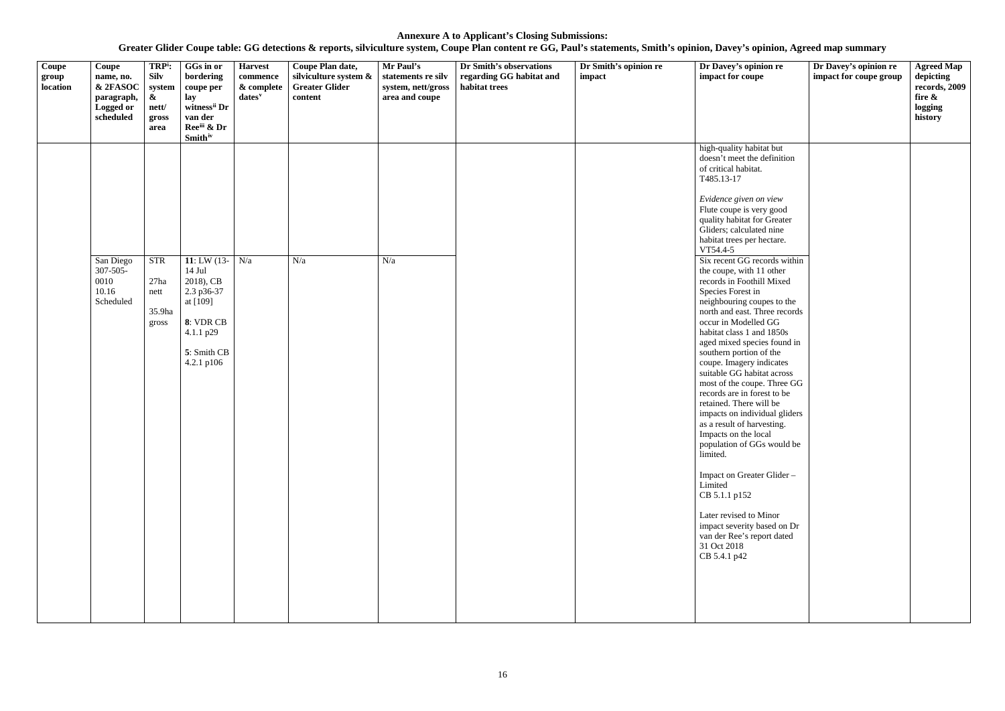| & 2FASOC<br><b>Greater Glider</b><br>habitat trees<br>location<br>& complete<br>system, nett/gross<br>system<br>coupe per<br>area and coupe<br>$\boldsymbol{\alpha}$<br>lay<br>$dates^v$<br>content<br>paragraph,<br>witness <sup>ii</sup> Dr<br><b>Logged or</b><br>nett/<br>scheduled<br>van der<br>gross<br>Ree <sup>iii</sup> & Dr<br>area<br><b>Smith</b> <sup>iv</sup>                                                                                                                                                                                                                                                                                                                                                                                                                                                                                                                                                                                                                                                                                                                                                                                                                                                                                                        | records, 2009<br>fire &<br>logging<br>history |
|-------------------------------------------------------------------------------------------------------------------------------------------------------------------------------------------------------------------------------------------------------------------------------------------------------------------------------------------------------------------------------------------------------------------------------------------------------------------------------------------------------------------------------------------------------------------------------------------------------------------------------------------------------------------------------------------------------------------------------------------------------------------------------------------------------------------------------------------------------------------------------------------------------------------------------------------------------------------------------------------------------------------------------------------------------------------------------------------------------------------------------------------------------------------------------------------------------------------------------------------------------------------------------------|-----------------------------------------------|
| high-quality habitat but<br>doesn't meet the definition<br>of critical habitat.<br>T485.13-17<br>Evidence given on view<br>Flute coupe is very good<br>quality habitat for Greater<br>Gliders; calculated nine<br>habitat trees per hectare.<br>VT54.4-5<br><b>STR</b><br>11: LW (13- $N/a$ )<br>N/a<br>Six recent GG records within<br>San Diego<br>N/a<br>$307 - 505 -$<br>$14$ Jul<br>the coupe, with 11 other<br>27ha<br>2018), CB<br>records in Foothill Mixed<br>0010<br>10.16<br>2.3 p36-37<br>Species Forest in<br>nett<br>Scheduled<br>at [109]<br>neighbouring coupes to the<br>north and east. Three records<br>35.9ha<br>8: VDR CB<br>occur in Modelled GG<br>gross<br>4.1.1 p29<br>habitat class 1 and 1850s<br>aged mixed species found in<br>5: Smith CB<br>southern portion of the<br>coupe. Imagery indicates<br>4.2.1 p106<br>suitable GG habitat across<br>most of the coupe. Three GG<br>records are in forest to be<br>retained. There will be<br>impacts on individual gliders<br>as a result of harvesting.<br>Impacts on the local<br>population of GGs would be<br>limited.<br>Impact on Greater Glider-<br>Limited<br>CB 5.1.1 p152<br>Later revised to Minor<br>impact severity based on Dr<br>van der Ree's report dated<br>31 Oct 2018<br>CB 5.4.1 p42 |                                               |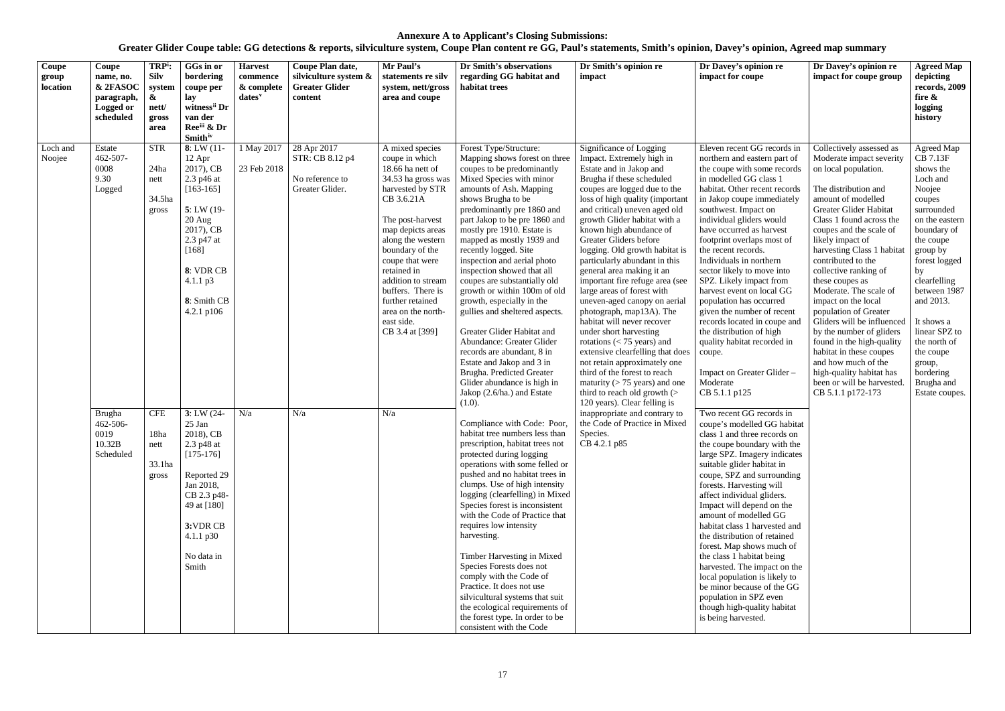| Coupe<br>group<br>location | Coupe<br>name, no.<br>& 2FASOC<br>paragraph,<br>Logged or<br>scheduled | TRP <sup>i</sup> :<br><b>Silv</b><br>system<br>$\boldsymbol{\&}$<br>nett/<br>gross<br>area | GGs in or<br>bordering<br>coupe per<br>lay<br>witness <sup>ii</sup> Dr<br>van der<br>Reeii & Dr<br><b>Smith</b> iv                                                                           | <b>Harvest</b><br>commence<br>& complete<br>$dates^v$ | Coupe Plan date,<br>silviculture system &<br><b>Greater Glider</b><br>content | Mr Paul's<br>statements re silv<br>system, nett/gross<br>area and coupe                                                                                                                                                                                                                                                                                | Dr Smith's observations<br>regarding GG habitat and<br>habitat trees                                                                                                                                                                                                                                                                                                                                                                                                                                                                                                                                                                                                                                                                        | Dr Smith's opinion re<br>impact                                                                                                                                                                                                                                                                                                                                                                                                                                                                                                                                                                                                                                                                                                                                                                                                     | Dr Davey's opinion re<br>impact for coupe                                                                                                                                                                                                                                                                                                                                                                                                                                                                                                                                                                                                                         | Dr Davey's opinion re<br>impact for coupe group                                                                                                                                                                                                                                                                                                                                                                                                                                                                                                                                                                                   | <b>Agreed Map</b><br>depicting<br>records, 2009<br>fire $\&$<br>logging<br>history                                                                                                                                                                                                                                                 |
|----------------------------|------------------------------------------------------------------------|--------------------------------------------------------------------------------------------|----------------------------------------------------------------------------------------------------------------------------------------------------------------------------------------------|-------------------------------------------------------|-------------------------------------------------------------------------------|--------------------------------------------------------------------------------------------------------------------------------------------------------------------------------------------------------------------------------------------------------------------------------------------------------------------------------------------------------|---------------------------------------------------------------------------------------------------------------------------------------------------------------------------------------------------------------------------------------------------------------------------------------------------------------------------------------------------------------------------------------------------------------------------------------------------------------------------------------------------------------------------------------------------------------------------------------------------------------------------------------------------------------------------------------------------------------------------------------------|-------------------------------------------------------------------------------------------------------------------------------------------------------------------------------------------------------------------------------------------------------------------------------------------------------------------------------------------------------------------------------------------------------------------------------------------------------------------------------------------------------------------------------------------------------------------------------------------------------------------------------------------------------------------------------------------------------------------------------------------------------------------------------------------------------------------------------------|-------------------------------------------------------------------------------------------------------------------------------------------------------------------------------------------------------------------------------------------------------------------------------------------------------------------------------------------------------------------------------------------------------------------------------------------------------------------------------------------------------------------------------------------------------------------------------------------------------------------------------------------------------------------|-----------------------------------------------------------------------------------------------------------------------------------------------------------------------------------------------------------------------------------------------------------------------------------------------------------------------------------------------------------------------------------------------------------------------------------------------------------------------------------------------------------------------------------------------------------------------------------------------------------------------------------|------------------------------------------------------------------------------------------------------------------------------------------------------------------------------------------------------------------------------------------------------------------------------------------------------------------------------------|
| Loch and<br>Noojee         | Estate<br>462-507-<br>0008<br>9.30<br>Logged                           | <b>STR</b><br>24ha<br>nett<br>34.5ha<br>gross                                              | 8: LW(11)<br>12 Apr<br>2017), CB<br>2.3 p46 at<br>$[163-165]$<br>$5: LW(19-$<br>20 Aug<br>2017), CB<br>2.3 p47 at<br>$[168]$<br>8: VDR CB<br>$4.1.1 \text{ p}3$<br>8: Smith CB<br>4.2.1 p106 | 1 May 2017<br>23 Feb 2018                             | 28 Apr 2017<br>STR: CB 8.12 p4<br>No reference to<br>Greater Glider.          | A mixed species<br>coupe in which<br>18.66 ha nett of<br>34.53 ha gross was<br>harvested by STR<br>CB 3.6.21A<br>The post-harvest<br>map depicts areas<br>along the western<br>boundary of the<br>coupe that were<br>retained in<br>addition to stream<br>buffers. There is<br>further retained<br>area on the north-<br>east side.<br>CB 3.4 at [399] | Forest Type/Structure:<br>Mapping shows forest on three<br>coupes to be predominantly<br>Mixed Species with minor<br>amounts of Ash. Mapping<br>shows Brugha to be<br>predominantly pre 1860 and<br>part Jakop to be pre 1860 and<br>mostly pre 1910. Estate is<br>mapped as mostly 1939 and<br>recently logged. Site<br>inspection and aerial photo<br>inspection showed that all<br>coupes are substantially old<br>growth or within 100m of old<br>growth, especially in the<br>gullies and sheltered aspects.<br>Greater Glider Habitat and<br>Abundance: Greater Glider<br>records are abundant, 8 in<br>Estate and Jakop and 3 in<br>Brugha. Predicted Greater<br>Glider abundance is high in<br>Jakop (2.6/ha.) and Estate<br>(1.0). | Significance of Logging<br>Impact. Extremely high in<br>Estate and in Jakop and<br>Brugha if these scheduled<br>coupes are logged due to the<br>loss of high quality (important<br>and critical) uneven aged old<br>growth Glider habitat with a<br>known high abundance of<br>Greater Gliders before<br>logging. Old growth habitat is<br>particularly abundant in this<br>general area making it an<br>important fire refuge area (see<br>large areas of forest with<br>uneven-aged canopy on aerial<br>photograph, map13A). The<br>habitat will never recover<br>under short harvesting<br>rotations $(< 75$ years) and<br>extensive clearfelling that does<br>not retain approximately one<br>third of the forest to reach<br>maturity ( $> 75$ years) and one<br>third to reach old growth $($<br>120 years). Clear felling is | Eleven recent GG records in<br>northern and eastern part of<br>the coupe with some records<br>in modelled GG class 1<br>habitat. Other recent records<br>in Jakop coupe immediately<br>southwest. Impact on<br>individual gliders would<br>have occurred as harvest<br>footprint overlaps most of<br>the recent records.<br>Individuals in northern<br>sector likely to move into<br>SPZ. Likely impact from<br>harvest event on local GG<br>population has occurred<br>given the number of recent<br>records located in coupe and<br>the distribution of high<br>quality habitat recorded in<br>coupe.<br>Impact on Greater Glider-<br>Moderate<br>CB 5.1.1 p125 | Collectively assessed as<br>Moderate impact severity<br>on local population.<br>The distribution and<br>amount of modelled<br>Greater Glider Habitat<br>Class 1 found across the<br>coupes and the scale of<br>likely impact of<br>harvesting Class 1 habitat<br>contributed to the<br>collective ranking of<br>these coupes as<br>Moderate. The scale of<br>impact on the local<br>population of Greater<br>Gliders will be influenced<br>by the number of gliders<br>found in the high-quality<br>habitat in these coupes<br>and how much of the<br>high-quality habitat has<br>been or will be harvested.<br>CB 5.1.1 p172-173 | Agreed Map<br>CB 7.13F<br>shows the<br>Loch and<br>Noojee<br>coupes<br>surrounded<br>on the eastern<br>boundary of<br>the coupe<br>group by<br>forest logged<br>by<br>clearfelling<br>between 1987<br>and 2013.<br>It shows a<br>linear SPZ to<br>the north of<br>the coupe<br>group,<br>bordering<br>Brugha and<br>Estate coupes. |
|                            | <b>Brugha</b><br>462-506-<br>0019<br>10.32B<br>Scheduled               | <b>CFE</b><br>18ha<br>nett<br>33.1ha<br>gross                                              | $3: LW(24 -$<br>25 Jan<br>2018), CB<br>2.3 p48 at<br>$[175-176]$<br>Reported 29<br>Jan 2018,<br>CB 2.3 p48-<br>49 at [180]<br>3:VDR CB<br>$4.1.1 \text{ p30}$<br>No data in<br>Smith         | N/a                                                   | N/a                                                                           | N/a                                                                                                                                                                                                                                                                                                                                                    | Compliance with Code: Poor,<br>habitat tree numbers less than<br>prescription, habitat trees not<br>protected during logging<br>operations with some felled or<br>pushed and no habitat trees in<br>clumps. Use of high intensity<br>logging (clearfelling) in Mixed<br>Species forest is inconsistent<br>with the Code of Practice that<br>requires low intensity<br>harvesting.<br>Timber Harvesting in Mixed<br>Species Forests does not<br>comply with the Code of<br>Practice. It does not use<br>silvicultural systems that suit<br>the ecological requirements of<br>the forest type. In order to be<br>consistent with the Code                                                                                                     | inappropriate and contrary to<br>the Code of Practice in Mixed<br>Species.<br>CB 4.2.1 p85                                                                                                                                                                                                                                                                                                                                                                                                                                                                                                                                                                                                                                                                                                                                          | Two recent GG records in<br>coupe's modelled GG habitat<br>class 1 and three records on<br>the coupe boundary with the<br>large SPZ. Imagery indicates<br>suitable glider habitat in<br>coupe, SPZ and surrounding<br>forests. Harvesting will<br>affect individual gliders.<br>Impact will depend on the<br>amount of modelled GG<br>habitat class 1 harvested and<br>the distribution of retained<br>forest. Map shows much of<br>the class 1 habitat being<br>harvested. The impact on the<br>local population is likely to<br>be minor because of the GG<br>population in SPZ even<br>though high-quality habitat<br>is being harvested.                      |                                                                                                                                                                                                                                                                                                                                                                                                                                                                                                                                                                                                                                   |                                                                                                                                                                                                                                                                                                                                    |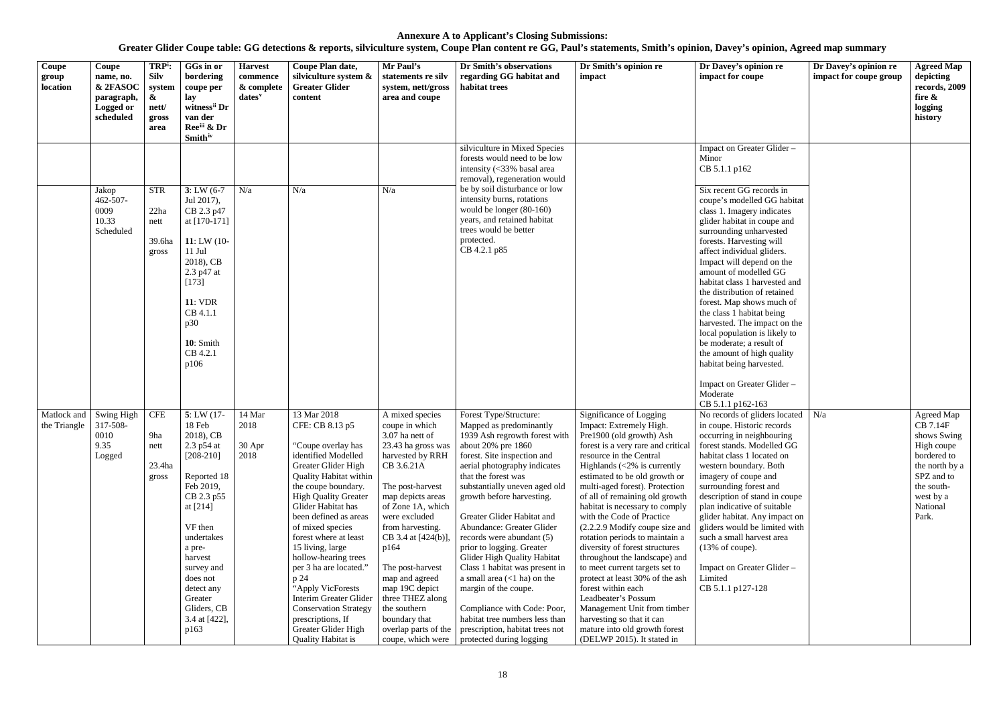| Coupe<br>group<br>location  | Coupe<br>name, no.<br>& 2FASOC<br>paragraph,<br>Logged or<br>scheduled | TRP <sup>i</sup> :<br><b>Silv</b><br>system<br>&<br>nett/<br>gross<br>area | GGs in or<br>bordering<br>coupe per<br>lay<br>witness <sup>ii</sup> Dr<br>van der<br>Reeiii & Dr<br><b>Smith</b> <sup>iv</sup>                                                                                                                                 | <b>Harvest</b><br>commence<br>& complete<br>dates <sup>v</sup> | Coupe Plan date,<br>silviculture system &<br><b>Greater Glider</b><br>content                                                                                                                                                                                                                                                                                                                                                                                                                                               | Mr Paul's<br>statements re silv<br>system, nett/gross<br>area and coupe                                                                                                                                                                                                                                                                                                                                  | Dr Smith's observations<br>regarding GG habitat and<br>habitat trees                                                                                                                                                                                                                                                                                                                                                                                                                                                                                                                                                                                                   | Dr Smith's opinion re<br>impact                                                                                                                                                                                                                                                                                                                                                                                                                                                                                                                                                                                                                                                                                               | Dr Davey's opinion re<br>impact for coupe                                                                                                                                                                                                                                                                                                                                                                                                                                                                                                                                                                 | Dr Davey's opinion re<br>impact for coupe group | <b>Agreed Map</b><br>depicting<br>records, 2009<br>fire &<br>logging<br>history                                                                    |
|-----------------------------|------------------------------------------------------------------------|----------------------------------------------------------------------------|----------------------------------------------------------------------------------------------------------------------------------------------------------------------------------------------------------------------------------------------------------------|----------------------------------------------------------------|-----------------------------------------------------------------------------------------------------------------------------------------------------------------------------------------------------------------------------------------------------------------------------------------------------------------------------------------------------------------------------------------------------------------------------------------------------------------------------------------------------------------------------|----------------------------------------------------------------------------------------------------------------------------------------------------------------------------------------------------------------------------------------------------------------------------------------------------------------------------------------------------------------------------------------------------------|------------------------------------------------------------------------------------------------------------------------------------------------------------------------------------------------------------------------------------------------------------------------------------------------------------------------------------------------------------------------------------------------------------------------------------------------------------------------------------------------------------------------------------------------------------------------------------------------------------------------------------------------------------------------|-------------------------------------------------------------------------------------------------------------------------------------------------------------------------------------------------------------------------------------------------------------------------------------------------------------------------------------------------------------------------------------------------------------------------------------------------------------------------------------------------------------------------------------------------------------------------------------------------------------------------------------------------------------------------------------------------------------------------------|-----------------------------------------------------------------------------------------------------------------------------------------------------------------------------------------------------------------------------------------------------------------------------------------------------------------------------------------------------------------------------------------------------------------------------------------------------------------------------------------------------------------------------------------------------------------------------------------------------------|-------------------------------------------------|----------------------------------------------------------------------------------------------------------------------------------------------------|
|                             | Jakop<br>462-507-<br>0009<br>10.33<br>Scheduled                        | <b>STR</b><br>22ha<br>nett<br>39.6ha<br>gross                              | $3: LW(6-7)$<br>Jul 2017),<br>CB 2.3 p47<br>at [170-171]<br>11: LW $(10 -$<br>$11$ Jul<br>2018), CB<br>2.3 p47 at<br>$[173]$<br><b>11: VDR</b><br>CB 4.1.1<br>p30<br>10: Smith<br>CB 4.2.1<br>p106                                                             | N/a                                                            | N/a                                                                                                                                                                                                                                                                                                                                                                                                                                                                                                                         | N/a                                                                                                                                                                                                                                                                                                                                                                                                      | silviculture in Mixed Species<br>forests would need to be low<br>intensity (<33% basal area<br>removal), regeneration would<br>be by soil disturbance or low<br>intensity burns, rotations<br>would be longer (80-160)<br>years, and retained habitat<br>trees would be better<br>protected.<br>CB 4.2.1 p85                                                                                                                                                                                                                                                                                                                                                           |                                                                                                                                                                                                                                                                                                                                                                                                                                                                                                                                                                                                                                                                                                                               | Impact on Greater Glider -<br>Minor<br>CB 5.1.1 p162<br>Six recent GG records in<br>coupe's modelled GG habitat<br>class 1. Imagery indicates<br>glider habitat in coupe and<br>surrounding unharvested<br>forests. Harvesting will<br>affect individual gliders.<br>Impact will depend on the<br>amount of modelled GG<br>habitat class 1 harvested and<br>the distribution of retained<br>forest. Map shows much of<br>the class 1 habitat being<br>harvested. The impact on the<br>local population is likely to<br>be moderate; a result of<br>the amount of high quality<br>habitat being harvested. |                                                 |                                                                                                                                                    |
| Matlock and<br>the Triangle | Swing High<br>317-508-<br>0010<br>9.35<br>Logged                       | <b>CFE</b><br>9ha<br>nett<br>23.4ha<br>gross                               | 5: LW(17)<br>18 Feb<br>2018), CB<br>2.3 p54 at<br>$[208-210]$<br>Reported 18<br>Feb 2019,<br>CB 2.3 p55<br>at $[214]$<br>VF then<br>undertakes<br>a pre-<br>harvest<br>survey and<br>does not<br>detect any<br>Greater<br>Gliders, CB<br>3.4 at [422],<br>p163 | 14 Mar<br>2018<br>$30$ Apr<br>2018                             | 13 Mar 2018<br>CFE: CB 8.13 p5<br>"Coupe overlay has<br>identified Modelled<br>Greater Glider High<br><b>Quality Habitat within</b><br>the coupe boundary.<br><b>High Quality Greater</b><br>Glider Habitat has<br>been defined as areas<br>of mixed species<br>forest where at least<br>15 living, large<br>hollow-hearing trees<br>per 3 ha are located."<br>p 24<br>"Apply VicForests<br>Interim Greater Glider<br><b>Conservation Strategy</b><br>prescriptions, If<br>Greater Glider High<br><b>Quality Habitat is</b> | A mixed species<br>coupe in which<br>3.07 ha nett of<br>23.43 ha gross was<br>harvested by RRH<br>CB 3.6.21A<br>The post-harvest<br>map depicts areas<br>of Zone 1A, which<br>were excluded<br>from harvesting.<br>CB 3.4 at [424(b)],<br>p164<br>The post-harvest<br>map and agreed<br>map 19C depict<br>three THEZ along<br>the southern<br>boundary that<br>overlap parts of the<br>coupe, which were | Forest Type/Structure:<br>Mapped as predominantly<br>1939 Ash regrowth forest with   Pre1900 (old growth) Ash<br>about 20% pre 1860<br>forest. Site inspection and<br>aerial photography indicates<br>that the forest was<br>substantially uneven aged old<br>growth before harvesting.<br>Greater Glider Habitat and<br>Abundance: Greater Glider<br>records were abundant (5)<br>prior to logging. Greater<br>Glider High Quality Habitat<br>Class 1 habitat was present in<br>a small area $(<1$ ha) on the<br>margin of the coupe.<br>Compliance with Code: Poor,<br>habitat tree numbers less than<br>prescription, habitat trees not<br>protected during logging | Significance of Logging<br>Impact: Extremely High.<br>forest is a very rare and critical<br>resource in the Central<br>Highlands $\langle 2\% \rangle$ is currently<br>estimated to be old growth or<br>multi-aged forest). Protection<br>of all of remaining old growth<br>habitat is necessary to comply<br>with the Code of Practice<br>$(2.2.2.9$ Modify coupe size and<br>rotation periods to maintain a<br>diversity of forest structures<br>throughout the landscape) and<br>to meet current targets set to<br>protect at least 30% of the ash<br>forest within each<br>Leadbeater's Possum<br>Management Unit from timber<br>harvesting so that it can<br>mature into old growth forest<br>(DELWP 2015). It stated in | Impact on Greater Glider -<br>Moderate<br>CB 5.1.1 p162-163<br>No records of gliders located $\mid$ N/a<br>in coupe. Historic records<br>occurring in neighbouring<br>forest stands. Modelled GG<br>habitat class 1 located on<br>western boundary. Both<br>imagery of coupe and<br>surrounding forest and<br>description of stand in coupe<br>plan indicative of suitable<br>glider habitat. Any impact on<br>gliders would be limited with<br>such a small harvest area<br>(13% of couple).<br>Impact on Greater Glider -<br>Limited<br>CB 5.1.1 p127-128                                               |                                                 | Agreed Map<br>CB 7.14F<br>shows Swing<br>High coupe<br>bordered to<br>the north by a<br>SPZ and to<br>the south-<br>west by a<br>National<br>Park. |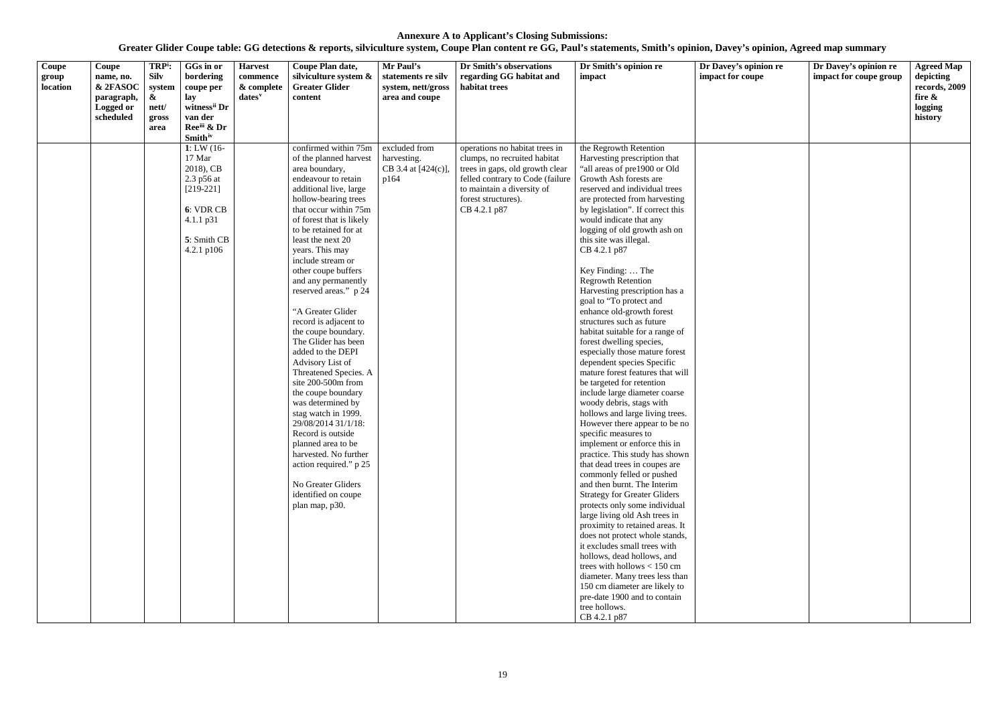**Greater Glider Coupe table: GG detections & reports, silviculture system, Coupe Plan content re GG, Paul's statements, Smith's opinion, Davey's opinion, Agreed map summary**

# **nion re<br>pe Dr Davey's opinion re impact for coupe group Agreed Map depicting records, 2009 fire & logging history**

| Coupe<br>group<br>location | Coupe<br>name, no.<br>& 2FASOC<br>paragraph,<br>Logged or<br>scheduled | TRP <sup>i</sup> :<br><b>Silv</b><br>system<br>$\boldsymbol{\&}$<br>nett/<br>gross<br>area | GGs in or<br>bordering<br>coupe per<br>lay<br>witness <sup>ii</sup> Dr<br>van der<br>Reeiii & Dr                                            | <b>Harvest</b><br>commence<br>& complete<br>$dates$ <sup>v</sup> | Coupe Plan date,<br>silviculture system &<br><b>Greater Glider</b><br>content                                                                                                                                                                                                                                                                                                                                                                                                                                                                                                                                                                                                                                                                                                                         | Mr Paul's<br>statements re silv<br>system, nett/gross<br>area and coupe | Dr Smith's observations<br>regarding GG habitat and<br>habitat trees                                                                                                                                       | Dr Smith's opinion re<br>impact                                                                                                                                                                                                                                                                                                                                                                                                                                                                                                                                                                                                                                                                                                                                                                                                                                                                                                                                                                                                                                                                                                                                                                                                                                                                                                                                                                                                              | Dr Davey's opini<br>impact for coupe |
|----------------------------|------------------------------------------------------------------------|--------------------------------------------------------------------------------------------|---------------------------------------------------------------------------------------------------------------------------------------------|------------------------------------------------------------------|-------------------------------------------------------------------------------------------------------------------------------------------------------------------------------------------------------------------------------------------------------------------------------------------------------------------------------------------------------------------------------------------------------------------------------------------------------------------------------------------------------------------------------------------------------------------------------------------------------------------------------------------------------------------------------------------------------------------------------------------------------------------------------------------------------|-------------------------------------------------------------------------|------------------------------------------------------------------------------------------------------------------------------------------------------------------------------------------------------------|----------------------------------------------------------------------------------------------------------------------------------------------------------------------------------------------------------------------------------------------------------------------------------------------------------------------------------------------------------------------------------------------------------------------------------------------------------------------------------------------------------------------------------------------------------------------------------------------------------------------------------------------------------------------------------------------------------------------------------------------------------------------------------------------------------------------------------------------------------------------------------------------------------------------------------------------------------------------------------------------------------------------------------------------------------------------------------------------------------------------------------------------------------------------------------------------------------------------------------------------------------------------------------------------------------------------------------------------------------------------------------------------------------------------------------------------|--------------------------------------|
|                            |                                                                        |                                                                                            | <b>Smith</b> iv<br>1: LW $(16 -$<br>17 Mar<br>2018), CB<br>2.3 p56 at<br>$[219-221]$<br>6: VDR CB<br>4.1.1 p31<br>5: Smith CB<br>4.2.1 p106 |                                                                  | confirmed within 75m<br>of the planned harvest<br>area boundary,<br>endeavour to retain<br>additional live, large<br>hollow-bearing trees<br>that occur within 75m<br>of forest that is likely<br>to be retained for at<br>least the next 20<br>years. This may<br>include stream or<br>other coupe buffers<br>and any permanently<br>reserved areas." p 24<br>"A Greater Glider<br>record is adjacent to<br>the coupe boundary.<br>The Glider has been<br>added to the DEPI<br>Advisory List of<br>Threatened Species. A<br>site 200-500m from<br>the coupe boundary<br>was determined by<br>stag watch in 1999.<br>29/08/2014 31/1/18:<br>Record is outside<br>planned area to be<br>harvested. No further<br>action required." p 25<br>No Greater Gliders<br>identified on coupe<br>plan map, p30. | excluded from<br>harvesting.<br>CB 3.4 at [424(c)],<br>p164             | operations no habitat trees in<br>clumps, no recruited habitat<br>trees in gaps, old growth clear<br>felled contrary to Code (failure<br>to maintain a diversity of<br>forest structures).<br>CB 4.2.1 p87 | the Regrowth Retention<br>Harvesting prescription that<br>"all areas of pre1900 or Old<br>Growth Ash forests are<br>reserved and individual trees<br>are protected from harvesting<br>by legislation". If correct this<br>would indicate that any<br>logging of old growth ash on<br>this site was illegal.<br>CB 4.2.1 p87<br>Key Finding:  The<br><b>Regrowth Retention</b><br>Harvesting prescription has a<br>goal to "To protect and<br>enhance old-growth forest<br>structures such as future<br>habitat suitable for a range of<br>forest dwelling species,<br>especially those mature forest<br>dependent species Specific<br>mature forest features that will<br>be targeted for retention<br>include large diameter coarse<br>woody debris, stags with<br>hollows and large living trees.<br>However there appear to be no<br>specific measures to<br>implement or enforce this in<br>practice. This study has shown<br>that dead trees in coupes are<br>commonly felled or pushed<br>and then burnt. The Interim<br><b>Strategy for Greater Gliders</b><br>protects only some individual<br>large living old Ash trees in<br>proximity to retained areas. It<br>does not protect whole stands,<br>it excludes small trees with<br>hollows, dead hollows, and<br>trees with hollows $< 150$ cm<br>diameter. Many trees less than<br>150 cm diameter are likely to<br>pre-date 1900 and to contain<br>tree hollows.<br>CB 4.2.1 p87 |                                      |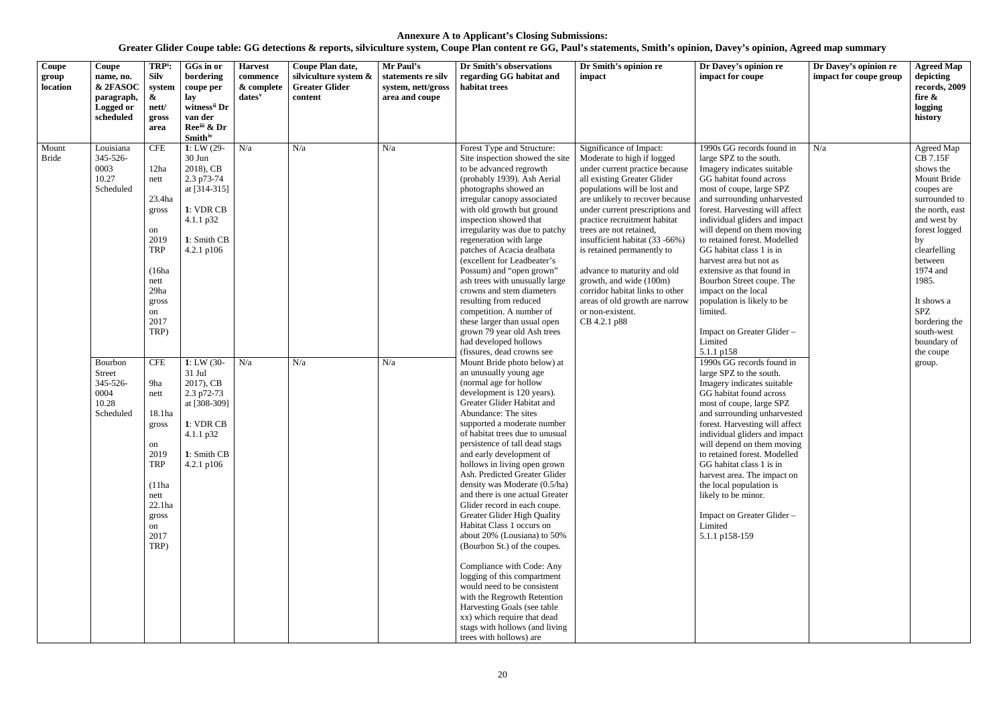| $\overline{\text{Coupe}}$<br>group<br>location | Coupe<br>name, no.<br>& 2FASOC<br>paragraph,<br><b>Logged or</b><br>scheduled                                             | TRP <sup>i</sup> :<br><b>Silv</b><br>system<br>&<br>nett/<br>gross<br>area                                                                                                                                                                                       | GGs in or<br>bordering<br>coupe per<br>lay<br>witness <sup>ii</sup> Dr<br>van der<br>Reeii & Dr<br><b>Smith</b> iv                                                                                                                                     | <b>Harvest</b><br>commence<br>& complete<br>$dates^v$ | Coupe Plan date,<br>silviculture system &<br><b>Greater Glider</b><br>content | Mr Paul's<br>statements re silv<br>system, nett/gross<br>area and coupe | Dr Smith's observations<br>regarding GG habitat and<br>habitat trees                                                                                                                                                                                                                                                                                                                                                                                                                                                                                                                                                                                                                                                                                                                                                                                                                                                                                                                                                                                                                                                                                                                                                                                                                                                                                                                                                                                                                                 | Dr Smith's opinion re<br>impact                                                                                                                                                                                                                                                                                                                                                                                                                                                                                            | Dr Davey's opinion re<br>impact for coupe                                                                                                                                                                                                                                                                                                                                                                                                                                                                                                                                                                                                                                                                                                                                                                                                                                                                                                                                                                                               | Dr Davey's opinion re<br>impact for coupe group | <b>Agreed Map</b><br>depicting<br>records, 2009<br>fire &<br>logging<br>history                                                                                                                                                                                                             |
|------------------------------------------------|---------------------------------------------------------------------------------------------------------------------------|------------------------------------------------------------------------------------------------------------------------------------------------------------------------------------------------------------------------------------------------------------------|--------------------------------------------------------------------------------------------------------------------------------------------------------------------------------------------------------------------------------------------------------|-------------------------------------------------------|-------------------------------------------------------------------------------|-------------------------------------------------------------------------|------------------------------------------------------------------------------------------------------------------------------------------------------------------------------------------------------------------------------------------------------------------------------------------------------------------------------------------------------------------------------------------------------------------------------------------------------------------------------------------------------------------------------------------------------------------------------------------------------------------------------------------------------------------------------------------------------------------------------------------------------------------------------------------------------------------------------------------------------------------------------------------------------------------------------------------------------------------------------------------------------------------------------------------------------------------------------------------------------------------------------------------------------------------------------------------------------------------------------------------------------------------------------------------------------------------------------------------------------------------------------------------------------------------------------------------------------------------------------------------------------|----------------------------------------------------------------------------------------------------------------------------------------------------------------------------------------------------------------------------------------------------------------------------------------------------------------------------------------------------------------------------------------------------------------------------------------------------------------------------------------------------------------------------|-----------------------------------------------------------------------------------------------------------------------------------------------------------------------------------------------------------------------------------------------------------------------------------------------------------------------------------------------------------------------------------------------------------------------------------------------------------------------------------------------------------------------------------------------------------------------------------------------------------------------------------------------------------------------------------------------------------------------------------------------------------------------------------------------------------------------------------------------------------------------------------------------------------------------------------------------------------------------------------------------------------------------------------------|-------------------------------------------------|---------------------------------------------------------------------------------------------------------------------------------------------------------------------------------------------------------------------------------------------------------------------------------------------|
| Mount<br>Bride                                 | Louisiana<br>345-526-<br>0003<br>10.27<br>Scheduled<br>Bourbon<br><b>Street</b><br>345-526-<br>0004<br>10.28<br>Scheduled | <b>CFE</b><br>12ha<br>nett<br>23.4ha<br>gross<br>on<br>2019<br><b>TRP</b><br>(16ha<br>nett<br>29ha<br>gross<br>on<br>2017<br>TRP)<br>CFE<br>9ha<br>nett<br>18.1ha<br>gross<br>on<br>2019<br><b>TRP</b><br>(11ha<br>nett<br>22.1ha<br>gross<br>on<br>2017<br>TRP) | $1: LW(29-$<br>30 Jun<br>2018), CB<br>2.3 p73-74<br>at $[314-315]$<br>1: VDR CB<br>4.1.1 p32<br>1: Smith CB<br>4.2.1 p106<br>1: LW $(30 -$<br>31 Jul<br>2017), CB<br>2.3 p72-73<br>at [308-309]<br>1: VDR CB<br>4.1.1 p32<br>1: Smith CB<br>4.2.1 p106 | N/a<br>N/a                                            | N/a<br>N/a                                                                    | N/a<br>N/a                                                              | Forest Type and Structure:<br>Site inspection showed the site<br>to be advanced regrowth<br>(probably 1939). Ash Aerial<br>photographs showed an<br>irregular canopy associated<br>with old growth but ground<br>inspection showed that<br>irregularity was due to patchy<br>regeneration with large<br>patches of Acacia dealbata<br>(excellent for Leadbeater's<br>Possum) and "open grown"<br>ash trees with unusually large<br>crowns and stem diameters<br>resulting from reduced<br>competition. A number of<br>these larger than usual open<br>grown 79 year old Ash trees<br>had developed hollows<br>(fissures, dead crowns see<br>Mount Bride photo below) at<br>an unusually young age<br>(normal age for hollow<br>development is 120 years).<br>Greater Glider Habitat and<br>Abundance: The sites<br>supported a moderate number<br>of habitat trees due to unusual<br>persistence of tall dead stags<br>and early development of<br>hollows in living open grown<br>Ash. Predicted Greater Glider<br>density was Moderate (0.5/ha)<br>and there is one actual Greater<br>Glider record in each coupe.<br>Greater Glider High Quality<br>Habitat Class 1 occurs on<br>about 20% (Lousiana) to 50%<br>(Bourbon St.) of the coupes.<br>Compliance with Code: Any<br>logging of this compartment<br>would need to be consistent<br>with the Regrowth Retention<br>Harvesting Goals (see table<br>xx) which require that dead<br>stags with hollows (and living<br>trees with hollows) are | Significance of Impact:<br>Moderate to high if logged<br>under current practice because<br>all existing Greater Glider<br>populations will be lost and<br>are unlikely to recover because<br>under current prescriptions and<br>practice recruitment habitat<br>trees are not retained,<br>insufficient habitat (33 -66%)<br>is retained permanently to<br>advance to maturity and old<br>growth, and wide (100m)<br>corridor habitat links to other<br>areas of old growth are narrow<br>or non-existent.<br>CB 4.2.1 p88 | 1990s GG records found in<br>large SPZ to the south.<br>Imagery indicates suitable<br>GG habitat found across<br>most of coupe, large SPZ<br>and surrounding unharvested<br>forest. Harvesting will affect<br>individual gliders and impact<br>will depend on them moving<br>to retained forest. Modelled<br>GG habitat class 1 is in<br>harvest area but not as<br>extensive as that found in<br>Bourbon Street coupe. The<br>impact on the local<br>population is likely to be<br>limited.<br>Impact on Greater Glider -<br>Limited<br>5.1.1 p158<br>1990s GG records found in<br>large SPZ to the south.<br>Imagery indicates suitable<br>GG habitat found across<br>most of coupe, large SPZ<br>and surrounding unharvested<br>forest. Harvesting will affect<br>individual gliders and impact<br>will depend on them moving<br>to retained forest. Modelled<br>GG habitat class 1 is in<br>harvest area. The impact on<br>the local population is<br>likely to be minor.<br>Impact on Greater Glider-<br>Limited<br>5.1.1 p158-159 | N/a                                             | Agreed Map<br>CB 7.15F<br>shows the<br>Mount Bride<br>coupes are<br>surrounded to<br>the north, east<br>and west by<br>forest logged<br>by<br>clearfelling<br>between<br>1974 and<br>1985.<br>It shows a<br><b>SPZ</b><br>bordering the<br>south-west<br>boundary of<br>the coupe<br>group. |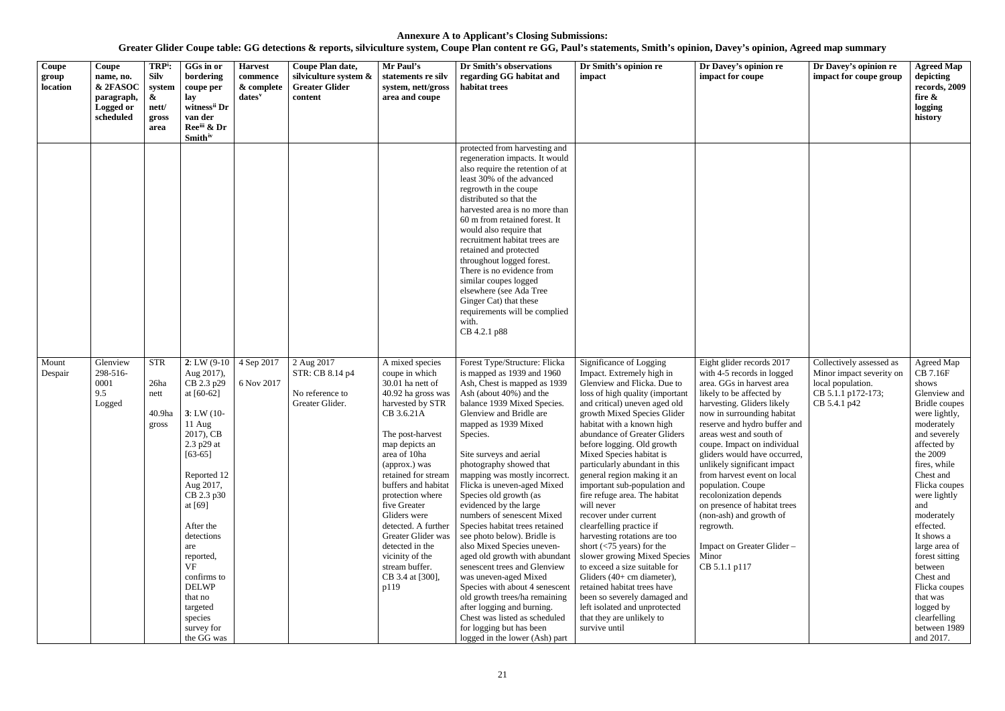| Coupe<br>group<br>location | Coupe<br>name, no.<br>& 2FASOC<br>paragraph,<br><b>Logged or</b><br>scheduled | TRP <sup>i</sup> :<br><b>Silv</b><br>system<br>&<br>nett/<br>gross<br>area | GGs in or<br>bordering<br>coupe per<br>lay<br>witness <sup>ii</sup> Dr<br>van der<br>Reeiii & Dr<br><b>Smith</b> iv                                                                                                                                                                                                                          | <b>Harvest</b><br>commence<br>& complete<br>$dates^v$ | Coupe Plan date,<br>silviculture system &<br><b>Greater Glider</b><br>content | Mr Paul's<br>statements re silv<br>system, nett/gross<br>area and coupe                                                                                                                                                                                                                                                                                                                                                 | Dr Smith's observations<br>regarding GG habitat and<br>habitat trees                                                                                                                                                                                                                                                                                                                                                                                                                                                                                                                                                                                                                                                                                                                                                  | Dr Smith's opinion re<br>impact                                                                                                                                                                                                                                                                                                                                                                                                                                                                                                                                                                                                                                                                                                                                                                                                  | Dr Davey's opinion re<br>impact for coupe                                                                                                                                                                                                                                                                                                                                                                                                                                                                                                          | Dr Davey's opinion re<br>impact for coupe group                                                                 | <b>Agreed Map</b><br>depicting<br>records, 2009<br>fire $\&$<br>logging<br>history                                                                                                                                                                                                                                                                                                                         |
|----------------------------|-------------------------------------------------------------------------------|----------------------------------------------------------------------------|----------------------------------------------------------------------------------------------------------------------------------------------------------------------------------------------------------------------------------------------------------------------------------------------------------------------------------------------|-------------------------------------------------------|-------------------------------------------------------------------------------|-------------------------------------------------------------------------------------------------------------------------------------------------------------------------------------------------------------------------------------------------------------------------------------------------------------------------------------------------------------------------------------------------------------------------|-----------------------------------------------------------------------------------------------------------------------------------------------------------------------------------------------------------------------------------------------------------------------------------------------------------------------------------------------------------------------------------------------------------------------------------------------------------------------------------------------------------------------------------------------------------------------------------------------------------------------------------------------------------------------------------------------------------------------------------------------------------------------------------------------------------------------|----------------------------------------------------------------------------------------------------------------------------------------------------------------------------------------------------------------------------------------------------------------------------------------------------------------------------------------------------------------------------------------------------------------------------------------------------------------------------------------------------------------------------------------------------------------------------------------------------------------------------------------------------------------------------------------------------------------------------------------------------------------------------------------------------------------------------------|----------------------------------------------------------------------------------------------------------------------------------------------------------------------------------------------------------------------------------------------------------------------------------------------------------------------------------------------------------------------------------------------------------------------------------------------------------------------------------------------------------------------------------------------------|-----------------------------------------------------------------------------------------------------------------|------------------------------------------------------------------------------------------------------------------------------------------------------------------------------------------------------------------------------------------------------------------------------------------------------------------------------------------------------------------------------------------------------------|
|                            |                                                                               |                                                                            |                                                                                                                                                                                                                                                                                                                                              |                                                       |                                                                               |                                                                                                                                                                                                                                                                                                                                                                                                                         | protected from harvesting and<br>regeneration impacts. It would<br>also require the retention of at<br>least 30% of the advanced<br>regrowth in the coupe<br>distributed so that the<br>harvested area is no more than<br>60 m from retained forest. It<br>would also require that<br>recruitment habitat trees are<br>retained and protected<br>throughout logged forest.<br>There is no evidence from<br>similar coupes logged<br>elsewhere (see Ada Tree<br>Ginger Cat) that these<br>requirements will be complied<br>with.<br>CB 4.2.1 p88                                                                                                                                                                                                                                                                       |                                                                                                                                                                                                                                                                                                                                                                                                                                                                                                                                                                                                                                                                                                                                                                                                                                  |                                                                                                                                                                                                                                                                                                                                                                                                                                                                                                                                                    |                                                                                                                 |                                                                                                                                                                                                                                                                                                                                                                                                            |
| Mount<br>Despair           | Glenview<br>298-516-<br>0001<br>9.5<br>Logged                                 | <b>STR</b><br>26ha<br>nett<br>40.9ha<br>gross                              | $2: LW(9-10)$<br>Aug 2017),<br>CB 2.3 p29<br>at $[60-62]$<br>$3: LW(10-$<br>$11$ Aug<br>2017), CB<br>2.3 p29 at<br>$[63-65]$<br>Reported 12<br>Aug 2017,<br>CB 2.3 p30<br>at $[69]$<br>After the<br>detections<br>are<br>reported,<br><b>VF</b><br>confirms to<br><b>DELWP</b><br>that no<br>targeted<br>species<br>survey for<br>the GG was | 4 Sep 2017<br>6 Nov 2017                              | 2 Aug 2017<br>STR: CB 8.14 p4<br>No reference to<br>Greater Glider.           | A mixed species<br>coupe in which<br>30.01 ha nett of<br>40.92 ha gross was<br>harvested by STR<br>CB 3.6.21A<br>The post-harvest<br>map depicts an<br>area of 10ha<br>(approx.) was<br>retained for stream<br>buffers and habitat<br>protection where<br>five Greater<br>Gliders were<br>detected. A further<br>Greater Glider was<br>detected in the<br>vicinity of the<br>stream buffer.<br>CB 3.4 at [300],<br>p119 | Forest Type/Structure: Flicka<br>is mapped as 1939 and 1960<br>Ash, Chest is mapped as 1939<br>Ash (about 40%) and the<br>balance 1939 Mixed Species.<br>Glenview and Bridle are<br>mapped as 1939 Mixed<br>Species.<br>Site surveys and aerial<br>photography showed that<br>mapping was mostly incorrect.<br>Flicka is uneven-aged Mixed<br>Species old growth (as<br>evidenced by the large<br>numbers of senescent Mixed<br>Species habitat trees retained<br>see photo below). Bridle is<br>also Mixed Species uneven-<br>aged old growth with abundant<br>senescent trees and Glenview<br>was uneven-aged Mixed<br>Species with about 4 senescent<br>old growth trees/ha remaining<br>after logging and burning.<br>Chest was listed as scheduled<br>for logging but has been<br>logged in the lower (Ash) part | Significance of Logging<br>Impact. Extremely high in<br>Glenview and Flicka. Due to<br>loss of high quality (important<br>and critical) uneven aged old<br>growth Mixed Species Glider<br>habitat with a known high<br>abundance of Greater Gliders<br>before logging. Old growth<br>Mixed Species habitat is<br>particularly abundant in this<br>general region making it an<br>important sub-population and<br>fire refuge area. The habitat<br>will never<br>recover under current<br>clearfelling practice if<br>harvesting rotations are too<br>short $(< 75$ years) for the<br>slower growing Mixed Species<br>to exceed a size suitable for<br>Gliders $(40+$ cm diameter),<br>retained habitat trees have<br>been so severely damaged and<br>left isolated and unprotected<br>that they are unlikely to<br>survive until | Eight glider records 2017<br>with 4-5 records in logged<br>area. GGs in harvest area<br>likely to be affected by<br>harvesting. Gliders likely<br>now in surrounding habitat<br>reserve and hydro buffer and<br>areas west and south of<br>coupe. Impact on individual<br>gliders would have occurred,<br>unlikely significant impact<br>from harvest event on local<br>population. Coupe<br>recolonization depends<br>on presence of habitat trees<br>(non-ash) and growth of<br>regrowth.<br>Impact on Greater Glider-<br>Minor<br>CB 5.1.1 p117 | Collectively assessed as<br>Minor impact severity on<br>local population.<br>CB 5.1.1 p172-173;<br>CB 5.4.1 p42 | Agreed Map<br>CB 7.16F<br>shows<br>Glenview and<br>Bridle coupes<br>were lightly,<br>moderately<br>and severely<br>affected by<br>the 2009<br>fires, while<br>Chest and<br>Flicka coupes<br>were lightly<br>and<br>moderately<br>effected.<br>It shows a<br>large area of<br>forest sitting<br>between<br>Chest and<br>Flicka coupes<br>that was<br>logged by<br>clearfelling<br>between 1989<br>and 2017. |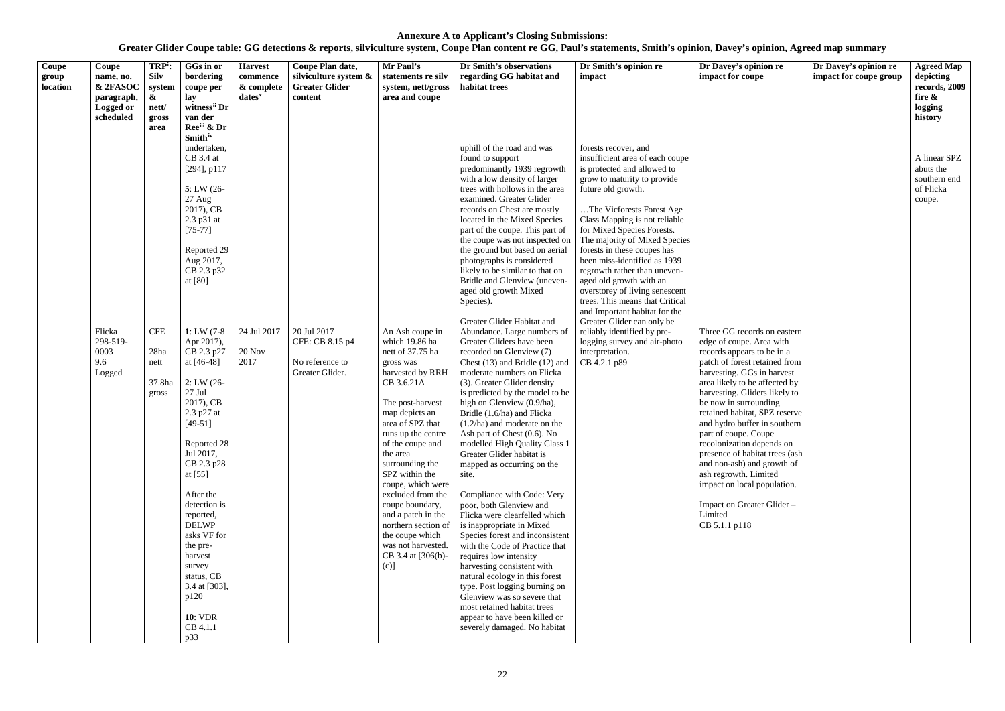**Greater Glider Coupe table: GG detections & reports, silviculture system, Coupe Plan content re GG, Paul's statements, Smith's opinion, Davey's opinion, Agreed map summary**

# **Dr Davey's opinion re impact for coupe group Agreed Map depicting records, 2009 fire & logging history**  A linear SPZ abuts the southern end of Flicka coupe. Is on eastern rea with to be in a etained from in harvest affected by SPZ reserve in southern part of coupe. epends on tat trees (ash d growth of mited opulation. er Glider –

| Coupe<br>group<br>location | Coupe<br>name, no.<br>& 2FASOC<br>paragraph,<br>Logged or<br>scheduled | TRP <sup>i</sup> :<br><b>Silv</b><br>system<br>&<br>nett/<br>gross<br>area | GGs in or<br>bordering<br>coupe per<br>lay<br>witness <sup>ii</sup> Dr<br>van der<br>Ree <sup>iii</sup> & Dr<br><b>Smith</b> iv                                                                                                                                                                                                                                                                                                                                                                                   | <b>Harvest</b><br>commence<br>& complete<br>$dates$ <sup>v</sup> | Coupe Plan date,<br>silviculture system $\&$<br><b>Greater Glider</b><br>content | Mr Paul's<br>statements re silv<br>system, nett/gross<br>area and coupe                                                                                                                                                                                                                                                                                                                                                                       | Dr Smith's observations<br>regarding GG habitat and<br>habitat trees                                                                                                                                                                                                                                                                                                                                                                                                                                                                                                                                                                                                                                                                                                                                                                                                                                                                                                                                                                                                                                                                                                                                                                                                                                                                    | Dr Smith's opinion re<br>impact                                                                                                                                                                                                                                                                                                                                                                                                                                                                                                                                                                                                          | Dr Davey's opinion re<br>impact for coupe                                                                                                                                                                                                                                                                                                                                                                                                                                                                                                              |
|----------------------------|------------------------------------------------------------------------|----------------------------------------------------------------------------|-------------------------------------------------------------------------------------------------------------------------------------------------------------------------------------------------------------------------------------------------------------------------------------------------------------------------------------------------------------------------------------------------------------------------------------------------------------------------------------------------------------------|------------------------------------------------------------------|----------------------------------------------------------------------------------|-----------------------------------------------------------------------------------------------------------------------------------------------------------------------------------------------------------------------------------------------------------------------------------------------------------------------------------------------------------------------------------------------------------------------------------------------|-----------------------------------------------------------------------------------------------------------------------------------------------------------------------------------------------------------------------------------------------------------------------------------------------------------------------------------------------------------------------------------------------------------------------------------------------------------------------------------------------------------------------------------------------------------------------------------------------------------------------------------------------------------------------------------------------------------------------------------------------------------------------------------------------------------------------------------------------------------------------------------------------------------------------------------------------------------------------------------------------------------------------------------------------------------------------------------------------------------------------------------------------------------------------------------------------------------------------------------------------------------------------------------------------------------------------------------------|------------------------------------------------------------------------------------------------------------------------------------------------------------------------------------------------------------------------------------------------------------------------------------------------------------------------------------------------------------------------------------------------------------------------------------------------------------------------------------------------------------------------------------------------------------------------------------------------------------------------------------------|--------------------------------------------------------------------------------------------------------------------------------------------------------------------------------------------------------------------------------------------------------------------------------------------------------------------------------------------------------------------------------------------------------------------------------------------------------------------------------------------------------------------------------------------------------|
|                            | Flicka<br>298-519-<br>0003<br>9.6<br>Logged                            | <b>CFE</b><br>28ha<br>nett<br>37.8ha<br>gross                              | undertaken,<br>$CB$ 3.4 at<br>$[294]$ , p $117$<br>$5: LW(26-$<br>27 Aug<br>2017), CB<br>2.3 p31 at<br>$[75-77]$<br>Reported 29<br>Aug 2017,<br>CB 2.3 p32<br>at [80]<br>1: LW $(7-8)$<br>Apr 2017),<br>CB 2.3 p27<br>at [46-48]<br>$2: LW(26-$<br>$27\:\rm{Jul}$<br>2017), CB<br>2.3 p27 at<br>$[49-51]$<br>Reported 28<br>Jul 2017,<br>CB 2.3 p28<br>at $[55]$<br>After the<br>detection is<br>reported,<br><b>DELWP</b><br>asks VF for<br>the pre-<br>harvest<br>survey<br>status, CB<br>3.4 at [303],<br>p120 | 24 Jul 2017<br><b>20 Nov</b><br>2017                             | 20 Jul 2017<br>CFE: CB 8.15 p4<br>No reference to<br>Greater Glider.             | An Ash coupe in<br>which 19.86 ha<br>nett of 37.75 ha<br>gross was<br>harvested by RRH<br>CB 3.6.21A<br>The post-harvest<br>map depicts an<br>area of SPZ that<br>runs up the centre<br>of the coupe and<br>the area<br>surrounding the<br>SPZ within the<br>coupe, which were<br>excluded from the<br>coupe boundary,<br>and a patch in the<br>northern section of<br>the coupe which<br>was not harvested.<br>CB 3.4 at [306(b)-<br>$(c)$ ] | uphill of the road and was<br>found to support<br>predominantly 1939 regrowth<br>with a low density of larger<br>trees with hollows in the area<br>examined. Greater Glider<br>records on Chest are mostly<br>located in the Mixed Species<br>part of the coupe. This part of<br>the coupe was not inspected on<br>the ground but based on aerial<br>photographs is considered<br>likely to be similar to that on<br>Bridle and Glenview (uneven-<br>aged old growth Mixed<br>Species).<br>Greater Glider Habitat and<br>Abundance. Large numbers of<br>Greater Gliders have been<br>recorded on Glenview (7)<br>Chest (13) and Bridle (12) and<br>moderate numbers on Flicka<br>(3). Greater Glider density<br>is predicted by the model to be<br>high on Glenview (0.9/ha),<br>Bridle (1.6/ha) and Flicka<br>$(1.2/ha)$ and moderate on the<br>Ash part of Chest (0.6). No<br>modelled High Quality Class 1<br>Greater Glider habitat is<br>mapped as occurring on the<br>site.<br>Compliance with Code: Very<br>poor, both Glenview and<br>Flicka were clearfelled which<br>is inappropriate in Mixed<br>Species forest and inconsistent<br>with the Code of Practice that<br>requires low intensity<br>harvesting consistent with<br>natural ecology in this forest<br>type. Post logging burning on<br>Glenview was so severe that | forests recover, and<br>insufficient area of each coupe<br>is protected and allowed to<br>grow to maturity to provide<br>future old growth.<br>The Vicforests Forest Age<br>Class Mapping is not reliable<br>for Mixed Species Forests.<br>The majority of Mixed Species<br>forests in these coupes has<br>been miss-identified as 1939<br>regrowth rather than uneven-<br>aged old growth with an<br>overstorey of living senescent<br>trees. This means that Critical<br>and Important habitat for the<br>Greater Glider can only be<br>reliably identified by pre-<br>logging survey and air-photo<br>interpretation.<br>CB 4.2.1 p89 | Three GG records on eastern<br>edge of coupe. Area with<br>records appears to be in a<br>patch of forest retained from<br>harvesting. GGs in harvest<br>area likely to be affected by<br>harvesting. Gliders likely to<br>be now in surrounding<br>retained habitat, SPZ reserve<br>and hydro buffer in southern<br>part of coupe. Coupe<br>recolonization depends on<br>presence of habitat trees (asl<br>and non-ash) and growth of<br>ash regrowth. Limited<br>impact on local population.<br>Impact on Greater Glider-<br>Limited<br>CB 5.1.1 p118 |
|                            |                                                                        |                                                                            | <b>10: VDR</b><br>CB 4.1.1<br>p33                                                                                                                                                                                                                                                                                                                                                                                                                                                                                 |                                                                  |                                                                                  |                                                                                                                                                                                                                                                                                                                                                                                                                                               | most retained habitat trees<br>appear to have been killed or<br>severely damaged. No habitat                                                                                                                                                                                                                                                                                                                                                                                                                                                                                                                                                                                                                                                                                                                                                                                                                                                                                                                                                                                                                                                                                                                                                                                                                                            |                                                                                                                                                                                                                                                                                                                                                                                                                                                                                                                                                                                                                                          |                                                                                                                                                                                                                                                                                                                                                                                                                                                                                                                                                        |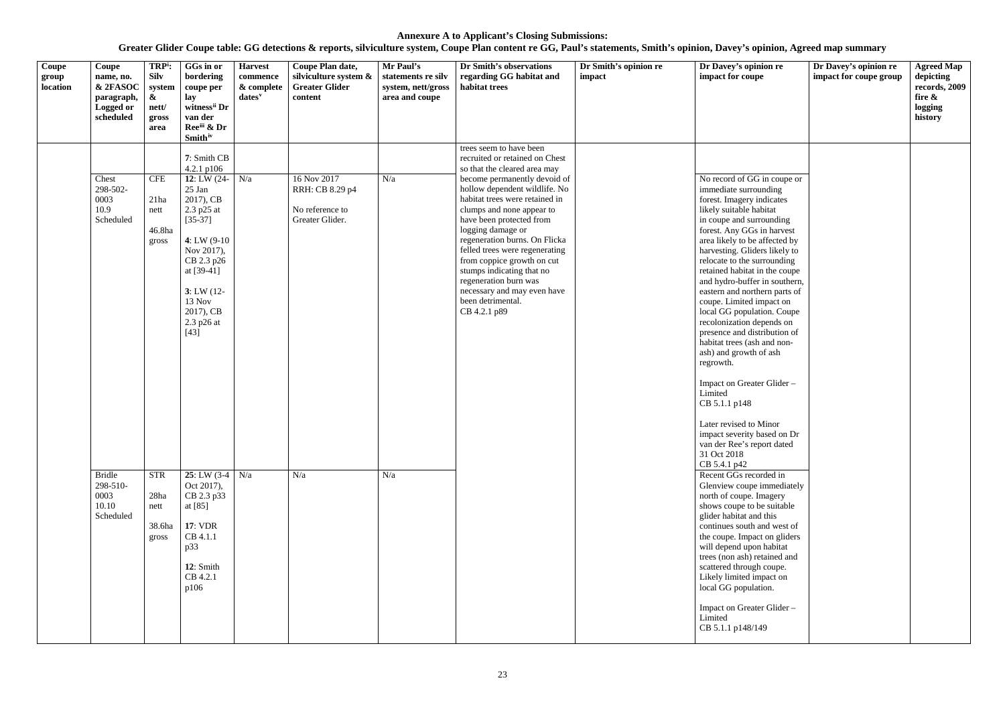| Coupe<br>group<br>location | Coupe<br>name, no.<br>& 2FASOC<br>paragraph,<br><b>Logged or</b><br>scheduled                             | TRP <sup>i</sup> :<br><b>Silv</b><br>system<br>$\boldsymbol{\&}$<br>nett/<br>gross<br>area     | GGs in or<br>bordering<br>coupe per<br>lay<br>witness <sup>ii</sup> Dr<br>van der<br>Ree <sup>iii</sup> & Dr                                                                                                                                                                                                                                                                        | <b>Harvest</b><br>commence<br>& complete<br>dates <sup>v</sup> | Coupe Plan date,<br>silviculture system &<br><b>Greater Glider</b><br>content | Mr Paul's<br>statements re silv<br>system, nett/gross<br>area and coupe | Dr Smith's observations<br>regarding GG habitat and<br>habitat trees                                                                                                                                                                                                                                                                                                                                                                                                                                  | Dr Smith's opinion re<br>impact | Dr Davey's opinion re<br>impact for coupe                                                                                                                                                                                                                                                                                                                                                                                                                                                                                                                                                                                                                                                                                                                                                                                                                                                                                                                                                                                                                                                                                                                                   | Dr Davey's opinion re<br>impact for coupe group | <b>Agreed Map</b><br>depicting<br>records, 2009<br>fire &<br>logging<br>history |
|----------------------------|-----------------------------------------------------------------------------------------------------------|------------------------------------------------------------------------------------------------|-------------------------------------------------------------------------------------------------------------------------------------------------------------------------------------------------------------------------------------------------------------------------------------------------------------------------------------------------------------------------------------|----------------------------------------------------------------|-------------------------------------------------------------------------------|-------------------------------------------------------------------------|-------------------------------------------------------------------------------------------------------------------------------------------------------------------------------------------------------------------------------------------------------------------------------------------------------------------------------------------------------------------------------------------------------------------------------------------------------------------------------------------------------|---------------------------------|-----------------------------------------------------------------------------------------------------------------------------------------------------------------------------------------------------------------------------------------------------------------------------------------------------------------------------------------------------------------------------------------------------------------------------------------------------------------------------------------------------------------------------------------------------------------------------------------------------------------------------------------------------------------------------------------------------------------------------------------------------------------------------------------------------------------------------------------------------------------------------------------------------------------------------------------------------------------------------------------------------------------------------------------------------------------------------------------------------------------------------------------------------------------------------|-------------------------------------------------|---------------------------------------------------------------------------------|
|                            | Chest<br>298-502-<br>0003<br>10.9<br>Scheduled<br><b>Bridle</b><br>298-510-<br>0003<br>10.10<br>Scheduled | <b>CFE</b><br>21ha<br>nett<br>46.8ha<br>gross<br><b>STR</b><br>28ha<br>nett<br>38.6ha<br>gross | <b>Smith</b> iv<br>7: Smith CB<br>4.2.1 p106<br>12: LW $(24 - N/a)$<br>25 Jan<br>2017), CB<br>2.3 p25 at<br>$[35-37]$<br>4: LW $(9-10)$<br>Nov 2017),<br>CB 2.3 p26<br>at [39-41]<br>$3: LW(12-)$<br>13 Nov<br>2017), CB<br>2.3 p26 at<br>$[43]$<br>25: LW $(3-4)$ N/a<br>Oct 2017),<br>CB 2.3 p33<br>at [85]<br><b>17: VDR</b><br>CB 4.1.1<br>p33<br>12: Smith<br>CB 4.2.1<br>p106 |                                                                | 16 Nov 2017<br>RRH: CB 8.29 p4<br>No reference to<br>Greater Glider.<br>N/a   | N/a<br>N/a                                                              | trees seem to have been<br>recruited or retained on Chest<br>so that the cleared area may<br>become permanently devoid of<br>hollow dependent wildlife. No<br>habitat trees were retained in<br>clumps and none appear to<br>have been protected from<br>logging damage or<br>regeneration burns. On Flicka<br>felled trees were regenerating<br>from coppice growth on cut<br>stumps indicating that no<br>regeneration burn was<br>necessary and may even have<br>been detrimental.<br>CB 4.2.1 p89 |                                 | No record of GG in coupe or<br>immediate surrounding<br>forest. Imagery indicates<br>likely suitable habitat<br>in coupe and surrounding<br>forest. Any GGs in harvest<br>area likely to be affected by<br>harvesting. Gliders likely to<br>relocate to the surrounding<br>retained habitat in the coupe<br>and hydro-buffer in southern,<br>eastern and northern parts of<br>coupe. Limited impact on<br>local GG population. Coupe<br>recolonization depends on<br>presence and distribution of<br>habitat trees (ash and non-<br>ash) and growth of ash<br>regrowth.<br>Impact on Greater Glider -<br>Limited<br>CB 5.1.1 p148<br>Later revised to Minor<br>impact severity based on Dr<br>van der Ree's report dated<br>31 Oct 2018<br>CB 5.4.1 p42<br>Recent GGs recorded in<br>Glenview coupe immediately<br>north of coupe. Imagery<br>shows coupe to be suitable<br>glider habitat and this<br>continues south and west of<br>the coupe. Impact on gliders<br>will depend upon habitat<br>trees (non ash) retained and<br>scattered through coupe.<br>Likely limited impact on<br>local GG population.<br>Impact on Greater Glider-<br>Limited<br>CB 5.1.1 p148/149 |                                                 |                                                                                 |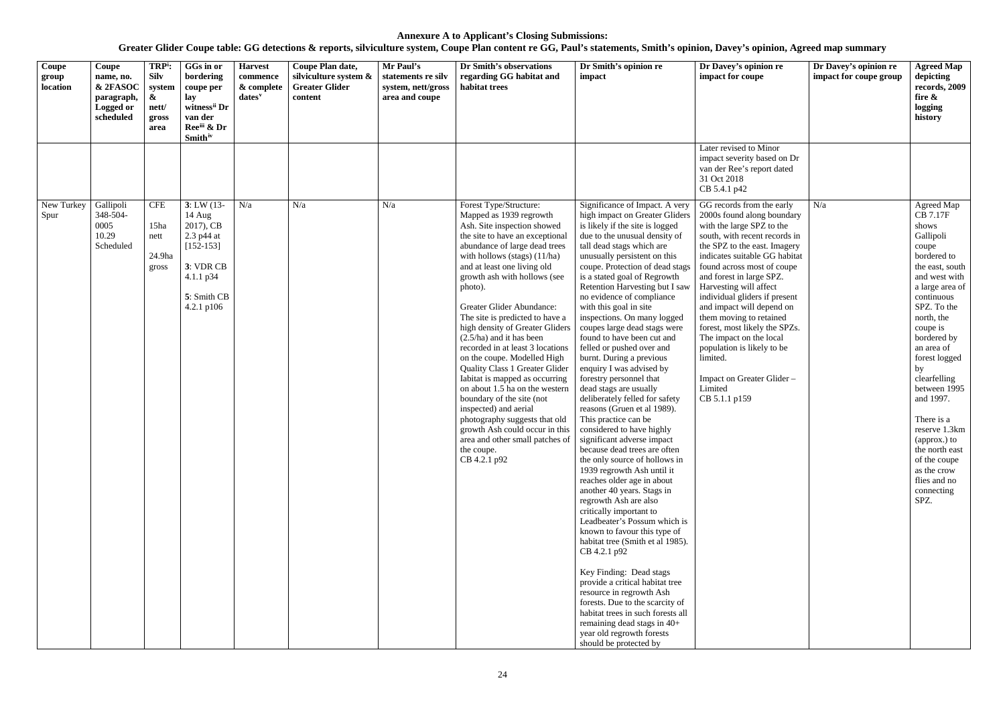| Coupe<br>group<br>location | Coupe<br>name, no.<br>& 2FASOC<br>paragraph,<br>Logged or<br>scheduled | TRP <sup>i</sup> :<br><b>Silv</b><br>system<br>$\boldsymbol{\alpha}$<br>nett/<br>gross<br>area | GGs in or<br>bordering<br>coupe per<br>lay<br>witness" Dr<br>van der<br>Reeii & Dr<br><b>Smith</b> <sup>iv</sup>         | <b>Harvest</b><br>commence<br>& complete<br>dates <sup>v</sup> | Coupe Plan date,<br>silviculture system &<br><b>Greater Glider</b><br>content | Mr Paul's<br>statements re silv<br>system, nett/gross<br>area and coupe | Dr Smith's observations<br>regarding GG habitat and<br>habitat trees                                                                                                                                                                                                                                                                                                                                                                                                                                                                                                                                                                                                                                                                                                        | Dr Smith's opinion re<br>impact                                                                                                                                                                                                                                                                                                                                                                                                                                                                                                                                                                                                                                                                                                                                                                                                                                                                                                                                                                                                                                                                                                                                                                                                                                                                                                                     | Dr Davey's opinion re<br>impact for coupe                                                                                                                                                                                                                                                                                                                                                                                                                                                                                           | Dr Davey's opinion re<br>impact for coupe group | <b>Agreed Map</b><br>depicting<br>records, 2009<br>fire $\&$<br>logging<br>history                                                                                                                                                                                                                                                                                                                                               |
|----------------------------|------------------------------------------------------------------------|------------------------------------------------------------------------------------------------|--------------------------------------------------------------------------------------------------------------------------|----------------------------------------------------------------|-------------------------------------------------------------------------------|-------------------------------------------------------------------------|-----------------------------------------------------------------------------------------------------------------------------------------------------------------------------------------------------------------------------------------------------------------------------------------------------------------------------------------------------------------------------------------------------------------------------------------------------------------------------------------------------------------------------------------------------------------------------------------------------------------------------------------------------------------------------------------------------------------------------------------------------------------------------|-----------------------------------------------------------------------------------------------------------------------------------------------------------------------------------------------------------------------------------------------------------------------------------------------------------------------------------------------------------------------------------------------------------------------------------------------------------------------------------------------------------------------------------------------------------------------------------------------------------------------------------------------------------------------------------------------------------------------------------------------------------------------------------------------------------------------------------------------------------------------------------------------------------------------------------------------------------------------------------------------------------------------------------------------------------------------------------------------------------------------------------------------------------------------------------------------------------------------------------------------------------------------------------------------------------------------------------------------------|-------------------------------------------------------------------------------------------------------------------------------------------------------------------------------------------------------------------------------------------------------------------------------------------------------------------------------------------------------------------------------------------------------------------------------------------------------------------------------------------------------------------------------------|-------------------------------------------------|----------------------------------------------------------------------------------------------------------------------------------------------------------------------------------------------------------------------------------------------------------------------------------------------------------------------------------------------------------------------------------------------------------------------------------|
|                            |                                                                        |                                                                                                |                                                                                                                          |                                                                |                                                                               |                                                                         |                                                                                                                                                                                                                                                                                                                                                                                                                                                                                                                                                                                                                                                                                                                                                                             |                                                                                                                                                                                                                                                                                                                                                                                                                                                                                                                                                                                                                                                                                                                                                                                                                                                                                                                                                                                                                                                                                                                                                                                                                                                                                                                                                     | Later revised to Minor<br>impact severity based on Dr<br>van der Ree's report dated<br>31 Oct 2018<br>CB 5.4.1 p42                                                                                                                                                                                                                                                                                                                                                                                                                  |                                                 |                                                                                                                                                                                                                                                                                                                                                                                                                                  |
| New Turkey<br>Spur         | Gallipoli<br>348-504-<br>0005<br>10.29<br>Scheduled                    | <b>CFE</b><br>15ha<br>nett<br>24.9ha<br>gross                                                  | $3: LW(13-$<br>$14$ Aug<br>2017), CB<br>2.3 p44 at<br>$[152-153]$<br>3: VDR CB<br>4.1.1 p34<br>5: Smith CB<br>4.2.1 p106 | N/a                                                            | N/a                                                                           | N/a                                                                     | Forest Type/Structure:<br>Mapped as 1939 regrowth<br>Ash. Site inspection showed<br>the site to have an exceptional<br>abundance of large dead trees<br>with hollows (stags) $(11/ha)$<br>and at least one living old<br>growth ash with hollows (see<br>photo).<br>Greater Glider Abundance:<br>The site is predicted to have a<br>high density of Greater Gliders<br>$(2.5/ha)$ and it has been<br>recorded in at least 3 locations<br>on the coupe. Modelled High<br><b>Quality Class 1 Greater Glider</b><br>Iabitat is mapped as occurring<br>on about 1.5 ha on the western<br>boundary of the site (not<br>inspected) and aerial<br>photography suggests that old<br>growth Ash could occur in this<br>area and other small patches of<br>the coupe.<br>CB 4.2.1 p92 | Significance of Impact. A very<br>high impact on Greater Gliders<br>is likely if the site is logged<br>due to the unusual density of<br>tall dead stags which are<br>unusually persistent on this<br>coupe. Protection of dead stags<br>is a stated goal of Regrowth<br>Retention Harvesting but I saw<br>no evidence of compliance<br>with this goal in site<br>inspections. On many logged<br>coupes large dead stags were<br>found to have been cut and<br>felled or pushed over and<br>burnt. During a previous<br>enquiry I was advised by<br>forestry personnel that<br>dead stags are usually<br>deliberately felled for safety<br>reasons (Gruen et al 1989).<br>This practice can be<br>considered to have highly<br>significant adverse impact<br>because dead trees are often<br>the only source of hollows in<br>1939 regrowth Ash until it<br>reaches older age in about<br>another 40 years. Stags in<br>regrowth Ash are also<br>critically important to<br>Leadbeater's Possum which is<br>known to favour this type of<br>habitat tree (Smith et al 1985).<br>CB 4.2.1 p92<br>Key Finding: Dead stags<br>provide a critical habitat tree<br>resource in regrowth Ash<br>forests. Due to the scarcity of<br>habitat trees in such forests all<br>remaining dead stags in 40+<br>year old regrowth forests<br>should be protected by | GG records from the early<br>2000s found along boundary<br>with the large SPZ to the<br>south, with recent records in<br>the SPZ to the east. Imagery<br>indicates suitable GG habitat<br>found across most of coupe<br>and forest in large SPZ.<br>Harvesting will affect<br>individual gliders if present<br>and impact will depend on<br>them moving to retained<br>forest, most likely the SPZs.<br>The impact on the local<br>population is likely to be<br>limited.<br>Impact on Greater Glider -<br>Limited<br>CB 5.1.1 p159 | N/a                                             | Agreed Map<br><b>CB 7.17F</b><br>shows<br>Gallipoli<br>coupe<br>bordered to<br>the east, south<br>and west with<br>a large area of<br>continuous<br>SPZ. To the<br>north, the<br>coupe is<br>bordered by<br>an area of<br>forest logged<br>by<br>clearfelling<br>between 1995<br>and 1997.<br>There is a<br>reserve 1.3km<br>(approx.) to<br>the north east<br>of the coupe<br>as the crow<br>flies and no<br>connecting<br>SPZ. |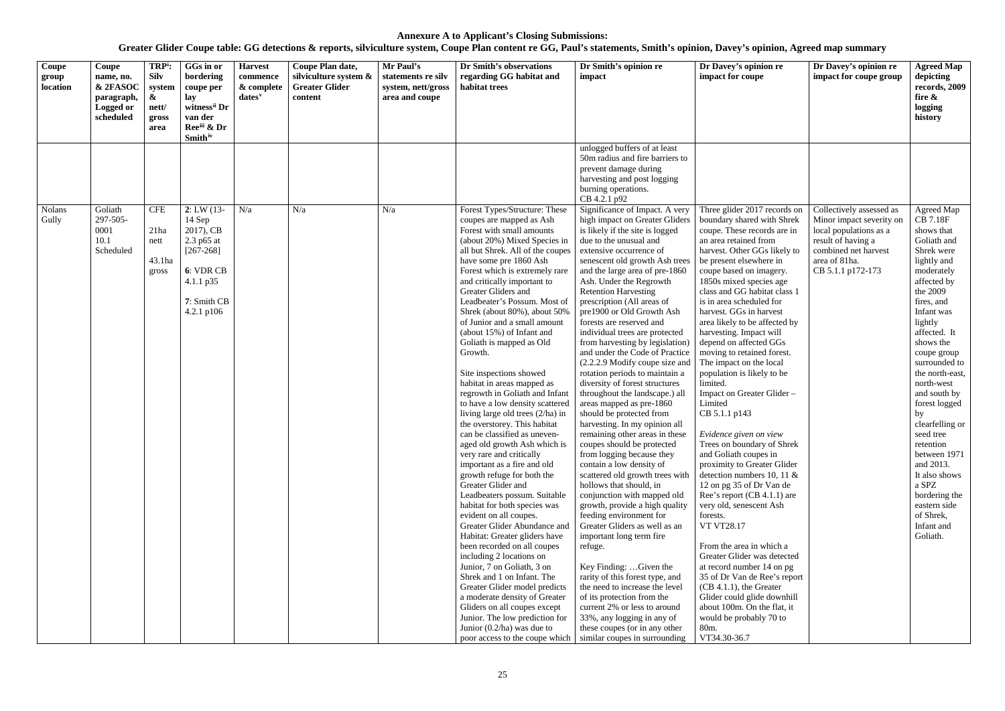| Coupe<br>group<br>location | Coupe<br>name, no.<br>& 2FASOC<br>paragraph,<br><b>Logged or</b><br>scheduled | TRP <sup>i</sup> :<br><b>Silv</b><br>system<br>&<br>nett/<br>gross<br>area | GGs in or<br>bordering<br>coupe per<br>lay<br>witness <sup>ii</sup> Dr<br>van der<br>Reeiii & Dr<br><b>Smith</b> iv      | <b>Harvest</b><br>commence<br>& complete<br>$dates$ <sup>v</sup> | Coupe Plan date,<br>silviculture system &<br><b>Greater Glider</b><br>content | Mr Paul's<br>statements re silv<br>system, nett/gross<br>area and coupe | Dr Smith's observations<br>regarding GG habitat and<br>habitat trees                                                                                                                                                                                                                                                                                                                                                                                                                                                                                                                                                                                                                                                                                                                                                                                                                                                                                                                                                                                                                                                                                                                                                                                                                                                      | Dr Smith's opinion re<br>impact                                                                                                                                                                                                                                                                                                                                                                                                                                                                                                                                                                                                                                                                                                                                                                                                                                                                                                                                                                                                                                                                                                                                                                                                                                                                                                                | Dr Davey's opinion re<br>impact for coupe                                                                                                                                                                                                                                                                                                                                                                                                                                                                                                                                                                                                                                                                                                                                                                                                                                                                                                                                                                                                                                                                                   | Dr Davey's opinion re<br>impact for coupe group                                                                                                                    | <b>Agreed Map</b><br>depicting<br>records, 2009<br>fire $\&$<br>logging<br>history                                                                                                                                                                                                                                                                                                                                                                                                       |
|----------------------------|-------------------------------------------------------------------------------|----------------------------------------------------------------------------|--------------------------------------------------------------------------------------------------------------------------|------------------------------------------------------------------|-------------------------------------------------------------------------------|-------------------------------------------------------------------------|---------------------------------------------------------------------------------------------------------------------------------------------------------------------------------------------------------------------------------------------------------------------------------------------------------------------------------------------------------------------------------------------------------------------------------------------------------------------------------------------------------------------------------------------------------------------------------------------------------------------------------------------------------------------------------------------------------------------------------------------------------------------------------------------------------------------------------------------------------------------------------------------------------------------------------------------------------------------------------------------------------------------------------------------------------------------------------------------------------------------------------------------------------------------------------------------------------------------------------------------------------------------------------------------------------------------------|------------------------------------------------------------------------------------------------------------------------------------------------------------------------------------------------------------------------------------------------------------------------------------------------------------------------------------------------------------------------------------------------------------------------------------------------------------------------------------------------------------------------------------------------------------------------------------------------------------------------------------------------------------------------------------------------------------------------------------------------------------------------------------------------------------------------------------------------------------------------------------------------------------------------------------------------------------------------------------------------------------------------------------------------------------------------------------------------------------------------------------------------------------------------------------------------------------------------------------------------------------------------------------------------------------------------------------------------|-----------------------------------------------------------------------------------------------------------------------------------------------------------------------------------------------------------------------------------------------------------------------------------------------------------------------------------------------------------------------------------------------------------------------------------------------------------------------------------------------------------------------------------------------------------------------------------------------------------------------------------------------------------------------------------------------------------------------------------------------------------------------------------------------------------------------------------------------------------------------------------------------------------------------------------------------------------------------------------------------------------------------------------------------------------------------------------------------------------------------------|--------------------------------------------------------------------------------------------------------------------------------------------------------------------|------------------------------------------------------------------------------------------------------------------------------------------------------------------------------------------------------------------------------------------------------------------------------------------------------------------------------------------------------------------------------------------------------------------------------------------------------------------------------------------|
|                            |                                                                               |                                                                            |                                                                                                                          |                                                                  |                                                                               |                                                                         |                                                                                                                                                                                                                                                                                                                                                                                                                                                                                                                                                                                                                                                                                                                                                                                                                                                                                                                                                                                                                                                                                                                                                                                                                                                                                                                           | unlogged buffers of at least<br>50m radius and fire barriers to<br>prevent damage during<br>harvesting and post logging<br>burning operations.<br>CB 4.2.1 p92                                                                                                                                                                                                                                                                                                                                                                                                                                                                                                                                                                                                                                                                                                                                                                                                                                                                                                                                                                                                                                                                                                                                                                                 |                                                                                                                                                                                                                                                                                                                                                                                                                                                                                                                                                                                                                                                                                                                                                                                                                                                                                                                                                                                                                                                                                                                             |                                                                                                                                                                    |                                                                                                                                                                                                                                                                                                                                                                                                                                                                                          |
| Nolans<br>Gully            | Goliath<br>297-505-<br>0001<br>10.1<br>Scheduled                              | <b>CFE</b><br>21ha<br>nett<br>43.1ha<br>gross                              | $2: LW(13-$<br>14 Sep<br>2017), CB<br>2.3 p65 at<br>$[267 - 268]$<br>6: VDR CB<br>4.1.1 p35<br>7: Smith CB<br>4.2.1 p106 | N/a                                                              | N/a                                                                           | N/a                                                                     | Forest Types/Structure: These<br>coupes are mapped as Ash<br>Forest with small amounts<br>(about 20%) Mixed Species in<br>all but Shrek. All of the coupes<br>have some pre 1860 Ash<br>Forest which is extremely rare<br>and critically important to<br>Greater Gliders and<br>Leadbeater's Possum. Most of<br>Shrek (about 80%), about 50%<br>of Junior and a small amount<br>(about 15%) of Infant and<br>Goliath is mapped as Old<br>Growth.<br>Site inspections showed<br>habitat in areas mapped as<br>regrowth in Goliath and Infant<br>to have a low density scattered<br>living large old trees (2/ha) in<br>the overstorey. This habitat<br>can be classified as uneven-<br>aged old growth Ash which is<br>very rare and critically<br>important as a fire and old<br>growth refuge for both the<br>Greater Glider and<br>Leadbeaters possum. Suitable<br>habitat for both species was<br>evident on all coupes.<br>Greater Glider Abundance and<br>Habitat: Greater gliders have<br>been recorded on all coupes<br>including 2 locations on<br>Junior, 7 on Goliath, 3 on<br>Shrek and 1 on Infant. The<br>Greater Glider model predicts<br>a moderate density of Greater<br>Gliders on all coupes except<br>Junior. The low prediction for<br>Junior $(0.2/ha)$ was due to<br>poor access to the coupe which | Significance of Impact. A very<br>high impact on Greater Gliders<br>is likely if the site is logged<br>due to the unusual and<br>extensive occurrence of<br>senescent old growth Ash trees<br>and the large area of pre-1860<br>Ash. Under the Regrowth<br><b>Retention Harvesting</b><br>prescription (All areas of<br>pre1900 or Old Growth Ash<br>forests are reserved and<br>individual trees are protected<br>from harvesting by legislation)<br>and under the Code of Practice<br>(2.2.2.9 Modify coupe size and<br>rotation periods to maintain a<br>diversity of forest structures<br>throughout the landscape.) all<br>areas mapped as pre-1860<br>should be protected from<br>harvesting. In my opinion all<br>remaining other areas in these<br>coupes should be protected<br>from logging because they<br>contain a low density of<br>scattered old growth trees with<br>hollows that should, in<br>conjunction with mapped old<br>growth, provide a high quality<br>feeding environment for<br>Greater Gliders as well as an<br>important long term fire<br>refuge.<br>Key Finding:  Given the<br>rarity of this forest type, and<br>the need to increase the level<br>of its protection from the<br>current 2% or less to around<br>33%, any logging in any of<br>these coupes (or in any other<br>similar coupes in surrounding | Three glider 2017 records on<br>boundary shared with Shrek<br>coupe. These records are in<br>an area retained from<br>harvest. Other GGs likely to<br>be present elsewhere in<br>coupe based on imagery.<br>1850s mixed species age<br>class and GG habitat class 1<br>is in area scheduled for<br>harvest. GGs in harvest<br>area likely to be affected by<br>harvesting. Impact will<br>depend on affected GGs<br>moving to retained forest.<br>The impact on the local<br>population is likely to be<br>limited.<br>Impact on Greater Glider-<br>Limited<br>CB 5.1.1 p143<br>Evidence given on view<br>Trees on boundary of Shrek<br>and Goliath coupes in<br>proximity to Greater Glider<br>detection numbers 10, 11 $\&$<br>12 on pg 35 of Dr Van de<br>Ree's report (CB 4.1.1) are<br>very old, senescent Ash<br>forests.<br><b>VT VT28.17</b><br>From the area in which a<br>Greater Glider was detected<br>at record number 14 on pg<br>35 of Dr Van de Ree's report<br>$(CB 4.1.1)$ , the Greater<br>Glider could glide downhill<br>about 100m. On the flat, it<br>would be probably 70 to<br>80m.<br>VT34.30-36.7 | Collectively assessed as<br>Minor impact severity on<br>local populations as a<br>result of having a<br>combined net harvest<br>area of 81ha.<br>CB 5.1.1 p172-173 | Agreed Map<br><b>CB 7.18F</b><br>shows that<br>Goliath and<br>Shrek were<br>lightly and<br>moderately<br>affected by<br>the 2009<br>fires, and<br>Infant was<br>lightly<br>affected. It<br>shows the<br>coupe group<br>surrounded to<br>the north-east,<br>north-west<br>and south by<br>forest logged<br>by<br>clearfelling or<br>seed tree<br>retention<br>between 1971<br>and 2013.<br>It also shows<br>a SPZ<br>bordering the<br>eastern side<br>of Shrek,<br>Infant and<br>Goliath. |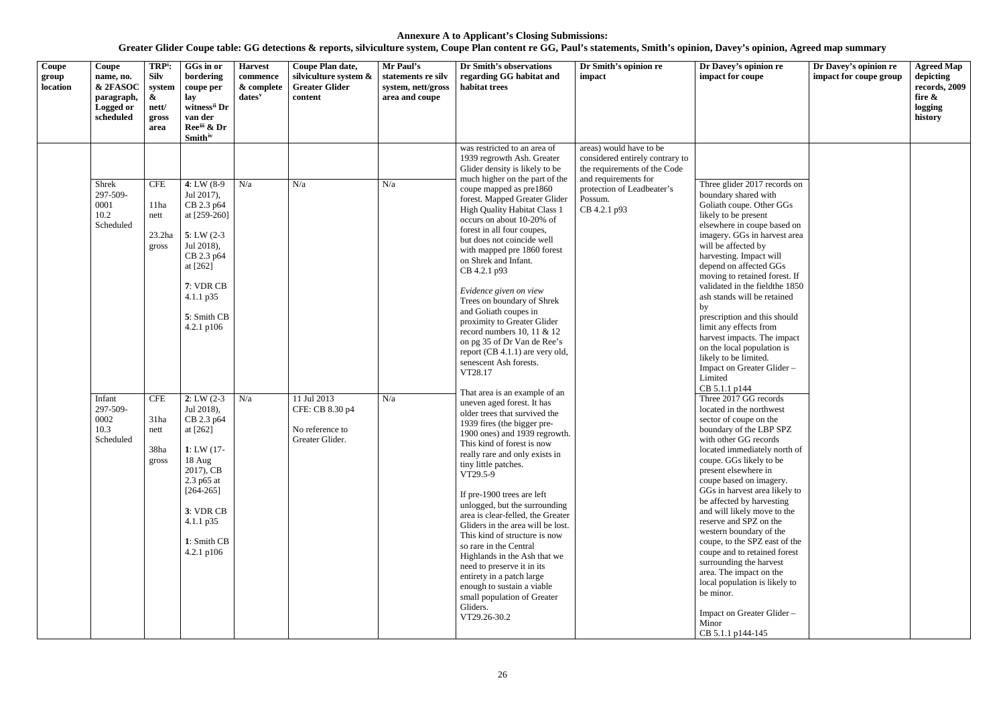| Coupe<br>group<br>location | Coupe<br>name, no.<br>& 2FASOC<br>paragraph,<br>Logged or<br>scheduled                            | TRP <sup>i</sup> :<br>Silv<br>system<br>&<br>nett/<br>gross<br>area                          | GGs in or<br>bordering<br>coupe per<br>lay<br>witness <sup>ii</sup> Dr<br>van der<br>Reeiii & Dr<br><b>Smith</b> <sup>iv</sup>                                                                                                                                                                                                                                                     | <b>Harvest</b><br>commence<br>& complete<br>dates <sup>v</sup> | Coupe Plan date,<br>silviculture system &<br><b>Greater Glider</b><br>content | Mr Paul's<br>statements re silv<br>system, nett/gross<br>area and coupe | Dr Smith's observations<br>regarding GG habitat and<br>habitat trees                                                                                                                                                                                                                                                                                                                                                                                                                                                                                                                                                                                                                                                                                                                                                                                                                                                                                                                                                                                                                                                                                                                                                                                                                                               | Dr Smith's opinion re<br>impact                                                                                                                                             | Dr Davey's opinion re<br>impact for coupe                                                                                                                                                                                                                                                                                                                                                                                                                                                                                                                                                                                                                                                                                                                                                                                                                                                                                                                                                                                                                                                                                                                                                                  | Dr Davey's opinion re<br>impact for coupe group | <b>Agreed Map</b><br>depicting<br>records, 2009<br>fire $\&$<br>logging<br>history |
|----------------------------|---------------------------------------------------------------------------------------------------|----------------------------------------------------------------------------------------------|------------------------------------------------------------------------------------------------------------------------------------------------------------------------------------------------------------------------------------------------------------------------------------------------------------------------------------------------------------------------------------|----------------------------------------------------------------|-------------------------------------------------------------------------------|-------------------------------------------------------------------------|--------------------------------------------------------------------------------------------------------------------------------------------------------------------------------------------------------------------------------------------------------------------------------------------------------------------------------------------------------------------------------------------------------------------------------------------------------------------------------------------------------------------------------------------------------------------------------------------------------------------------------------------------------------------------------------------------------------------------------------------------------------------------------------------------------------------------------------------------------------------------------------------------------------------------------------------------------------------------------------------------------------------------------------------------------------------------------------------------------------------------------------------------------------------------------------------------------------------------------------------------------------------------------------------------------------------|-----------------------------------------------------------------------------------------------------------------------------------------------------------------------------|------------------------------------------------------------------------------------------------------------------------------------------------------------------------------------------------------------------------------------------------------------------------------------------------------------------------------------------------------------------------------------------------------------------------------------------------------------------------------------------------------------------------------------------------------------------------------------------------------------------------------------------------------------------------------------------------------------------------------------------------------------------------------------------------------------------------------------------------------------------------------------------------------------------------------------------------------------------------------------------------------------------------------------------------------------------------------------------------------------------------------------------------------------------------------------------------------------|-------------------------------------------------|------------------------------------------------------------------------------------|
|                            | Shrek<br>297-509-<br>0001<br>10.2<br>Scheduled<br>Infant<br>297-509-<br>0002<br>10.3<br>Scheduled | <b>CFE</b><br>11ha<br>nett<br>23.2ha<br>gross<br><b>CFE</b><br>31ha<br>nett<br>38ha<br>gross | 4: LW $(8-9)$<br>Jul 2017),<br>CB 2.3 p64<br>at [259-260]<br>$5: LW(2-3)$<br>Jul 2018),<br>CB 2.3 p64<br>at [262]<br>7: VDR CB<br>$4.1.1$ p $35$<br>5: Smith CB<br>4.2.1 $p106$<br>$2: LW(2-3)$<br>Jul 2018),<br>CB 2.3 p64<br>at [262]<br>1: LW $(17 -$<br>18 Aug<br>2017), CB<br>2.3 p65 at<br>$[264-265]$<br>3: VDR CB<br>$4.1.1 \text{ p35}$<br>1: Smith CB<br>$4.2.1$ p $106$ | N/a<br>N/a                                                     | N/a<br>11 Jul 2013<br>CFE: CB 8.30 p4<br>No reference to<br>Greater Glider.   | N/a<br>N/a                                                              | was restricted to an area of<br>1939 regrowth Ash. Greater<br>Glider density is likely to be<br>much higher on the part of the<br>coupe mapped as pre1860<br>forest. Mapped Greater Glider<br><b>High Quality Habitat Class 1</b><br>occurs on about 10-20% of<br>forest in all four coupes,<br>but does not coincide well<br>with mapped pre 1860 forest<br>on Shrek and Infant.<br>CB 4.2.1 p93<br>Evidence given on view<br>Trees on boundary of Shrek<br>and Goliath coupes in<br>proximity to Greater Glider<br>record numbers 10, 11 & 12<br>on pg 35 of Dr Van de Ree's<br>report (CB 4.1.1) are very old,<br>senescent Ash forests.<br>VT28.17<br>That area is an example of an<br>uneven aged forest. It has<br>older trees that survived the<br>1939 fires (the bigger pre-<br>1900 ones) and 1939 regrowth.<br>This kind of forest is now<br>really rare and only exists in<br>tiny little patches.<br>VT29.5-9<br>If pre-1900 trees are left<br>unlogged, but the surrounding<br>area is clear-felled, the Greater<br>Gliders in the area will be lost.<br>This kind of structure is now<br>so rare in the Central<br>Highlands in the Ash that we<br>need to preserve it in its<br>entirety in a patch large<br>enough to sustain a viable<br>small population of Greater<br>Gliders.<br>VT29.26-30.2 | areas) would have to be<br>considered entirely contrary to<br>the requirements of the Code<br>and requirements for<br>protection of Leadbeater's<br>Possum.<br>CB 4.2.1 p93 | Three glider 2017 records on<br>boundary shared with<br>Goliath coupe. Other GGs<br>likely to be present<br>elsewhere in coupe based on<br>imagery. GGs in harvest area<br>will be affected by<br>harvesting. Impact will<br>depend on affected GGs<br>moving to retained forest. If<br>validated in the field the 1850<br>ash stands will be retained<br>by<br>prescription and this should<br>limit any effects from<br>harvest impacts. The impact<br>on the local population is<br>likely to be limited.<br>Impact on Greater Glider -<br>Limited<br>CB 5.1.1 p144<br>Three 2017 GG records<br>located in the northwest<br>sector of coupe on the<br>boundary of the LBP SPZ<br>with other GG records<br>located immediately north of<br>coupe. GGs likely to be<br>present elsewhere in<br>coupe based on imagery.<br>GGs in harvest area likely to<br>be affected by harvesting<br>and will likely move to the<br>reserve and SPZ on the<br>western boundary of the<br>coupe, to the SPZ east of the<br>coupe and to retained forest<br>surrounding the harvest<br>area. The impact on the<br>local population is likely to<br>be minor.<br>Impact on Greater Glider -<br>Minor<br>CB 5.1.1 p144-145 |                                                 |                                                                                    |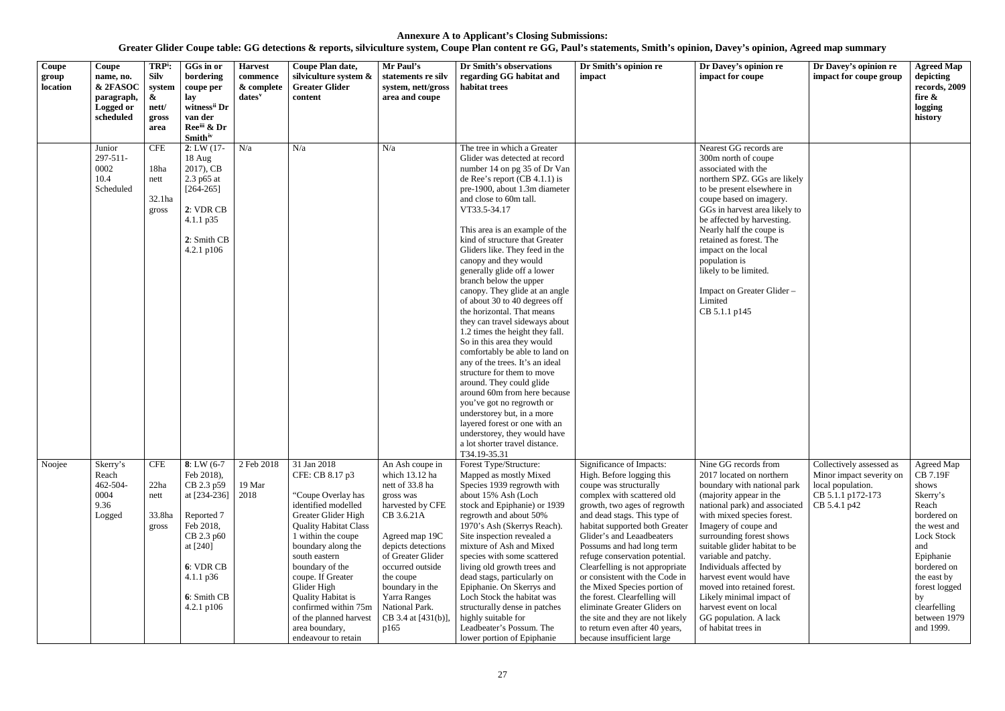| Coupe<br>group<br>location | Coupe<br>name, no.<br>& 2FASOC<br>paragraph,<br><b>Logged or</b><br>scheduled | TRP <sup>i</sup> :<br><b>Silv</b><br>system<br>&<br>nett/<br>gross<br>area | GGs in or<br>bordering<br>coupe per<br>lay<br>witness <sup>ii</sup> Dr<br>van der<br>Ree <sup>iii</sup> & Dr<br><b>Smith</b> iv                                                    | <b>Harvest</b><br>commence<br>& complete<br>$dates^v$ | Coupe Plan date,<br>silviculture system &<br><b>Greater Glider</b><br>content                                                                                                                                                                                                                                                                                                  | Mr Paul's<br>statements re silv<br>system, nett/gross<br>area and coupe                                                                                                                                                                                                               | Dr Smith's observations<br>regarding GG habitat and<br>habitat trees                                                                                                                                                                                                                                                                                                                                                                                                                                                                                                                                                                                                                                                                                                                                                                                                                                                                                | Dr Smith's opinion re<br>impact                                                                                                                                                                                                                                                                                                                                                                                                                                                                                                                                                       | Dr Davey's opinion re<br>impact for coupe                                                                                                                                                                                                                                                                                                                                                                                                                                          | Dr Davey's opinion re<br>impact for coupe group                                                                | <b>Agreed Map</b><br>depicting<br>records, 2009<br>fire &<br>logging<br>history                                                                                                                                                |
|----------------------------|-------------------------------------------------------------------------------|----------------------------------------------------------------------------|------------------------------------------------------------------------------------------------------------------------------------------------------------------------------------|-------------------------------------------------------|--------------------------------------------------------------------------------------------------------------------------------------------------------------------------------------------------------------------------------------------------------------------------------------------------------------------------------------------------------------------------------|---------------------------------------------------------------------------------------------------------------------------------------------------------------------------------------------------------------------------------------------------------------------------------------|-----------------------------------------------------------------------------------------------------------------------------------------------------------------------------------------------------------------------------------------------------------------------------------------------------------------------------------------------------------------------------------------------------------------------------------------------------------------------------------------------------------------------------------------------------------------------------------------------------------------------------------------------------------------------------------------------------------------------------------------------------------------------------------------------------------------------------------------------------------------------------------------------------------------------------------------------------|---------------------------------------------------------------------------------------------------------------------------------------------------------------------------------------------------------------------------------------------------------------------------------------------------------------------------------------------------------------------------------------------------------------------------------------------------------------------------------------------------------------------------------------------------------------------------------------|------------------------------------------------------------------------------------------------------------------------------------------------------------------------------------------------------------------------------------------------------------------------------------------------------------------------------------------------------------------------------------------------------------------------------------------------------------------------------------|----------------------------------------------------------------------------------------------------------------|--------------------------------------------------------------------------------------------------------------------------------------------------------------------------------------------------------------------------------|
|                            | Junior<br>$297 - 511$<br>0002<br>10.4<br>Scheduled                            | <b>CFE</b><br>18ha<br>nett<br>32.1ha<br>gross                              | 2: LW(17)<br>18 Aug<br>2017), CB<br>2.3 p65 at<br>$[264-265]$<br>2: VDR CB<br>4.1.1 p35<br>2: Smith CB<br>$4.2.1$ p $106$                                                          | N/a                                                   | N/a                                                                                                                                                                                                                                                                                                                                                                            | N/a                                                                                                                                                                                                                                                                                   | The tree in which a Greater<br>Glider was detected at record<br>number 14 on pg 35 of Dr Van<br>de Ree's report $(CB 4.1.1)$ is<br>pre-1900, about 1.3m diameter<br>and close to 60m tall.<br>VT33.5-34.17<br>This area is an example of the<br>kind of structure that Greater<br>Gliders like. They feed in the<br>canopy and they would<br>generally glide off a lower<br>branch below the upper<br>canopy. They glide at an angle<br>of about 30 to 40 degrees off<br>the horizontal. That means<br>they can travel sideways about<br>1.2 times the height they fall.<br>So in this area they would<br>comfortably be able to land on<br>any of the trees. It's an ideal<br>structure for them to move<br>around. They could glide<br>around 60m from here because<br>you've got no regrowth or<br>understorey but, in a more<br>layered forest or one with an<br>understorey, they would have<br>a lot shorter travel distance.<br>T34.19-35.31 |                                                                                                                                                                                                                                                                                                                                                                                                                                                                                                                                                                                       | Nearest GG records are<br>300m north of coupe<br>associated with the<br>northern SPZ. GGs are likely<br>to be present elsewhere in<br>coupe based on imagery.<br>GGs in harvest area likely to<br>be affected by harvesting.<br>Nearly half the coupe is<br>retained as forest. The<br>impact on the local<br>population is<br>likely to be limited.<br>Impact on Greater Glider -<br>Limited<br>CB 5.1.1 p145                                                                     |                                                                                                                |                                                                                                                                                                                                                                |
| Noojee                     | Skerry's<br>Reach<br>462-504-<br>0004<br>9.36<br>Logged                       | <b>CFE</b><br>22ha<br>nett<br>33.8ha<br>gross                              | $8: LW(6-7)$<br>Feb 2018),<br>CB 2.3 p59<br>at $[234-236]$<br>Reported 7<br>Feb 2018,<br>CB 2.3 p60<br>at [240]<br>6: VDR CB<br>$4.1.1 \text{ p36}$<br>6: Smith CB<br>4.2.1 $p106$ | 2 Feb 2018<br>19 Mar<br>2018                          | 31 Jan 2018<br>CFE: CB 8.17 p3<br>"Coupe Overlay has<br>identified modelled<br>Greater Glider High<br><b>Quality Habitat Class</b><br>1 within the coupe<br>boundary along the<br>south eastern<br>boundary of the<br>coupe. If Greater<br>Glider High<br><b>Quality Habitat is</b><br>confirmed within 75m<br>of the planned harvest<br>area boundary,<br>endeavour to retain | An Ash coupe in<br>which 13.12 ha<br>nett of 33.8 ha<br>gross was<br>harvested by CFE<br>CB 3.6.21A<br>Agreed map 19C<br>depicts detections<br>of Greater Glider<br>occurred outside<br>the coupe<br>boundary in the<br>Yarra Ranges<br>National Park.<br>CB 3.4 at [431(b)],<br>p165 | Forest Type/Structure:<br>Mapped as mostly Mixed<br>Species 1939 regrowth with<br>about 15% Ash (Loch<br>stock and Epiphanie) or 1939<br>regrowth and about 50%<br>1970's Ash (Skerrys Reach).<br>Site inspection revealed a<br>mixture of Ash and Mixed<br>species with some scattered<br>living old growth trees and<br>dead stags, particularly on<br>Epiphanie. On Skerrys and<br>Loch Stock the habitat was<br>structurally dense in patches<br>highly suitable for<br>Leadbeater's Possum. The<br>lower portion of Epiphanie                                                                                                                                                                                                                                                                                                                                                                                                                  | Significance of Impacts:<br>High. Before logging this<br>coupe was structurally<br>complex with scattered old<br>growth, two ages of regrowth<br>and dead stags. This type of<br>habitat supported both Greater<br>Glider's and Leaadbeaters<br>Possums and had long term<br>refuge conservation potential.<br>Clearfelling is not appropriate<br>or consistent with the Code in<br>the Mixed Species portion of<br>the forest. Clearfelling will<br>eliminate Greater Gliders on<br>the site and they are not likely<br>to return even after 40 years,<br>because insufficient large | Nine GG records from<br>2017 located on northern<br>boundary with national park<br>(majority appear in the<br>national park) and associated<br>with mixed species forest.<br>Imagery of coupe and<br>surrounding forest shows<br>suitable glider habitat to be<br>variable and patchy.<br>Individuals affected by<br>harvest event would have<br>moved into retained forest.<br>Likely minimal impact of<br>harvest event on local<br>GG population. A lack<br>of habitat trees in | Collectively assessed as<br>Minor impact severity on<br>local population.<br>CB 5.1.1 p172-173<br>CB 5.4.1 p42 | Agreed Map<br><b>CB 7.19F</b><br>shows<br>Skerry's<br>Reach<br>bordered on<br>the west and<br>Lock Stock<br>and<br>Epiphanie<br>bordered on<br>the east by<br>forest logged<br>by<br>clearfelling<br>between 1979<br>and 1999. |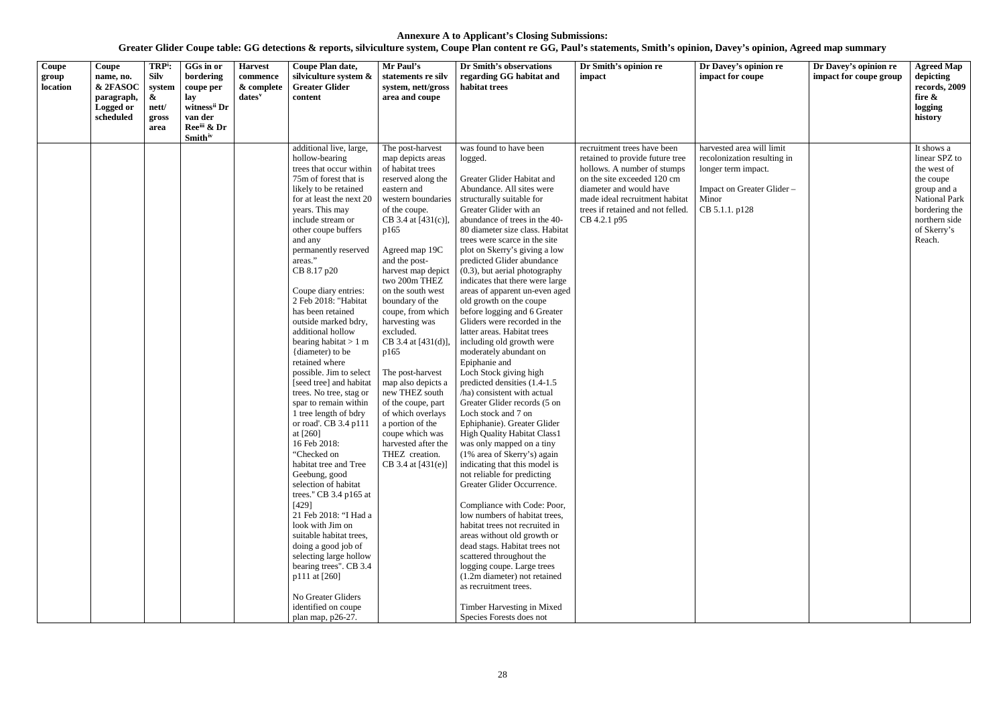| Coupe<br>group<br>location | Coupe<br>name, no.<br>& 2FASOC<br>paragraph,<br>Logged or<br>scheduled | TRP <sup>i</sup> :<br><b>Silv</b><br>system<br>$\boldsymbol{\alpha}$<br>nett/<br>gross<br>area | GGs in or<br>bordering<br>coupe per<br>lay<br>witness <sup>ii</sup> Dr<br>van der<br>Reeiii & Dr<br><b>Smith</b> <sup>iv</sup> | <b>Harvest</b><br>commence<br>& complete<br>$dates^v$ | Coupe Plan date,<br>silviculture system &<br><b>Greater Glider</b><br>content                                                                                                                                                                                                                                                                                                                                                                                                                                                                                                                                                                                                                                                                                                                                                                                                                                                                                                                                         | Mr Paul's<br>statements re silv<br>system, nett/gross<br>area and coupe                                                                                                                                                                                                                                                                                                                                                                                                                                                                                                                | Dr Smith's observations<br>regarding GG habitat and<br>habitat trees                                                                                                                                                                                                                                                                                                                                                                                                                                                                                                                                                                                                                                                                                                                                                                                                                                                                                                                                                                                                                                                                                                                                                                                                                                                                                    | Dr Smith's opinion re<br>impact                                                                                                                                                                                                                | Dr Davey's opinion re<br>impact for coupe                                                                                               | Dr Davey's opinion re<br>impact for coupe group | <b>Agreed Map</b><br>depicting<br>records, 2009<br>fire &<br>logging<br>history                                                                    |
|----------------------------|------------------------------------------------------------------------|------------------------------------------------------------------------------------------------|--------------------------------------------------------------------------------------------------------------------------------|-------------------------------------------------------|-----------------------------------------------------------------------------------------------------------------------------------------------------------------------------------------------------------------------------------------------------------------------------------------------------------------------------------------------------------------------------------------------------------------------------------------------------------------------------------------------------------------------------------------------------------------------------------------------------------------------------------------------------------------------------------------------------------------------------------------------------------------------------------------------------------------------------------------------------------------------------------------------------------------------------------------------------------------------------------------------------------------------|----------------------------------------------------------------------------------------------------------------------------------------------------------------------------------------------------------------------------------------------------------------------------------------------------------------------------------------------------------------------------------------------------------------------------------------------------------------------------------------------------------------------------------------------------------------------------------------|---------------------------------------------------------------------------------------------------------------------------------------------------------------------------------------------------------------------------------------------------------------------------------------------------------------------------------------------------------------------------------------------------------------------------------------------------------------------------------------------------------------------------------------------------------------------------------------------------------------------------------------------------------------------------------------------------------------------------------------------------------------------------------------------------------------------------------------------------------------------------------------------------------------------------------------------------------------------------------------------------------------------------------------------------------------------------------------------------------------------------------------------------------------------------------------------------------------------------------------------------------------------------------------------------------------------------------------------------------|------------------------------------------------------------------------------------------------------------------------------------------------------------------------------------------------------------------------------------------------|-----------------------------------------------------------------------------------------------------------------------------------------|-------------------------------------------------|----------------------------------------------------------------------------------------------------------------------------------------------------|
|                            |                                                                        |                                                                                                |                                                                                                                                |                                                       | additional live, large,<br>hollow-bearing<br>trees that occur within<br>75m of forest that is<br>likely to be retained<br>for at least the next 20<br>years. This may<br>include stream or<br>other coupe buffers<br>and any<br>permanently reserved<br>areas."<br>CB 8.17 p20<br>Coupe diary entries:<br>2 Feb 2018: "Habitat<br>has been retained<br>outside marked bdry,<br>additional hollow<br>bearing habitat $> 1$ m<br>{diameter} to be<br>retained where<br>possible. Jim to select<br>[seed tree] and habitat<br>trees. No tree, stag or<br>spar to remain within<br>1 tree length of bdry<br>or road'. CB 3.4 p111<br>at $[260]$<br>16 Feb 2018:<br>"Checked on<br>habitat tree and Tree<br>Geebung, good<br>selection of habitat<br>trees." CB 3.4 p165 at<br>[429]<br>21 Feb 2018: "I Had a<br>look with Jim on<br>suitable habitat trees,<br>doing a good job of<br>selecting large hollow<br>bearing trees". CB 3.4<br>p111 at [260]<br>No Greater Gliders<br>identified on coupe<br>plan map, p26-27. | The post-harvest<br>map depicts areas<br>of habitat trees<br>reserved along the<br>eastern and<br>western boundaries<br>of the coupe.<br>CB 3.4 at [431(c)],<br>p165<br>Agreed map 19C<br>and the post-<br>harvest map depict<br>two 200m THEZ<br>on the south west<br>boundary of the<br>coupe, from which<br>harvesting was<br>excluded.<br>CB 3.4 at [431(d)].<br>p165<br>The post-harvest<br>map also depicts a<br>new THEZ south<br>of the coupe, part<br>of which overlays<br>a portion of the<br>coupe which was<br>harvested after the<br>THEZ creation.<br>CB 3.4 at [431(e)] | was found to have been<br>logged.<br>Greater Glider Habitat and<br>Abundance. All sites were<br>structurally suitable for<br>Greater Glider with an<br>abundance of trees in the 40-<br>80 diameter size class. Habitat<br>trees were scarce in the site<br>plot on Skerry's giving a low<br>predicted Glider abundance<br>(0.3), but aerial photography<br>indicates that there were large<br>areas of apparent un-even aged<br>old growth on the coupe<br>before logging and 6 Greater<br>Gliders were recorded in the<br>latter areas. Habitat trees<br>including old growth were<br>moderately abundant on<br>Epiphanie and<br>Loch Stock giving high<br>predicted densities (1.4-1.5)<br>/ha) consistent with actual<br>Greater Glider records (5 on<br>Loch stock and 7 on<br>Ephiphanie). Greater Glider<br>High Quality Habitat Class1<br>was only mapped on a tiny<br>(1% area of Skerry's) again<br>indicating that this model is<br>not reliable for predicting<br>Greater Glider Occurrence.<br>Compliance with Code: Poor,<br>low numbers of habitat trees,<br>habitat trees not recruited in<br>areas without old growth or<br>dead stags. Habitat trees not<br>scattered throughout the<br>logging coupe. Large trees<br>(1.2m diameter) not retained<br>as recruitment trees.<br>Timber Harvesting in Mixed<br>Species Forests does not | recruitment trees have been<br>retained to provide future tree<br>hollows. A number of stumps<br>on the site exceeded 120 cm<br>diameter and would have<br>made ideal recruitment habitat<br>trees if retained and not felled.<br>CB 4.2.1 p95 | harvested area will limit<br>recolonization resulting in<br>longer term impact.<br>Impact on Greater Glider-<br>Minor<br>CB 5.1.1. p128 |                                                 | It shows a<br>linear SPZ to<br>the west of<br>the coupe<br>group and a<br>National Park<br>bordering the<br>northern side<br>of Skerry's<br>Reach. |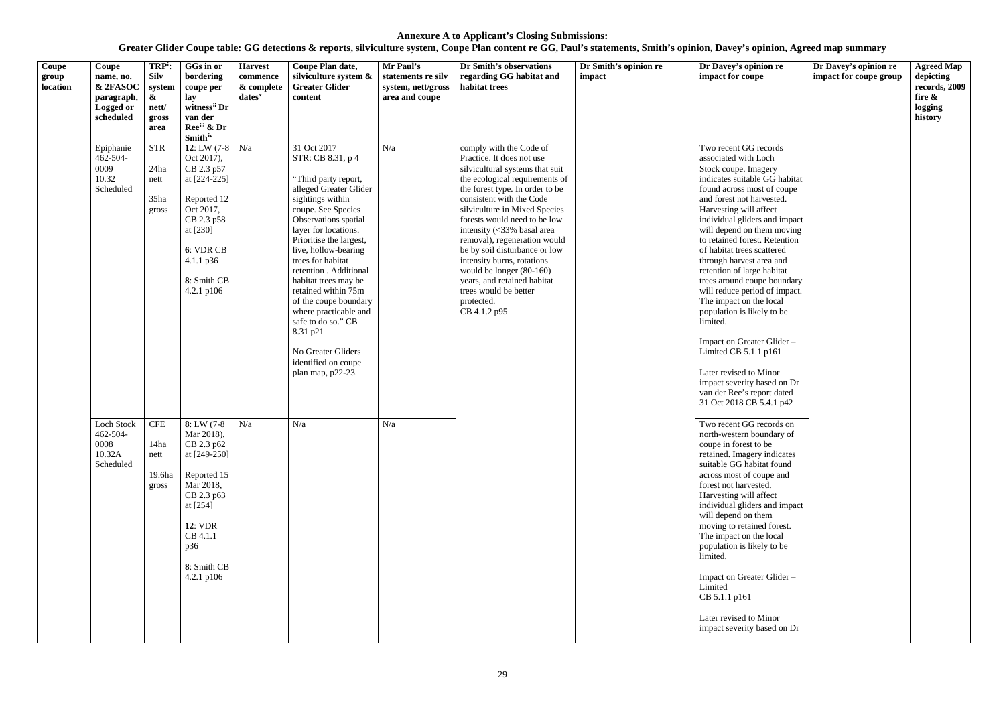| Coupe<br>group<br>location | Coupe<br>name, no.<br>& 2FASOC<br>paragraph,<br><b>Logged or</b><br>scheduled | TRP <sup>i</sup> :<br><b>Silv</b><br>system<br>$\boldsymbol{\alpha}$<br>nett/<br>gross<br>area | GGs in or<br>bordering<br>coupe per<br>lay<br>witness <sup>ii</sup> Dr<br>van der<br>Reeiii & Dr<br><b>Smith</b> iv                                                                   | <b>Harvest</b><br>commence<br>& complete<br>$dates^v$ | Coupe Plan date,<br>silviculture system &<br><b>Greater Glider</b><br>content                                                                                                                                                                                                                                                                                                                                                                                                       | Mr Paul's<br>statements re silv<br>system, nett/gross<br>area and coupe | Dr Smith's observations<br>regarding GG habitat and<br>habitat trees                                                                                                                                                                                                                                                                                                                                                                                                                                     | Dr Smith's opinion re<br>impact | Dr Davey's opinion re<br>impact for coupe                                                                                                                                                                                                                                                                                                                                                                                                                                                                                                                                                                                                                                                           | Dr Davey's opinion re<br>impact for coupe group | <b>Agreed Map</b><br>depicting<br>records, 2009<br>fire &<br>logging<br>history |
|----------------------------|-------------------------------------------------------------------------------|------------------------------------------------------------------------------------------------|---------------------------------------------------------------------------------------------------------------------------------------------------------------------------------------|-------------------------------------------------------|-------------------------------------------------------------------------------------------------------------------------------------------------------------------------------------------------------------------------------------------------------------------------------------------------------------------------------------------------------------------------------------------------------------------------------------------------------------------------------------|-------------------------------------------------------------------------|----------------------------------------------------------------------------------------------------------------------------------------------------------------------------------------------------------------------------------------------------------------------------------------------------------------------------------------------------------------------------------------------------------------------------------------------------------------------------------------------------------|---------------------------------|-----------------------------------------------------------------------------------------------------------------------------------------------------------------------------------------------------------------------------------------------------------------------------------------------------------------------------------------------------------------------------------------------------------------------------------------------------------------------------------------------------------------------------------------------------------------------------------------------------------------------------------------------------------------------------------------------------|-------------------------------------------------|---------------------------------------------------------------------------------|
|                            | Epiphanie<br>462-504-<br>0009<br>10.32<br>Scheduled                           | <b>STR</b><br>24ha<br>nett<br>35ha<br>gross                                                    | 12: LW $(7-8)$ N/a<br>Oct 2017),<br>CB 2.3 p57<br>at [224-225]<br>Reported 12<br>Oct 2017,<br>CB 2.3 p58<br>at [230]<br>6: VDR CB<br>$4.1.1 \text{ p36}$<br>8: Smith CB<br>4.2.1 p106 |                                                       | 31 Oct 2017<br>STR: CB 8.31, p 4<br>"Third party report,<br>alleged Greater Glider<br>sightings within<br>coupe. See Species<br>Observations spatial<br>layer for locations.<br>Prioritise the largest,<br>live, hollow-bearing<br>trees for habitat<br>retention . Additional<br>habitat trees may be<br>retained within 75m<br>of the coupe boundary<br>where practicable and<br>safe to do so." CB<br>8.31 p21<br>No Greater Gliders<br>identified on coupe<br>plan map, p22-23. | N/a                                                                     | comply with the Code of<br>Practice. It does not use<br>silvicultural systems that suit<br>the ecological requirements of<br>the forest type. In order to be<br>consistent with the Code<br>silviculture in Mixed Species<br>forests would need to be low<br>intensity (<33% basal area<br>removal), regeneration would<br>be by soil disturbance or low<br>intensity burns, rotations<br>would be longer (80-160)<br>years, and retained habitat<br>trees would be better<br>protected.<br>CB 4.1.2 p95 |                                 | Two recent GG records<br>associated with Loch<br>Stock coupe. Imagery<br>indicates suitable GG habitat<br>found across most of coupe<br>and forest not harvested.<br>Harvesting will affect<br>individual gliders and impact<br>will depend on them moving<br>to retained forest. Retention<br>of habitat trees scattered<br>through harvest area and<br>retention of large habitat<br>trees around coupe boundary<br>will reduce period of impact.<br>The impact on the local<br>population is likely to be<br>limited.<br>Impact on Greater Glider-<br>Limited CB $5.1.1$ p161<br>Later revised to Minor<br>impact severity based on Dr<br>van der Ree's report dated<br>31 Oct 2018 CB 5.4.1 p42 |                                                 |                                                                                 |
|                            | Loch Stock<br>462-504-<br>0008<br>10.32A<br>Scheduled                         | <b>CFE</b><br>14ha<br>nett<br>19.6ha<br>gross                                                  | $8: LW(7-8)$<br>Mar 2018),<br>CB 2.3 p62<br>at [249-250]<br>Reported 15<br>Mar 2018,<br>CB 2.3 p63<br>at [254]<br><b>12: VDR</b><br>CB 4.1.1<br>p36<br>8: Smith CB<br>4.2.1 p106      | N/a                                                   | N/a                                                                                                                                                                                                                                                                                                                                                                                                                                                                                 | N/a                                                                     |                                                                                                                                                                                                                                                                                                                                                                                                                                                                                                          |                                 | Two recent GG records on<br>north-western boundary of<br>coupe in forest to be<br>retained. Imagery indicates<br>suitable GG habitat found<br>across most of coupe and<br>forest not harvested.<br>Harvesting will affect<br>individual gliders and impact<br>will depend on them<br>moving to retained forest.<br>The impact on the local<br>population is likely to be<br>limited.<br>Impact on Greater Glider -<br>Limited<br>CB 5.1.1 p161<br>Later revised to Minor<br>impact severity based on Dr                                                                                                                                                                                             |                                                 |                                                                                 |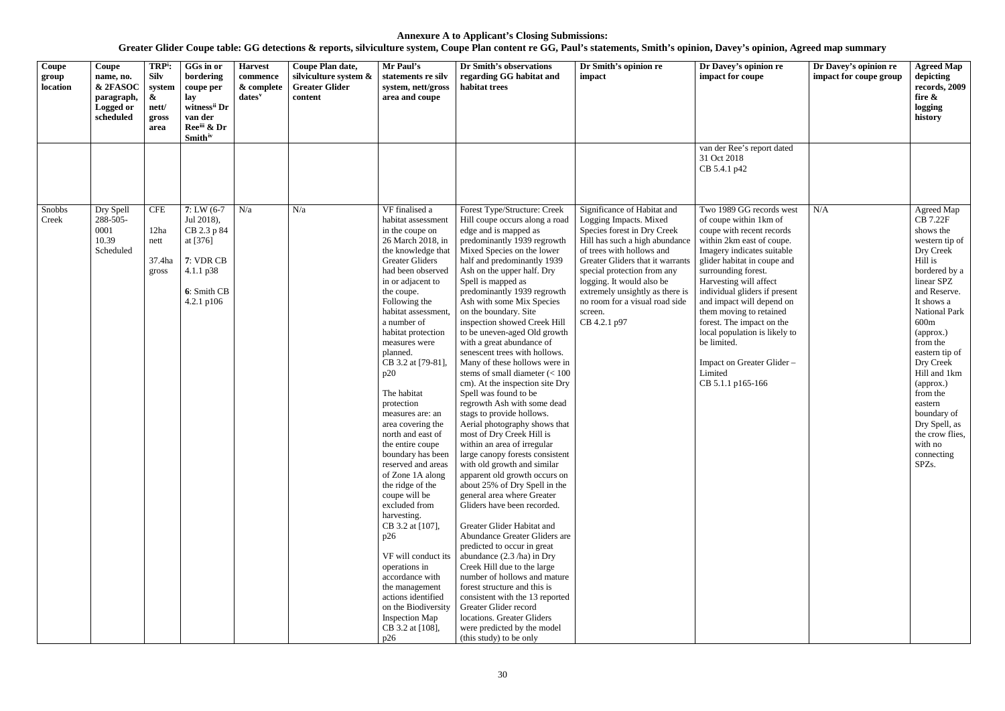| Coupe<br>group<br>location | Coupe<br>name, no.<br>& 2FASOC<br>paragraph,<br>Logged or<br>scheduled | TRP <sup>i</sup> :<br><b>Silv</b><br>system<br>$\boldsymbol{\&}$<br>nett/<br>gross<br>area | GGs in or<br>bordering<br>coupe per<br>lay<br>witness <sup>ii</sup> Dr<br>van der<br>Reeii & Dr<br><b>Smith</b> <sup>iv</sup> | <b>Harvest</b><br>commence<br>& complete<br>$dates^v$ | Coupe Plan date,<br>silviculture system &<br><b>Greater Glider</b><br>content | Mr Paul's<br>statements re silv<br>system, nett/gross<br>area and coupe                                                                                                                                                                                                                                                                                                                                                                                                                                                                                                                                                                                                                                                                                                                | Dr Smith's observations<br>regarding GG habitat and<br>habitat trees                                                                                                                                                                                                                                                                                                                                                                                                                                                                                                                                                                                                                                                                                                                                                                                                                                                                                                                                                                                                                                                                                                                                                                                                                                                                  | Dr Smith's opinion re<br>impact                                                                                                                                                                                                                                                                                                                     | Dr Davey's opinion re<br>impact for coupe                                                                                                                                                                                                                                                                                                                                                                                                                     | Dr Davey's opinion re<br>impact for coupe group | <b>Agreed Map</b><br>depicting<br>records, 2009<br>fire &<br>logging<br>history                                                                                                                                                                                                                                                                                             |
|----------------------------|------------------------------------------------------------------------|--------------------------------------------------------------------------------------------|-------------------------------------------------------------------------------------------------------------------------------|-------------------------------------------------------|-------------------------------------------------------------------------------|----------------------------------------------------------------------------------------------------------------------------------------------------------------------------------------------------------------------------------------------------------------------------------------------------------------------------------------------------------------------------------------------------------------------------------------------------------------------------------------------------------------------------------------------------------------------------------------------------------------------------------------------------------------------------------------------------------------------------------------------------------------------------------------|---------------------------------------------------------------------------------------------------------------------------------------------------------------------------------------------------------------------------------------------------------------------------------------------------------------------------------------------------------------------------------------------------------------------------------------------------------------------------------------------------------------------------------------------------------------------------------------------------------------------------------------------------------------------------------------------------------------------------------------------------------------------------------------------------------------------------------------------------------------------------------------------------------------------------------------------------------------------------------------------------------------------------------------------------------------------------------------------------------------------------------------------------------------------------------------------------------------------------------------------------------------------------------------------------------------------------------------|-----------------------------------------------------------------------------------------------------------------------------------------------------------------------------------------------------------------------------------------------------------------------------------------------------------------------------------------------------|---------------------------------------------------------------------------------------------------------------------------------------------------------------------------------------------------------------------------------------------------------------------------------------------------------------------------------------------------------------------------------------------------------------------------------------------------------------|-------------------------------------------------|-----------------------------------------------------------------------------------------------------------------------------------------------------------------------------------------------------------------------------------------------------------------------------------------------------------------------------------------------------------------------------|
|                            |                                                                        |                                                                                            |                                                                                                                               |                                                       |                                                                               |                                                                                                                                                                                                                                                                                                                                                                                                                                                                                                                                                                                                                                                                                                                                                                                        |                                                                                                                                                                                                                                                                                                                                                                                                                                                                                                                                                                                                                                                                                                                                                                                                                                                                                                                                                                                                                                                                                                                                                                                                                                                                                                                                       |                                                                                                                                                                                                                                                                                                                                                     | van der Ree's report dated<br>31 Oct 2018<br>CB 5.4.1 p42                                                                                                                                                                                                                                                                                                                                                                                                     |                                                 |                                                                                                                                                                                                                                                                                                                                                                             |
| Snobbs<br>Creek            | Dry Spell<br>288-505-<br>0001<br>10.39<br>Scheduled                    | <b>CFE</b><br>12ha<br>nett<br>37.4ha<br>gross                                              | $7: LW(6-7)$<br>Jul 2018),<br>CB 2.3 p 84<br>at [376]<br>7: VDR CB<br>$4.1.1 \text{ p38}$<br>6: Smith CB<br>4.2.1 p106        | N/a                                                   | N/a                                                                           | VF finalised a<br>habitat assessment<br>in the coupe on<br>26 March 2018, in<br>the knowledge that<br><b>Greater Gliders</b><br>had been observed<br>in or adjacent to<br>the coupe.<br>Following the<br>habitat assessment<br>a number of<br>habitat protection<br>measures were<br>planned.<br>CB 3.2 at [79-81],<br>p20<br>The habitat<br>protection<br>measures are: an<br>area covering the<br>north and east of<br>the entire coupe<br>boundary has been<br>reserved and areas<br>of Zone 1A along<br>the ridge of the<br>coupe will be<br>excluded from<br>harvesting.<br>CB 3.2 at [107],<br>p26<br>VF will conduct its<br>operations in<br>accordance with<br>the management<br>actions identified<br>on the Biodiversity<br><b>Inspection Map</b><br>CB 3.2 at [108],<br>p26 | Forest Type/Structure: Creek<br>Hill coupe occurs along a road<br>edge and is mapped as<br>predominantly 1939 regrowth<br>Mixed Species on the lower<br>half and predominantly 1939<br>Ash on the upper half. Dry<br>Spell is mapped as<br>predominantly 1939 regrowth<br>Ash with some Mix Species<br>on the boundary. Site<br>inspection showed Creek Hill<br>to be uneven-aged Old growth<br>with a great abundance of<br>senescent trees with hollows.<br>Many of these hollows were in<br>stems of small diameter $(< 100$<br>cm). At the inspection site Dry<br>Spell was found to be<br>regrowth Ash with some dead<br>stags to provide hollows.<br>Aerial photography shows that<br>most of Dry Creek Hill is<br>within an area of irregular<br>large canopy forests consistent<br>with old growth and similar<br>apparent old growth occurs on<br>about 25% of Dry Spell in the<br>general area where Greater<br>Gliders have been recorded.<br>Greater Glider Habitat and<br>Abundance Greater Gliders are<br>predicted to occur in great<br>abundance $(2.3/ha)$ in Dry<br>Creek Hill due to the large<br>number of hollows and mature<br>forest structure and this is<br>consistent with the 13 reported<br>Greater Glider record<br>locations. Greater Gliders<br>were predicted by the model<br>(this study) to be only | Significance of Habitat and<br>Logging Impacts. Mixed<br>Species forest in Dry Creek<br>Hill has such a high abundance<br>of trees with hollows and<br>Greater Gliders that it warrants<br>special protection from any<br>logging. It would also be<br>extremely unsightly as there is<br>no room for a visual road side<br>screen.<br>CB 4.2.1 p97 | Two 1989 GG records west<br>of coupe within 1km of<br>coupe with recent records<br>within 2km east of coupe.<br>Imagery indicates suitable<br>glider habitat in coupe and<br>surrounding forest.<br>Harvesting will affect<br>individual gliders if present<br>and impact will depend on<br>them moving to retained<br>forest. The impact on the<br>local population is likely to<br>be limited.<br>Impact on Greater Glider-<br>Limited<br>CB 5.1.1 p165-166 | N/A                                             | Agreed Map<br><b>CB 7.22F</b><br>shows the<br>western tip of<br>Dry Creek<br>Hill is<br>bordered by a<br>linear SPZ<br>and Reserve.<br>It shows a<br>National Park<br>600m<br>(approx.)<br>from the<br>eastern tip of<br>Dry Creek<br>Hill and 1km<br>(approx.)<br>from the<br>eastern<br>boundary of<br>Dry Spell, as<br>the crow flies,<br>with no<br>connecting<br>SPZs. |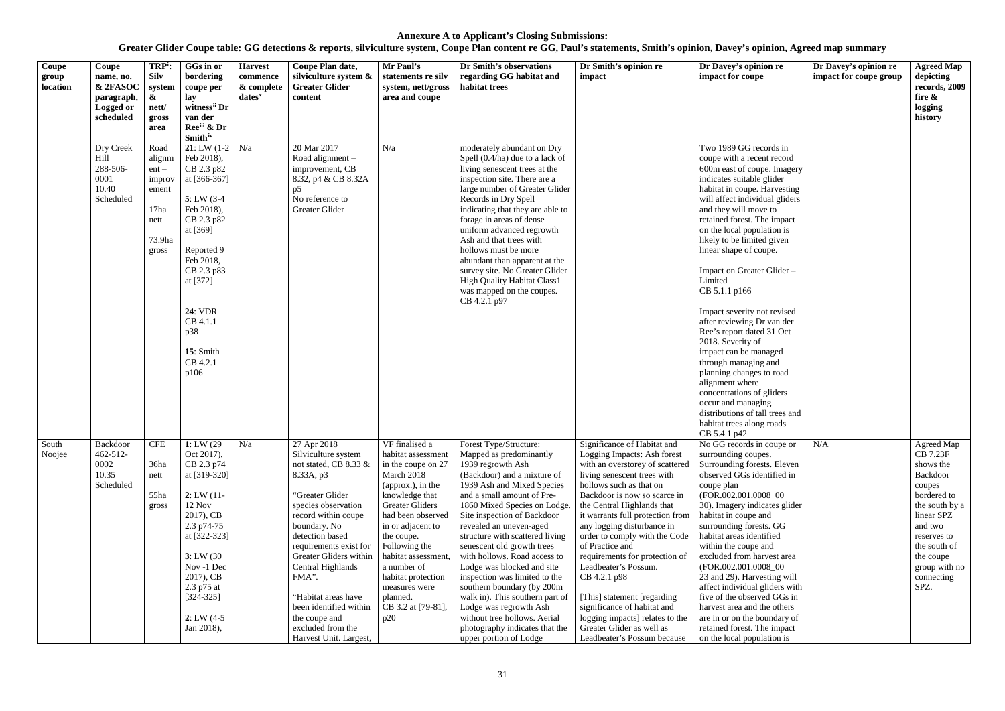| Coupe<br>group<br>location | Coupe<br>name, no.<br>& 2FASOC<br>paragraph,<br>Logged or<br>scheduled | TRP <sup>i</sup> :<br><b>Silv</b><br>system<br>$\boldsymbol{\alpha}$<br>nett/<br>gross<br>area | GGs in or<br>bordering<br>coupe per<br>lay<br>witness <sup>ii</sup> Dr<br>van der<br>Ree <sup>iii</sup> & Dr<br><b>Smith</b> <sup>iv</sup>                                                                                                                | <b>Harvest</b><br>commence<br>& complete<br>$dates$ <sup>v</sup> | Coupe Plan date,<br>silviculture system &<br><b>Greater Glider</b><br>content                                                                                                                                                                                                                                                                                                                | Mr Paul's<br>statements re silv<br>system, nett/gross<br>area and coupe                                                                                                                                                                                                                                                                  | Dr Smith's observations<br>regarding GG habitat and<br>habitat trees                                                                                                                                                                                                                                                                                                                                                                                                                                                                                                                                               | Dr Smith's opinion re<br>impact                                                                                                                                                                                                                                                                                                                                                                                                                                                                                                                                                     | Dr Davey's opinion re<br>impact for coupe                                                                                                                                                                                                                                                                                                                                                                                                                                                                                                                                                                                                                                                                                                    | Dr Davey's opinion re<br>impact for coupe group | <b>Agreed Map</b><br>depicting<br>records, 2009<br>fire &<br>logging<br>history                                                                                                                               |
|----------------------------|------------------------------------------------------------------------|------------------------------------------------------------------------------------------------|-----------------------------------------------------------------------------------------------------------------------------------------------------------------------------------------------------------------------------------------------------------|------------------------------------------------------------------|----------------------------------------------------------------------------------------------------------------------------------------------------------------------------------------------------------------------------------------------------------------------------------------------------------------------------------------------------------------------------------------------|------------------------------------------------------------------------------------------------------------------------------------------------------------------------------------------------------------------------------------------------------------------------------------------------------------------------------------------|--------------------------------------------------------------------------------------------------------------------------------------------------------------------------------------------------------------------------------------------------------------------------------------------------------------------------------------------------------------------------------------------------------------------------------------------------------------------------------------------------------------------------------------------------------------------------------------------------------------------|-------------------------------------------------------------------------------------------------------------------------------------------------------------------------------------------------------------------------------------------------------------------------------------------------------------------------------------------------------------------------------------------------------------------------------------------------------------------------------------------------------------------------------------------------------------------------------------|----------------------------------------------------------------------------------------------------------------------------------------------------------------------------------------------------------------------------------------------------------------------------------------------------------------------------------------------------------------------------------------------------------------------------------------------------------------------------------------------------------------------------------------------------------------------------------------------------------------------------------------------------------------------------------------------------------------------------------------------|-------------------------------------------------|---------------------------------------------------------------------------------------------------------------------------------------------------------------------------------------------------------------|
|                            | Dry Creek<br>Hill<br>288-506-<br>0001<br>10.40<br>Scheduled            | Road<br>alignm<br>$ent -$<br>improv<br>ement<br>17 <sub>ha</sub><br>nett<br>73.9ha<br>gross    | <b>21</b> : LW $(1-2)$ N/a<br>Feb 2018),<br>CB 2.3 p82<br>at [366-367]<br>$5: LW(3-4)$<br>Feb 2018),<br>CB 2.3 p82<br>at [369]<br>Reported 9<br>Feb 2018,<br>CB 2.3 p83<br>at [372]<br><b>24: VDR</b><br>CB 4.1.1<br>p38<br>15: Smith<br>CB 4.2.1<br>p106 |                                                                  | 20 Mar 2017<br>Road alignment $-$<br>improvement, CB<br>8.32, p4 & CB 8.32A<br>p5<br>No reference to<br>Greater Glider                                                                                                                                                                                                                                                                       | N/a                                                                                                                                                                                                                                                                                                                                      | moderately abundant on Dry<br>Spell $(0.4/ha)$ due to a lack of<br>living senescent trees at the<br>inspection site. There are a<br>large number of Greater Glider<br>Records in Dry Spell<br>indicating that they are able to<br>forage in areas of dense<br>uniform advanced regrowth<br>Ash and that trees with<br>hollows must be more<br>abundant than apparent at the<br>survey site. No Greater Glider<br><b>High Quality Habitat Class1</b><br>was mapped on the coupes.<br>CB 4.2.1 p97                                                                                                                   |                                                                                                                                                                                                                                                                                                                                                                                                                                                                                                                                                                                     | Two 1989 GG records in<br>coupe with a recent record<br>600m east of coupe. Imagery<br>indicates suitable glider<br>habitat in coupe. Harvesting<br>will affect individual gliders<br>and they will move to<br>retained forest. The impact<br>on the local population is<br>likely to be limited given<br>linear shape of coupe.<br>Impact on Greater Glider -<br>Limited<br>CB 5.1.1 p166<br>Impact severity not revised<br>after reviewing Dr van der<br>Ree's report dated 31 Oct<br>2018. Severity of<br>impact can be managed<br>through managing and<br>planning changes to road<br>alignment where<br>concentrations of gliders<br>occur and managing<br>distributions of tall trees and<br>habitat trees along roads<br>CB 5.4.1 p42 |                                                 |                                                                                                                                                                                                               |
| South<br>Noojee            | Backdoor<br>$462 - 512$<br>0002<br>10.35<br>Scheduled                  | <b>CFE</b><br>36ha<br>nett<br>55ha<br>gross                                                    | 1: LW $(29)$<br>Oct 2017),<br>CB 2.3 p74<br>at [319-320]<br>2: LW(11)<br>12 Nov<br>2017), CB<br>2.3 p74-75<br>at [322-323]<br>3: LW(30)<br>Nov -1 Dec<br>2017), CB<br>2.3 p75 at<br>$[324 - 325]$<br>$2: LW(4-5)$<br>Jan 2018),                           | N/a                                                              | $\overline{27}$ Apr 2018<br>Silviculture system<br>not stated, CB 8.33 &<br>8.33A, p3<br>"Greater Glider<br>species observation<br>record within coupe<br>boundary. No<br>detection based<br>requirements exist for<br>Greater Gliders within<br>Central Highlands<br>FMA".<br>"Habitat areas have<br>been identified within<br>the coupe and<br>excluded from the<br>Harvest Unit. Largest, | VF finalised a<br>habitat assessment<br>in the coupe on 27<br>March 2018<br>(approx.), in the<br>knowledge that<br><b>Greater Gliders</b><br>had been observed<br>in or adjacent to<br>the coupe.<br>Following the<br>habitat assessment,<br>a number of<br>habitat protection<br>measures were<br>planned.<br>CB 3.2 at [79-81],<br>p20 | Forest Type/Structure:<br>Mapped as predominantly<br>1939 regrowth Ash<br>(Backdoor) and a mixture of<br>1939 Ash and Mixed Species<br>and a small amount of Pre-<br>1860 Mixed Species on Lodge.<br>Site inspection of Backdoor<br>revealed an uneven-aged<br>structure with scattered living<br>senescent old growth trees<br>with hollows. Road access to<br>Lodge was blocked and site<br>inspection was limited to the<br>southern boundary (by 200m<br>walk in). This southern part of<br>Lodge was regrowth Ash<br>without tree hollows. Aerial<br>photography indicates that the<br>upper portion of Lodge | Significance of Habitat and<br>Logging Impacts: Ash forest<br>with an overstorey of scattered<br>living senescent trees with<br>hollows such as that on<br>Backdoor is now so scarce in<br>the Central Highlands that<br>it warrants full protection from<br>any logging disturbance in<br>order to comply with the Code<br>of Practice and<br>requirements for protection of<br>Leadbeater's Possum.<br>CB 4.2.1 p98<br>[This] statement [regarding]<br>significance of habitat and<br>logging impacts] relates to the<br>Greater Glider as well as<br>Leadbeater's Possum because | No GG records in coupe or<br>surrounding coupes.<br>Surrounding forests. Eleven<br>observed GGs identified in<br>coupe plan<br>(FOR.002.001.0008_00<br>30). Imagery indicates glider<br>habitat in coupe and<br>surrounding forests. GG<br>habitat areas identified<br>within the coupe and<br>excluded from harvest area<br>(FOR.002.001.0008_00<br>23 and 29). Harvesting will<br>affect individual gliders with<br>five of the observed GGs in<br>harvest area and the others<br>are in or on the boundary of<br>retained forest. The impact<br>on the local population is                                                                                                                                                                | N/A                                             | Agreed Map<br><b>CB 7.23F</b><br>shows the<br>Backdoor<br>coupes<br>bordered to<br>the south by a<br>linear SPZ<br>and two<br>reserves to<br>the south of<br>the coupe<br>group with no<br>connecting<br>SPZ. |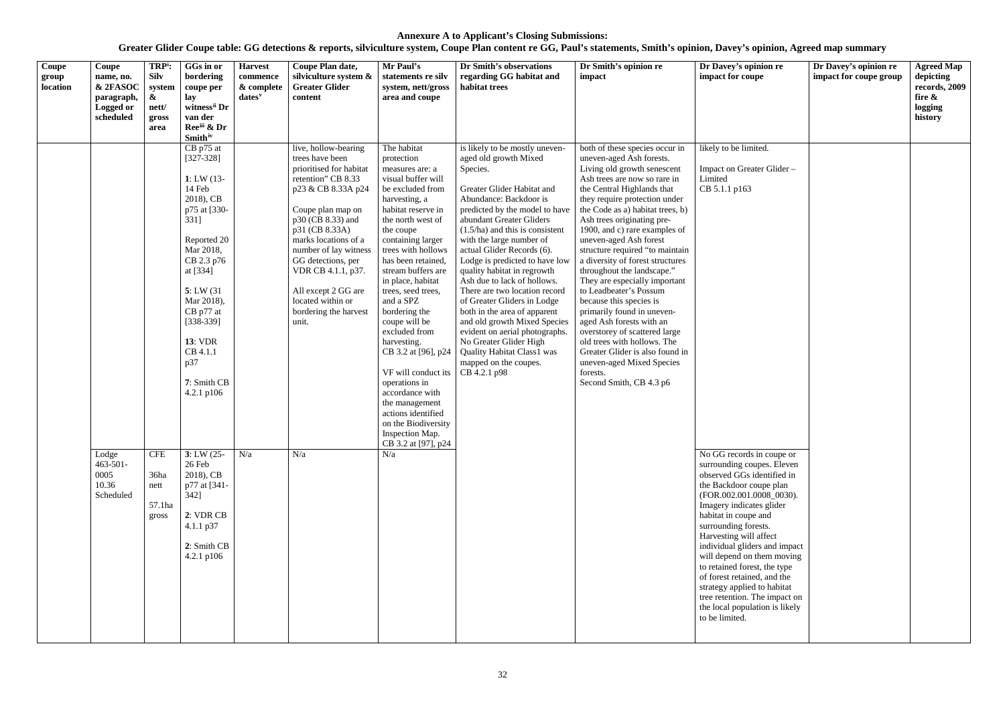| $\overline{\text{Coupe}}$<br>group<br>location | Coupe<br>name, no.<br>& 2FASOC<br>paragraph,<br>Logged or<br>scheduled | TRP <sup>i</sup> :<br><b>Silv</b><br>system<br>&<br>nett/<br>gross<br>area | GGs in or<br>bordering<br>coupe per<br>lay<br>witness <sup>ii</sup> Dr<br>van der<br>Reeii & Dr<br><b>Smith</b> iv                                                                                                                                                                                                                                                                                    | <b>Harvest</b><br>commence<br>& complete<br>dates <sup>v</sup> | Coupe Plan date,<br>silviculture system &<br><b>Greater Glider</b><br>content                                                                                                                                                                                                                                                                                | Mr Paul's<br>statements re silv<br>system, nett/gross<br>area and coupe                                                                                                                                                                                                                                                                                                                                                                                                                                                                                                            | Dr Smith's observations<br>regarding GG habitat and<br>habitat trees                                                                                                                                                                                                                                                                                                                                                                                                                                                                                                                                                                                               | Dr Smith's opinion re<br>impact                                                                                                                                                                                                                                                                                                                                                                                                                                                                                                                                                                                                                                                                                                                   | Dr Davey's opinion re<br>impact for coupe                                                                                                                                                                                                                                                                                                                                                                                                                                                                                                                                              | Dr Davey's opinion re<br>impact for coupe group | <b>Agreed Map</b><br>depicting<br>records, 2009<br>fire &<br>logging<br>history |
|------------------------------------------------|------------------------------------------------------------------------|----------------------------------------------------------------------------|-------------------------------------------------------------------------------------------------------------------------------------------------------------------------------------------------------------------------------------------------------------------------------------------------------------------------------------------------------------------------------------------------------|----------------------------------------------------------------|--------------------------------------------------------------------------------------------------------------------------------------------------------------------------------------------------------------------------------------------------------------------------------------------------------------------------------------------------------------|------------------------------------------------------------------------------------------------------------------------------------------------------------------------------------------------------------------------------------------------------------------------------------------------------------------------------------------------------------------------------------------------------------------------------------------------------------------------------------------------------------------------------------------------------------------------------------|--------------------------------------------------------------------------------------------------------------------------------------------------------------------------------------------------------------------------------------------------------------------------------------------------------------------------------------------------------------------------------------------------------------------------------------------------------------------------------------------------------------------------------------------------------------------------------------------------------------------------------------------------------------------|---------------------------------------------------------------------------------------------------------------------------------------------------------------------------------------------------------------------------------------------------------------------------------------------------------------------------------------------------------------------------------------------------------------------------------------------------------------------------------------------------------------------------------------------------------------------------------------------------------------------------------------------------------------------------------------------------------------------------------------------------|----------------------------------------------------------------------------------------------------------------------------------------------------------------------------------------------------------------------------------------------------------------------------------------------------------------------------------------------------------------------------------------------------------------------------------------------------------------------------------------------------------------------------------------------------------------------------------------|-------------------------------------------------|---------------------------------------------------------------------------------|
|                                                | Lodge<br>$463 - 501 -$<br>0005<br>10.36<br>Scheduled                   | <b>CFE</b><br>36ha<br>nett<br>57.1ha<br>gross                              | CB p75 at<br>$[327-328]$<br>1: LW $(13 -$<br>14 Feb<br>2018), CB<br>p75 at [330-<br>331]<br>Reported 20<br>Mar 2018,<br>CB 2.3 p76<br>at [334]<br>5: LW(31)<br>Mar 2018),<br>CB p77 at<br>$[338-339]$<br><b>13: VDR</b><br>CB 4.1.1<br>p37<br>7: Smith CB<br>4.2.1 p106<br>$3: LW(25 -$<br>26 Feb<br>2018), CB<br>p77 at [341-<br>$342$ ]<br>2: VDR CB<br>4.1.1 p37<br>2: Smith CB<br>$4.2.1$ p $106$ | N/a                                                            | live, hollow-bearing<br>trees have been<br>prioritised for habitat<br>retention" CB 8.33<br>p23 & CB 8.33A p24<br>Coupe plan map on<br>p30 (CB 8.33) and<br>p31 (CB 8.33A)<br>marks locations of a<br>number of lay witness<br>GG detections, per<br>VDR CB 4.1.1, p37.<br>All except 2 GG are<br>located within or<br>bordering the harvest<br>unit.<br>N/a | The habitat<br>protection<br>measures are: a<br>visual buffer will<br>be excluded from<br>harvesting, a<br>habitat reserve in<br>the north west of<br>the coupe<br>containing larger<br>trees with hollows<br>has been retained,<br>stream buffers are<br>in place, habitat<br>trees, seed trees,<br>and a SPZ<br>bordering the<br>coupe will be<br>excluded from<br>harvesting.<br>CB 3.2 at [96], p24<br>VF will conduct its<br>operations in<br>accordance with<br>the management<br>actions identified<br>on the Biodiversity<br>Inspection Map.<br>CB 3.2 at [97], p24<br>N/a | is likely to be mostly uneven-<br>aged old growth Mixed<br>Species.<br>Greater Glider Habitat and<br>Abundance: Backdoor is<br>predicted by the model to have<br>abundant Greater Gliders<br>$(1.5/ha)$ and this is consistent<br>with the large number of<br>actual Glider Records (6).<br>Lodge is predicted to have low<br>quality habitat in regrowth<br>Ash due to lack of hollows.<br>There are two location record<br>of Greater Gliders in Lodge<br>both in the area of apparent<br>and old growth Mixed Species<br>evident on aerial photographs.<br>No Greater Glider High<br><b>Quality Habitat Class1 was</b><br>mapped on the coupes.<br>CB 4.2.1 p98 | both of these species occur in<br>uneven-aged Ash forests.<br>Living old growth senescent<br>Ash trees are now so rare in<br>the Central Highlands that<br>they require protection under<br>the Code as a) habitat trees, b)<br>Ash trees originating pre-<br>1900, and c) rare examples of<br>uneven-aged Ash forest<br>structure required "to maintain<br>a diversity of forest structures<br>throughout the landscape."<br>They are especially important<br>to Leadbeater's Possum<br>because this species is<br>primarily found in uneven-<br>aged Ash forests with an<br>overstorey of scattered large<br>old trees with hollows. The<br>Greater Glider is also found in<br>uneven-aged Mixed Species<br>forests.<br>Second Smith, CB 4.3 p6 | likely to be limited.<br>Impact on Greater Glider-<br>Limited<br>CB 5.1.1 p163<br>No GG records in coupe or<br>surrounding coupes. Eleven<br>observed GGs identified in<br>the Backdoor coupe plan<br>(FOR.002.001.0008_0030).<br>Imagery indicates glider<br>habitat in coupe and<br>surrounding forests.<br>Harvesting will affect<br>individual gliders and impact<br>will depend on them moving<br>to retained forest, the type<br>of forest retained, and the<br>strategy applied to habitat<br>tree retention. The impact on<br>the local population is likely<br>to be limited. |                                                 |                                                                                 |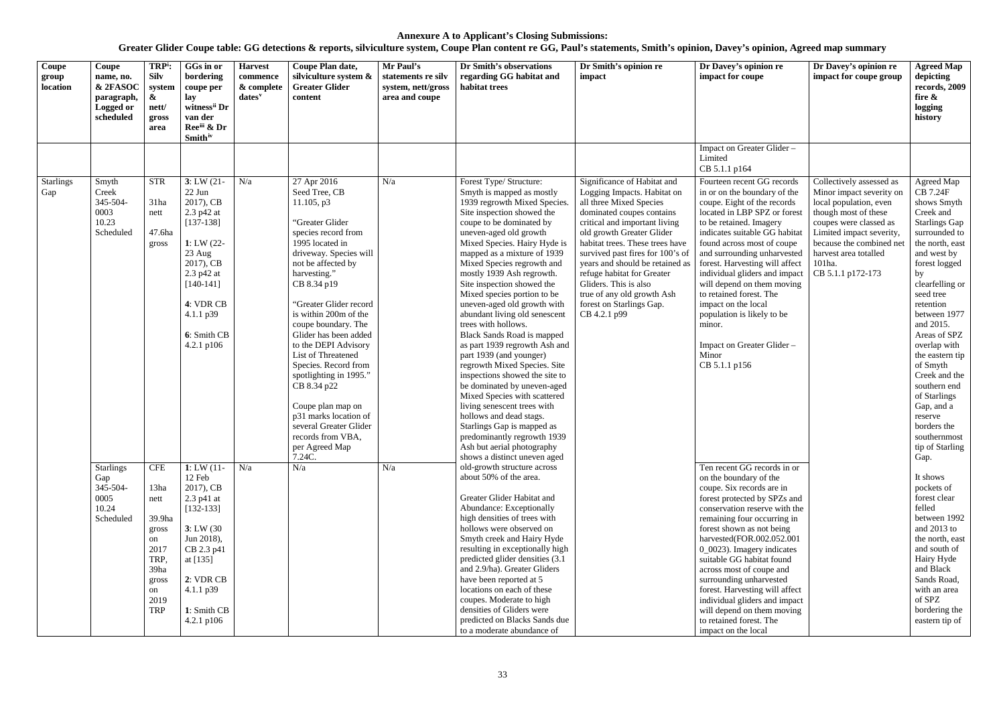| Coupe<br>group<br>location | Coupe<br>name, no.<br>& 2FASOC<br>paragraph,<br>Logged or<br>scheduled | TRP <sup>i</sup> :<br><b>Silv</b><br>system<br>$\boldsymbol{\alpha}$<br>nett/<br>gross<br>area                   | GGs in or<br>bordering<br>coupe per<br>lay<br>witness <sup>ii</sup> Dr<br>van der<br>Ree <sup>iii</sup> & Dr<br><b>Smith</b> <sup>iv</sup>                                                               | <b>Harvest</b><br>commence<br>& complete<br>$dates^v$ | Coupe Plan date,<br>silviculture system &<br><b>Greater Glider</b><br>content                                                                                                                                                                                                                                                                                                                                                                                                                                                        | Mr Paul's<br>statements re silv<br>system, nett/gross<br>area and coupe | Dr Smith's observations<br>regarding GG habitat and<br>habitat trees                                                                                                                                                                                                                                                                                                                                                                                                                                                                                                                                                                                                                                                                                                                                                                                                          | Dr Smith's opinion re<br>impact                                                                                                                                                                                                                                                                                                                                                                                             | Dr Davey's opinion re<br>impact for coupe                                                                                                                                                                                                                                                                                                                                                                                                                                                                         | Dr Davey's opinion re<br>impact for coupe group                                                                                                                                                                                                  | <b>Agreed Map</b><br>depicting<br>records, 2009<br>fire &<br>logging<br>history                                                                                                                                                                                                                                                                                                                                                          |
|----------------------------|------------------------------------------------------------------------|------------------------------------------------------------------------------------------------------------------|----------------------------------------------------------------------------------------------------------------------------------------------------------------------------------------------------------|-------------------------------------------------------|--------------------------------------------------------------------------------------------------------------------------------------------------------------------------------------------------------------------------------------------------------------------------------------------------------------------------------------------------------------------------------------------------------------------------------------------------------------------------------------------------------------------------------------|-------------------------------------------------------------------------|-------------------------------------------------------------------------------------------------------------------------------------------------------------------------------------------------------------------------------------------------------------------------------------------------------------------------------------------------------------------------------------------------------------------------------------------------------------------------------------------------------------------------------------------------------------------------------------------------------------------------------------------------------------------------------------------------------------------------------------------------------------------------------------------------------------------------------------------------------------------------------|-----------------------------------------------------------------------------------------------------------------------------------------------------------------------------------------------------------------------------------------------------------------------------------------------------------------------------------------------------------------------------------------------------------------------------|-------------------------------------------------------------------------------------------------------------------------------------------------------------------------------------------------------------------------------------------------------------------------------------------------------------------------------------------------------------------------------------------------------------------------------------------------------------------------------------------------------------------|--------------------------------------------------------------------------------------------------------------------------------------------------------------------------------------------------------------------------------------------------|------------------------------------------------------------------------------------------------------------------------------------------------------------------------------------------------------------------------------------------------------------------------------------------------------------------------------------------------------------------------------------------------------------------------------------------|
|                            |                                                                        |                                                                                                                  |                                                                                                                                                                                                          |                                                       |                                                                                                                                                                                                                                                                                                                                                                                                                                                                                                                                      |                                                                         |                                                                                                                                                                                                                                                                                                                                                                                                                                                                                                                                                                                                                                                                                                                                                                                                                                                                               |                                                                                                                                                                                                                                                                                                                                                                                                                             | Impact on Greater Glider -<br>Limited<br>CB 5.1.1 p164                                                                                                                                                                                                                                                                                                                                                                                                                                                            |                                                                                                                                                                                                                                                  |                                                                                                                                                                                                                                                                                                                                                                                                                                          |
| <b>Starlings</b><br>Gap    | Smyth<br>Creek<br>345-504-<br>0003<br>10.23<br>Scheduled               | <b>STR</b><br>31ha<br>nett<br>47.6ha<br>gross                                                                    | $3: LW(21 -$<br>$22$ Jun<br>2017), CB<br>2.3 p42 at<br>$[137-138]$<br>1: LW $(22 -$<br>23 Aug<br>2017), CB<br>2.3 p42 at<br>$[140-141]$<br>4: VDR CB<br>$4.1.1 \text{ p39}$<br>6: Smith CB<br>4.2.1 p106 | N/a                                                   | 27 Apr 2016<br>Seed Tree, CB<br>$11.105$ , p3<br>"Greater Glider<br>species record from<br>1995 located in<br>driveway. Species will<br>not be affected by<br>harvesting."<br>CB 8.34 p19<br>"Greater Glider record<br>is within 200m of the<br>coupe boundary. The<br>Glider has been added<br>to the DEPI Advisory<br>List of Threatened<br>Species. Record from<br>spotlighting in 1995."<br>CB 8.34 p22<br>Coupe plan map on<br>p31 marks location of<br>several Greater Glider<br>records from VBA,<br>per Agreed Map<br>7.24C. | N/a                                                                     | Forest Type/ Structure:<br>Smyth is mapped as mostly<br>1939 regrowth Mixed Species.<br>Site inspection showed the<br>coupe to be dominated by<br>uneven-aged old growth<br>Mixed Species. Hairy Hyde is<br>mapped as a mixture of 1939<br>Mixed Species regrowth and<br>mostly 1939 Ash regrowth.<br>Site inspection showed the<br>Mixed species portion to be<br>uneven-aged old growth with<br>abundant living old senescent<br>trees with hollows.<br><b>Black Sands Road is mapped</b><br>as part 1939 regrowth Ash and<br>part 1939 (and younger)<br>regrowth Mixed Species. Site<br>inspections showed the site to<br>be dominated by uneven-aged<br>Mixed Species with scattered<br>living senescent trees with<br>hollows and dead stags.<br>Starlings Gap is mapped as<br>predominantly regrowth 1939<br>Ash but aerial photography<br>shows a distinct uneven aged | Significance of Habitat and<br>Logging Impacts. Habitat on<br>all three Mixed Species<br>dominated coupes contains<br>critical and important living<br>old growth Greater Glider<br>habitat trees. These trees have<br>survived past fires for 100's of<br>years and should be retained as<br>refuge habitat for Greater<br>Gliders. This is also<br>true of any old growth Ash<br>forest on Starlings Gap.<br>CB 4.2.1 p99 | Fourteen recent GG records<br>in or on the boundary of the<br>coupe. Eight of the records<br>located in LBP SPZ or forest<br>to be retained. Imagery<br>indicates suitable GG habitat<br>found across most of coupe<br>and surrounding unharvested<br>forest. Harvesting will affect<br>individual gliders and impact<br>will depend on them moving<br>to retained forest. The<br>impact on the local<br>population is likely to be<br>minor.<br>Impact on Greater Glider -<br>Minor<br>CB 5.1.1 p156             | Collectively assessed as<br>Minor impact severity on<br>local population, even<br>though most of these<br>coupes were classed as<br>Limited impact severity,<br>because the combined net<br>harvest area totalled<br>101ha.<br>CB 5.1.1 p172-173 | Agreed Map<br><b>CB 7.24F</b><br>shows Smyth<br>Creek and<br><b>Starlings Gap</b><br>surrounded to<br>the north, east<br>and west by<br>forest logged<br>by<br>clearfelling or<br>seed tree<br>retention<br>between 1977<br>and 2015.<br>Areas of SPZ<br>overlap with<br>the eastern tip<br>of Smyth<br>Creek and the<br>southern end<br>of Starlings<br>Gap, and a<br>reserve<br>borders the<br>southernmost<br>tip of Starling<br>Gap. |
|                            | <b>Starlings</b><br>Gap<br>345-504-<br>0005<br>10.24<br>Scheduled      | <b>CFE</b><br>13ha<br>nett<br>39.9ha<br>gross<br>on<br>2017<br>TRP,<br>39ha<br>gross<br>on<br>2019<br><b>TRP</b> | 1: LW $(11 -$<br>12 Feb<br>2017), CB<br>2.3 p41 at<br>$[132-133]$<br>3: LW(30)<br>Jun 2018),<br>CB 2.3 p41<br>at [135]<br>2: VDR CB<br>4.1.1 p39<br>1: Smith CB<br>4.2.1 p106                            | N/a                                                   | N/a                                                                                                                                                                                                                                                                                                                                                                                                                                                                                                                                  | N/a                                                                     | old-growth structure across<br>about 50% of the area.<br>Greater Glider Habitat and<br>Abundance: Exceptionally<br>high densities of trees with<br>hollows were observed on<br>Smyth creek and Hairy Hyde<br>resulting in exceptionally high<br>predicted glider densities (3.1)<br>and 2.9/ha). Greater Gliders<br>have been reported at 5<br>locations on each of these<br>coupes. Moderate to high<br>densities of Gliders were<br>predicted on Blacks Sands due<br>to a moderate abundance of                                                                                                                                                                                                                                                                                                                                                                             |                                                                                                                                                                                                                                                                                                                                                                                                                             | Ten recent GG records in or<br>on the boundary of the<br>coupe. Six records are in<br>forest protected by SPZs and<br>conservation reserve with the<br>remaining four occurring in<br>forest shown as not being<br>harvested(FOR.002.052.001<br>0_0023). Imagery indicates<br>suitable GG habitat found<br>across most of coupe and<br>surrounding unharvested<br>forest. Harvesting will affect<br>individual gliders and impact<br>will depend on them moving<br>to retained forest. The<br>impact on the local |                                                                                                                                                                                                                                                  | It shows<br>pockets of<br>forest clear<br>felled<br>between 1992<br>and $2013$ to<br>the north, east<br>and south of<br>Hairy Hyde<br>and Black<br>Sands Road,<br>with an area<br>of SPZ<br>bordering the<br>eastern tip of                                                                                                                                                                                                              |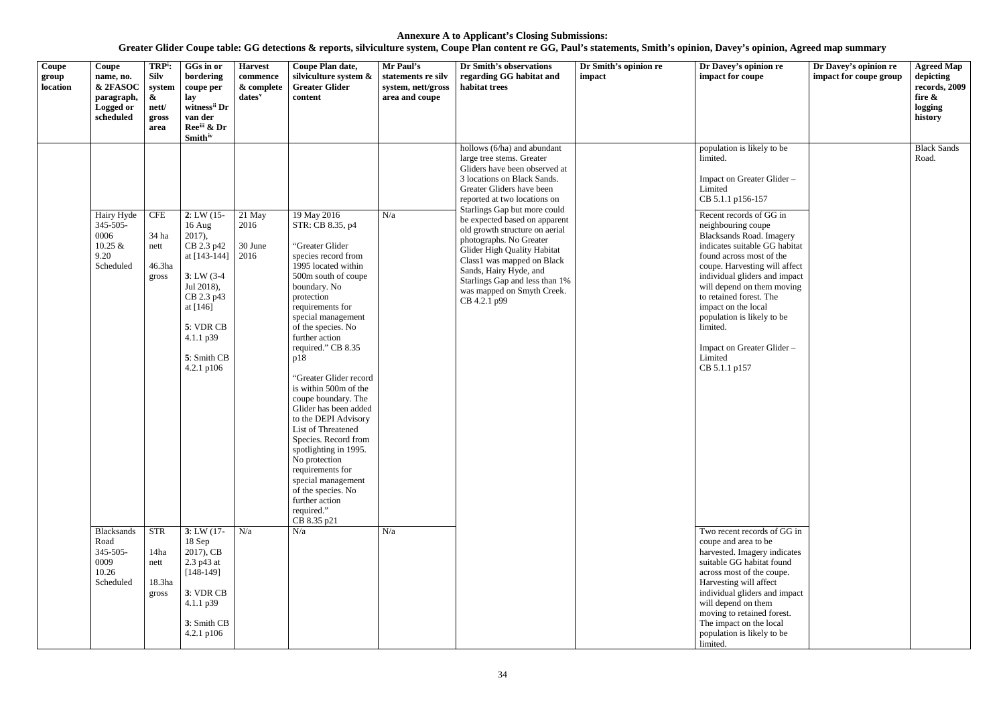| Coupe<br>group<br>location | Coupe<br>name, no.<br>& 2FASOC<br>paragraph,<br>Logged or<br>scheduled | TRP <sup>i</sup> :<br><b>Silv</b><br>system<br>$\boldsymbol{\alpha}$<br>nett/<br>gross<br>area | GGs in or<br>bordering<br>coupe per<br>lay<br>witness <sup>ii</sup> Dr<br>van der<br>Ree <sup>iii</sup> & Dr<br><b>Smith</b> iv                                                       | <b>Harvest</b><br>commence<br>& complete<br>$dates$ <sup>v</sup> | Coupe Plan date,<br>silviculture system &<br><b>Greater Glider</b><br>content                                                                                                                                                                                                                                                                                                                                                                                                                                                                                                                          | Mr Paul's<br>statements re silv<br>system, nett/gross<br>area and coupe | Dr Smith's observations<br>regarding GG habitat and<br>habitat trees                                                                                                                                                                                                                                                                                                                                                                                                                       | Dr Smith's opinion re<br>impact | Dr Davey's opinion re<br>impact for coupe                                                                                                                                                                                                                                                                                                                                                                                                                                                                   | Dr Davey's opinion re<br>impact for coupe group | <b>Agreed Map</b><br>depicting<br>records, 2009<br>fire &<br>logging<br>history |
|----------------------------|------------------------------------------------------------------------|------------------------------------------------------------------------------------------------|---------------------------------------------------------------------------------------------------------------------------------------------------------------------------------------|------------------------------------------------------------------|--------------------------------------------------------------------------------------------------------------------------------------------------------------------------------------------------------------------------------------------------------------------------------------------------------------------------------------------------------------------------------------------------------------------------------------------------------------------------------------------------------------------------------------------------------------------------------------------------------|-------------------------------------------------------------------------|--------------------------------------------------------------------------------------------------------------------------------------------------------------------------------------------------------------------------------------------------------------------------------------------------------------------------------------------------------------------------------------------------------------------------------------------------------------------------------------------|---------------------------------|-------------------------------------------------------------------------------------------------------------------------------------------------------------------------------------------------------------------------------------------------------------------------------------------------------------------------------------------------------------------------------------------------------------------------------------------------------------------------------------------------------------|-------------------------------------------------|---------------------------------------------------------------------------------|
|                            | Hairy Hyde<br>345-505-<br>0006<br>$10.25 \&$<br>9.20<br>Scheduled      | <b>CFE</b><br>34 ha<br>nett<br>46.3ha<br>gross                                                 | 2: LW(15)<br>$16$ Aug<br>$2017$ ,<br>CB 2.3 p42<br>at $[143-144]$<br>$3: LW(3-4)$<br>Jul 2018),<br>CB 2.3 p43<br>at [146]<br>5: VDR CB<br>4.1.1 p39<br>5: Smith CB<br>$4.2.1$ p $106$ | 21 May<br>2016<br>30 June<br>2016                                | 19 May 2016<br>STR: CB 8.35, p4<br>"Greater Glider<br>species record from<br>1995 located within<br>500m south of coupe<br>boundary. No<br>protection<br>requirements for<br>special management<br>of the species. No<br>further action<br>required." CB 8.35<br>p18<br>"Greater Glider record<br>is within 500m of the<br>coupe boundary. The<br>Glider has been added<br>to the DEPI Advisory<br>List of Threatened<br>Species. Record from<br>spotlighting in 1995.<br>No protection<br>requirements for<br>special management<br>of the species. No<br>further action<br>required."<br>CB 8.35 p21 | N/a                                                                     | hollows (6/ha) and abundant<br>large tree stems. Greater<br>Gliders have been observed at<br>3 locations on Black Sands.<br>Greater Gliders have been<br>reported at two locations on<br>Starlings Gap but more could<br>be expected based on apparent<br>old growth structure on aerial<br>photographs. No Greater<br>Glider High Quality Habitat<br>Class1 was mapped on Black<br>Sands, Hairy Hyde, and<br>Starlings Gap and less than 1%<br>was mapped on Smyth Creek.<br>CB 4.2.1 p99 |                                 | population is likely to be<br>limited.<br>Impact on Greater Glider -<br>Limited<br>CB 5.1.1 p156-157<br>Recent records of GG in<br>neighbouring coupe<br><b>Blacksands Road. Imagery</b><br>indicates suitable GG habitat<br>found across most of the<br>coupe. Harvesting will affect<br>individual gliders and impact<br>will depend on them moving<br>to retained forest. The<br>impact on the local<br>population is likely to be<br>limited.<br>Impact on Greater Glider -<br>Limited<br>CB 5.1.1 p157 |                                                 | <b>Black Sands</b><br>Road.                                                     |
|                            | Blacksands<br>Road<br>345-505-<br>0009<br>10.26<br>Scheduled           | <b>STR</b><br>14ha<br>nett<br>18.3ha<br>gross                                                  | 3: LW(17)<br>$18$ Sep<br>2017), CB<br>2.3 p43 at<br>$[148-149]$<br>3: VDR CB<br>$4.1.1$ $p39$<br>3: Smith CB<br>4.2.1 $p106$                                                          | N/a                                                              | N/a                                                                                                                                                                                                                                                                                                                                                                                                                                                                                                                                                                                                    | N/a                                                                     |                                                                                                                                                                                                                                                                                                                                                                                                                                                                                            |                                 | Two recent records of GG in<br>coupe and area to be<br>harvested. Imagery indicates<br>suitable GG habitat found<br>across most of the coupe.<br>Harvesting will affect<br>individual gliders and impact<br>will depend on them<br>moving to retained forest.<br>The impact on the local<br>population is likely to be<br>limited.                                                                                                                                                                          |                                                 |                                                                                 |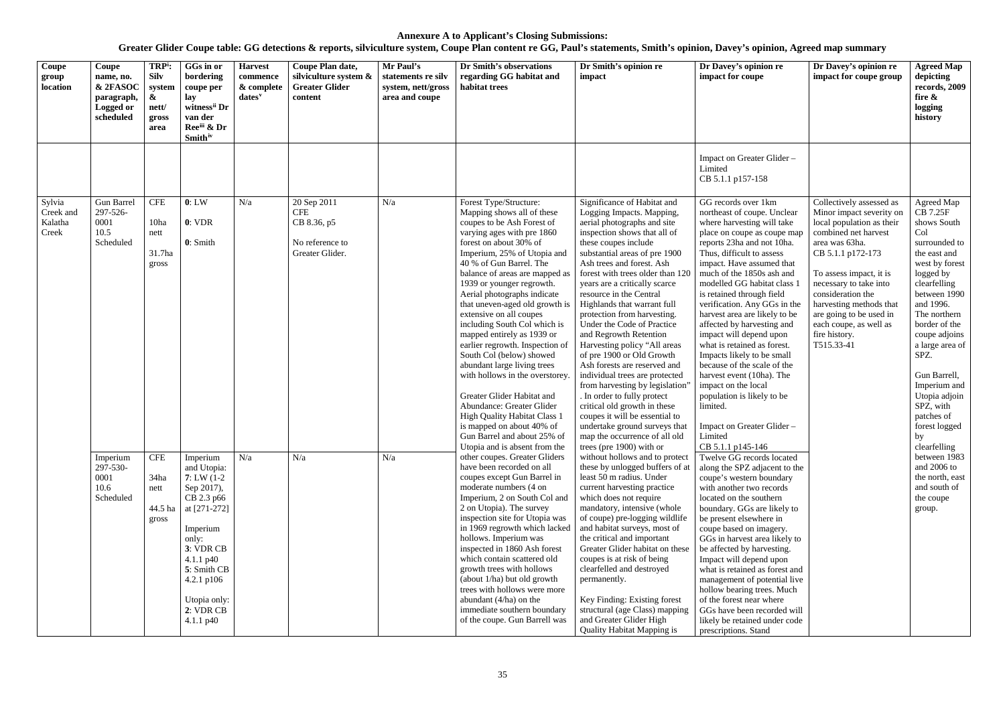| Coupe<br>group<br>location              | Coupe<br>name, no.<br>& 2FASOC<br>paragraph,<br>Logged or<br>scheduled | TRP <sup>i</sup> :<br><b>Silv</b><br>system<br>$\boldsymbol{\alpha}$<br>nett/<br>gross<br>area | GGs in or<br>bordering<br>coupe per<br>lay<br>witness <sup>ii</sup> Dr<br>van der<br>Ree <sup>iii</sup> & Dr<br><b>Smith</b> <sup>iv</sup>                                                                                      | <b>Harvest</b><br>commence<br>& complete<br>$dates^v$                                                                                                                                                                                                                                                                                                                                                                                                                                                                                                                                                                                                                                                                                                                                                                        | Coupe Plan date,<br>silviculture system &<br><b>Greater Glider</b><br>content                                                                                                                                                                                                                                                                                                                                                                                                                                                                                                                                                                                                                                                                                                                        | Mr Paul's<br>statements re silv<br>system, nett/gross<br>area and coupe                                                                                                                                                                                                                                                                                                                                                                                                                                                                                                                                                                                                            | Dr Smith's observations<br>regarding GG habitat and<br>habitat trees                                                                                                                                                                                                                                                                                                                                                                                                                                                                  | Dr Smith's opinion re<br>impact                                                                                                                                                                                                                                                                                                                                                                                                                                                                                                       | Dr Davey's opinion re<br>impact for coupe                                                                                                                                                                                                                                                                                                                                                                                                                                                                                                        | Dr Davey's opinion re<br>impact for coupe group | <b>Agreed Map</b><br>depicting<br>records, 2009<br>fire $\&$<br>logging<br>history    |
|-----------------------------------------|------------------------------------------------------------------------|------------------------------------------------------------------------------------------------|---------------------------------------------------------------------------------------------------------------------------------------------------------------------------------------------------------------------------------|------------------------------------------------------------------------------------------------------------------------------------------------------------------------------------------------------------------------------------------------------------------------------------------------------------------------------------------------------------------------------------------------------------------------------------------------------------------------------------------------------------------------------------------------------------------------------------------------------------------------------------------------------------------------------------------------------------------------------------------------------------------------------------------------------------------------------|------------------------------------------------------------------------------------------------------------------------------------------------------------------------------------------------------------------------------------------------------------------------------------------------------------------------------------------------------------------------------------------------------------------------------------------------------------------------------------------------------------------------------------------------------------------------------------------------------------------------------------------------------------------------------------------------------------------------------------------------------------------------------------------------------|------------------------------------------------------------------------------------------------------------------------------------------------------------------------------------------------------------------------------------------------------------------------------------------------------------------------------------------------------------------------------------------------------------------------------------------------------------------------------------------------------------------------------------------------------------------------------------------------------------------------------------------------------------------------------------|---------------------------------------------------------------------------------------------------------------------------------------------------------------------------------------------------------------------------------------------------------------------------------------------------------------------------------------------------------------------------------------------------------------------------------------------------------------------------------------------------------------------------------------|---------------------------------------------------------------------------------------------------------------------------------------------------------------------------------------------------------------------------------------------------------------------------------------------------------------------------------------------------------------------------------------------------------------------------------------------------------------------------------------------------------------------------------------|--------------------------------------------------------------------------------------------------------------------------------------------------------------------------------------------------------------------------------------------------------------------------------------------------------------------------------------------------------------------------------------------------------------------------------------------------------------------------------------------------------------------------------------------------|-------------------------------------------------|---------------------------------------------------------------------------------------|
|                                         |                                                                        |                                                                                                |                                                                                                                                                                                                                                 |                                                                                                                                                                                                                                                                                                                                                                                                                                                                                                                                                                                                                                                                                                                                                                                                                              |                                                                                                                                                                                                                                                                                                                                                                                                                                                                                                                                                                                                                                                                                                                                                                                                      |                                                                                                                                                                                                                                                                                                                                                                                                                                                                                                                                                                                                                                                                                    |                                                                                                                                                                                                                                                                                                                                                                                                                                                                                                                                       |                                                                                                                                                                                                                                                                                                                                                                                                                                                                                                                                       | Impact on Greater Glider-<br>Limited<br>CB 5.1.1 p157-158                                                                                                                                                                                                                                                                                                                                                                                                                                                                                        |                                                 |                                                                                       |
| Sylvia<br>Creek and<br>Kalatha<br>Creek | <b>Gun Barrel</b><br>297-526-<br>0001<br>10.5<br>Scheduled             | <b>CFE</b><br>10ha<br>nett<br>31.7ha<br>gross                                                  | 0: LW<br>0: VDR<br>0: Smith                                                                                                                                                                                                     | N/a<br>20 Sep 2011<br>N/a<br>Forest Type/Structure:<br><b>CFE</b><br>Mapping shows all of these<br>CB 8.36, p5<br>coupes to be Ash Forest of<br>varying ages with pre 1860<br>forest on about 30% of<br>No reference to<br>Greater Glider.<br>Imperium, 25% of Utopia and<br>40 % of Gun Barrel. The<br>balance of areas are mapped as<br>1939 or younger regrowth.<br>Aerial photographs indicate<br>that uneven-aged old growth is<br>extensive on all coupes<br>including South Col which is<br>mapped entirely as 1939 or<br>earlier regrowth. Inspection of<br>South Col (below) showed<br>abundant large living trees<br>with hollows in the overstorey.<br>Greater Glider Habitat and<br>Abundance: Greater Glider<br><b>High Quality Habitat Class 1</b><br>is mapped on about 40% of<br>Gun Barrel and about 25% of | Significance of Habitat and<br>Logging Impacts. Mapping,<br>aerial photographs and site<br>inspection shows that all of<br>these coupes include<br>substantial areas of pre 1900<br>Ash trees and forest. Ash<br>forest with trees older than 120<br>years are a critically scarce<br>resource in the Central<br>Highlands that warrant full<br>protection from harvesting.<br>Under the Code of Practice<br>and Regrowth Retention<br>Harvesting policy "All areas<br>of pre 1900 or Old Growth<br>Ash forests are reserved and<br>individual trees are protected<br>from harvesting by legislation'<br>. In order to fully protect<br>critical old growth in these<br>coupes it will be essential to<br>undertake ground surveys that<br>map the occurrence of all old<br>trees (pre 1900) with or | GG records over 1km<br>northeast of coupe. Unclear<br>where harvesting will take<br>place on coupe as coupe map<br>reports 23ha and not 10ha.<br>Thus, difficult to assess<br>impact. Have assumed that<br>much of the 1850s ash and<br>modelled GG habitat class 1<br>is retained through field<br>verification. Any GGs in the<br>harvest area are likely to be<br>affected by harvesting and<br>impact will depend upon<br>what is retained as forest.<br>Impacts likely to be small<br>because of the scale of the<br>harvest event (10ha). The<br>impact on the local<br>population is likely to be<br>limited.<br>Impact on Greater Glider -<br>Limited<br>CB 5.1.1 p145-146 | Collectively assessed as<br>Minor impact severity on<br>local population as their<br>combined net harvest<br>area was 63ha.<br>CB 5.1.1 p172-173<br>To assess impact, it is<br>necessary to take into<br>consideration the<br>harvesting methods that<br>are going to be used in<br>each coupe, as well as<br>fire history.<br>T515.33-41                                                                                                                                                                                             | Agreed Map<br><b>CB 7.25F</b><br>shows South<br>Col<br>surrounded to<br>the east and<br>west by forest<br>logged by<br>clearfelling<br>between 1990<br>and 1996.<br>The northern<br>border of the<br>coupe adjoins<br>a large area of<br>SPZ.<br>Gun Barrell,<br>Imperium and<br>Utopia adjoin<br>SPZ, with<br>patches of<br>forest logged<br>by                                                                                                                                                                                      |                                                                                                                                                                                                                                                                                                                                                                                                                                                                                                                                                  |                                                 |                                                                                       |
|                                         | Imperium<br>297-530-<br>0001<br>10.6<br>Scheduled                      | <b>CFE</b><br>34ha<br>nett<br>gross                                                            | Imperium<br>and Utopia:<br>$7: LW(1-2)$<br>Sep 2017),<br>CB 2.3 p66<br>44.5 ha   at $[271-272]$<br>Imperium<br>only:<br>3: VDR CB<br>$4.1.1 \text{ p}40$<br>5: Smith CB<br>4.2.1 p106<br>Utopia only:<br>2: VDR CB<br>4.1.1 p40 | N/a                                                                                                                                                                                                                                                                                                                                                                                                                                                                                                                                                                                                                                                                                                                                                                                                                          | N/a                                                                                                                                                                                                                                                                                                                                                                                                                                                                                                                                                                                                                                                                                                                                                                                                  | N/a                                                                                                                                                                                                                                                                                                                                                                                                                                                                                                                                                                                                                                                                                | other coupes. Greater Gliders<br>have been recorded on all<br>coupes except Gun Barrel in<br>moderate numbers (4 on<br>Imperium, 2 on South Col and<br>2 on Utopia). The survey<br>inspection site for Utopia was<br>in 1969 regrowth which lacked<br>hollows. Imperium was<br>inspected in 1860 Ash forest<br>which contain scattered old<br>growth trees with hollows<br>(about $1/ha$ ) but old growth<br>trees with hollows were more<br>abundant $(4/ha)$ on the<br>immediate southern boundary<br>of the coupe. Gun Barrell was | without hollows and to protect<br>these by unlogged buffers of at<br>least 50 m radius. Under<br>current harvesting practice<br>which does not require<br>mandatory, intensive (whole<br>of coupe) pre-logging wildlife<br>and habitat surveys, most of<br>the critical and important<br>Greater Glider habitat on these<br>coupes is at risk of being<br>clearfelled and destroyed<br>permanently.<br>Key Finding: Existing forest<br>structural (age Class) mapping<br>and Greater Glider High<br><b>Quality Habitat Mapping is</b> | Twelve GG records located<br>along the SPZ adjacent to the<br>coupe's western boundary<br>with another two records<br>located on the southern<br>boundary. GGs are likely to<br>be present elsewhere in<br>coupe based on imagery.<br>GGs in harvest area likely to<br>be affected by harvesting.<br>Impact will depend upon<br>what is retained as forest and<br>management of potential live<br>hollow bearing trees. Much<br>of the forest near where<br>GGs have been recorded will<br>likely be retained under code<br>prescriptions. Stand |                                                 | between 1983<br>and 2006 to<br>the north, east<br>and south of<br>the coupe<br>group. |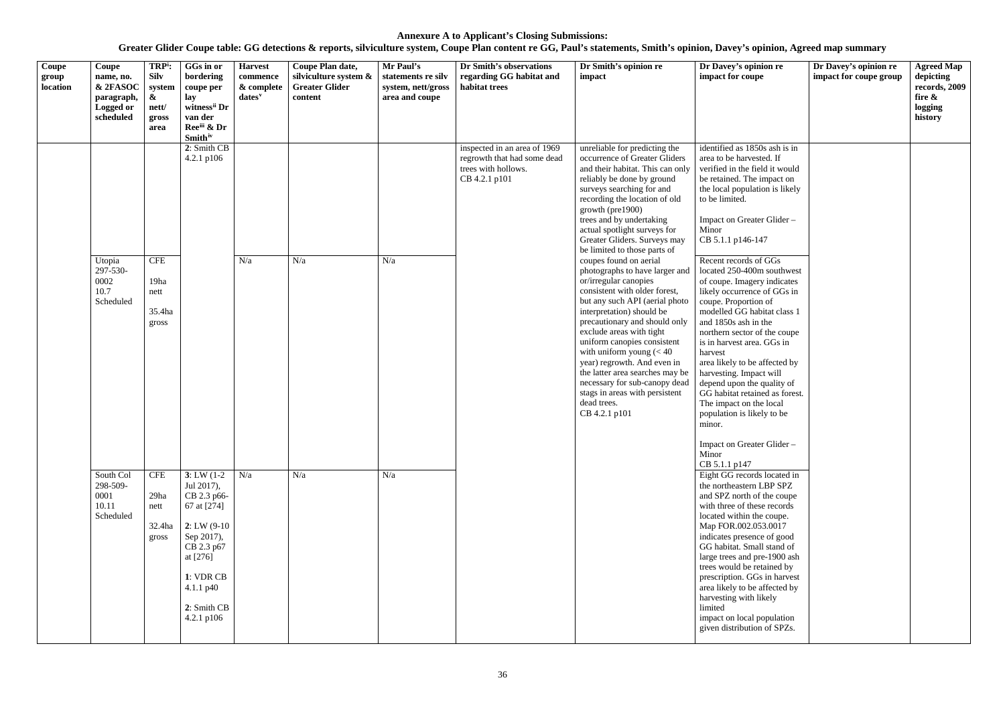| Coupe<br>group<br>location | Coupe<br>name, no.<br>& 2FASOC<br>paragraph,<br>Logged or<br>scheduled | TRP <sup>i</sup> :<br><b>Silv</b><br>system<br>$\boldsymbol{\alpha}$<br>nett/<br>gross<br>area | GGs in or<br>bordering<br>coupe per<br>lay<br>witness <sup>ii</sup> Dr<br>van der<br>Ree <sup>iii</sup> & Dr<br><b>Smith</b> iv                                                         | <b>Harvest</b><br>commence<br>& complete<br>$dates^v$ | Coupe Plan date,<br>silviculture system &<br><b>Greater Glider</b><br>content | Mr Paul's<br>statements re silv<br>system, nett/gross<br>area and coupe | Dr Smith's observations<br>regarding GG habitat and<br>habitat trees                                | Dr Smith's opinion re<br>impact                                                                                                                                                                                                                                                                                                                                                                                                                                                                                                       | Dr Davey's opinion re<br>impact for coupe                                                                                                                                                                                                                                                                                                                                                                                                                                                                                     | Dr Davey's opinion re<br>impact for coupe group | <b>Agreed Map</b><br>depicting<br>records, 2009<br>fire &<br>logging<br>history |
|----------------------------|------------------------------------------------------------------------|------------------------------------------------------------------------------------------------|-----------------------------------------------------------------------------------------------------------------------------------------------------------------------------------------|-------------------------------------------------------|-------------------------------------------------------------------------------|-------------------------------------------------------------------------|-----------------------------------------------------------------------------------------------------|---------------------------------------------------------------------------------------------------------------------------------------------------------------------------------------------------------------------------------------------------------------------------------------------------------------------------------------------------------------------------------------------------------------------------------------------------------------------------------------------------------------------------------------|-------------------------------------------------------------------------------------------------------------------------------------------------------------------------------------------------------------------------------------------------------------------------------------------------------------------------------------------------------------------------------------------------------------------------------------------------------------------------------------------------------------------------------|-------------------------------------------------|---------------------------------------------------------------------------------|
|                            |                                                                        |                                                                                                | 2: Smith CB<br>$4.2.1$ p $106$                                                                                                                                                          |                                                       |                                                                               |                                                                         | inspected in an area of 1969<br>regrowth that had some dead<br>trees with hollows.<br>CB 4.2.1 p101 | unreliable for predicting the<br>occurrence of Greater Gliders<br>and their habitat. This can only<br>reliably be done by ground<br>surveys searching for and<br>recording the location of old<br>growth (pre1900)<br>trees and by undertaking<br>actual spotlight surveys for<br>Greater Gliders. Surveys may                                                                                                                                                                                                                        | identified as 1850s ash is in<br>area to be harvested. If<br>verified in the field it would<br>be retained. The impact on<br>the local population is likely<br>to be limited.<br>Impact on Greater Glider-<br>Minor<br>CB 5.1.1 p146-147                                                                                                                                                                                                                                                                                      |                                                 |                                                                                 |
|                            | Utopia<br>297-530-<br>0002<br>10.7<br>Scheduled                        | <b>CFE</b><br>19ha<br>nett<br>35.4ha<br>gross                                                  |                                                                                                                                                                                         | N/a                                                   | N/a                                                                           | N/a                                                                     |                                                                                                     | be limited to those parts of<br>coupes found on aerial<br>photographs to have larger and<br>or/irregular canopies<br>consistent with older forest,<br>but any such API (aerial photo<br>interpretation) should be<br>precautionary and should only<br>exclude areas with tight<br>uniform canopies consistent<br>with uniform young $(< 40$<br>harvest<br>year) regrowth. And even in<br>the latter area searches may be<br>necessary for sub-canopy dead<br>stags in areas with persistent<br>dead trees.<br>CB 4.2.1 p101<br>minor. | Recent records of GGs<br>located 250-400m southwest<br>of coupe. Imagery indicates<br>likely occurrence of GGs in<br>coupe. Proportion of<br>modelled GG habitat class 1<br>and 1850s ash in the<br>northern sector of the coupe<br>is in harvest area. GGs in<br>area likely to be affected by<br>harvesting. Impact will<br>depend upon the quality of<br>GG habitat retained as forest.<br>The impact on the local<br>population is likely to be                                                                           |                                                 |                                                                                 |
|                            | South Col<br>298-509-<br>0001<br>10.11<br>Scheduled                    | <b>CFE</b><br>29ha<br>nett<br>32.4ha<br>gross                                                  | 3: LW $(1-2)$ N/a<br>Jul 2017),<br>CB 2.3 p66-<br>67 at [274]<br>$2: LW(9-10)$<br>Sep 2017),<br>CB 2.3 p67<br>at [276]<br>1: VDR CB<br>$4.1.1 \text{ p}40$<br>2: Smith CB<br>4.2.1 p106 |                                                       | N/a                                                                           | N/a                                                                     |                                                                                                     |                                                                                                                                                                                                                                                                                                                                                                                                                                                                                                                                       | Impact on Greater Glider-<br>Minor<br>CB 5.1.1 p147<br>Eight GG records located in<br>the northeastern LBP SPZ<br>and SPZ north of the coupe<br>with three of these records<br>located within the coupe.<br>Map FOR.002.053.0017<br>indicates presence of good<br>GG habitat. Small stand of<br>large trees and pre-1900 ash<br>trees would be retained by<br>prescription. GGs in harvest<br>area likely to be affected by<br>harvesting with likely<br>limited<br>impact on local population<br>given distribution of SPZs. |                                                 |                                                                                 |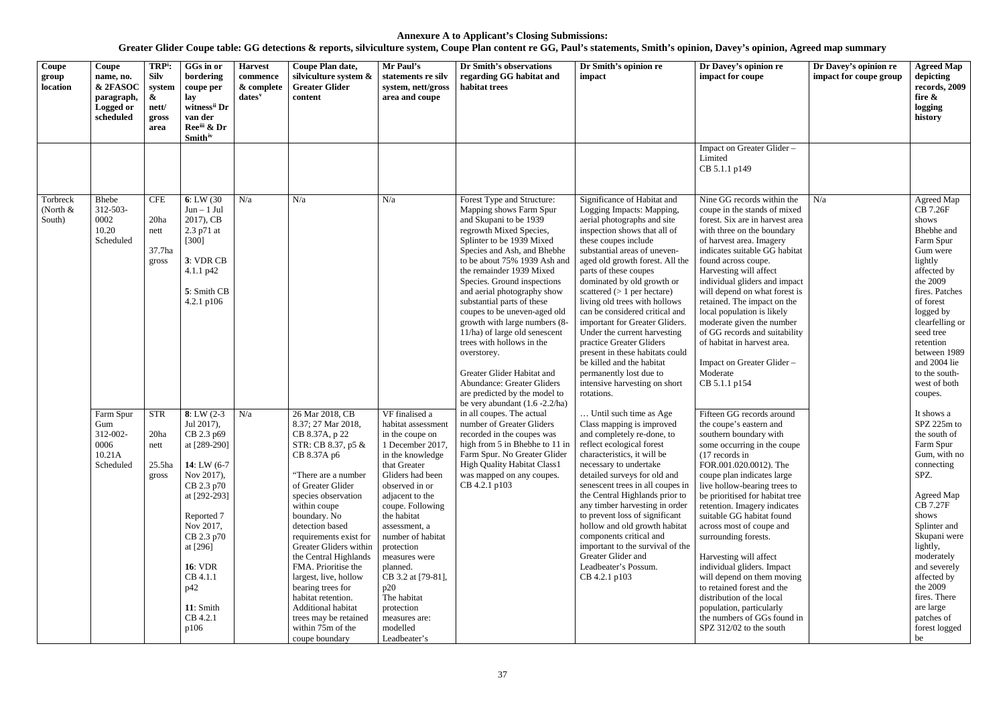| Coupe<br>group<br>location       | Coupe<br>name, no.<br>& 2FASOC<br>paragraph,<br>Logged or<br>scheduled | TRP <sup>i</sup> :<br><b>Silv</b><br>system<br>$\boldsymbol{\alpha}$<br>nett/<br>gross<br>area | GGs in or<br>bordering<br>coupe per<br>lay<br>witness <sup>ii</sup> Dr<br>van der<br>Ree <sup>iii</sup> & Dr<br><b>Smith</b> <sup>iv</sup>                                                                                                        | <b>Harvest</b><br>commence<br>& complete<br>dates <sup>v</sup> | Coupe Plan date,<br>silviculture system &<br><b>Greater Glider</b><br>content                                                                                                                                                                                                                                                                                                                                                                                                    | Mr Paul's<br>statements re silv<br>system, nett/gross<br>area and coupe                                                                                                                                                                                                                                                                                                                             | Dr Smith's observations<br>regarding GG habitat and<br>habitat trees                                                                                                                                                                                                                                                                                                                                                                                                                                                                                                                                                                                                                                                                                                                                                                                                                                                                                                                                                                                                                                                                                                                                                                                                                                                                                                                                                                                                                                                                                                                                                                                                                                                                                                                                                                                                                                                                     | Dr Smith's opinion re<br>impact                                                                                                                                                                                                                                                                                                                                                                                                                                                                                                  | Dr Davey's opinion re<br>impact for coupe                            | Dr Davey's opinion re<br>impact for coupe group                                                                                                                                                                                                                                                                                                                                                                                                                                                                                                                                                                      | <b>Agreed Map</b><br>depicting<br>records, 2009<br>fire &<br>logging<br>history |
|----------------------------------|------------------------------------------------------------------------|------------------------------------------------------------------------------------------------|---------------------------------------------------------------------------------------------------------------------------------------------------------------------------------------------------------------------------------------------------|----------------------------------------------------------------|----------------------------------------------------------------------------------------------------------------------------------------------------------------------------------------------------------------------------------------------------------------------------------------------------------------------------------------------------------------------------------------------------------------------------------------------------------------------------------|-----------------------------------------------------------------------------------------------------------------------------------------------------------------------------------------------------------------------------------------------------------------------------------------------------------------------------------------------------------------------------------------------------|------------------------------------------------------------------------------------------------------------------------------------------------------------------------------------------------------------------------------------------------------------------------------------------------------------------------------------------------------------------------------------------------------------------------------------------------------------------------------------------------------------------------------------------------------------------------------------------------------------------------------------------------------------------------------------------------------------------------------------------------------------------------------------------------------------------------------------------------------------------------------------------------------------------------------------------------------------------------------------------------------------------------------------------------------------------------------------------------------------------------------------------------------------------------------------------------------------------------------------------------------------------------------------------------------------------------------------------------------------------------------------------------------------------------------------------------------------------------------------------------------------------------------------------------------------------------------------------------------------------------------------------------------------------------------------------------------------------------------------------------------------------------------------------------------------------------------------------------------------------------------------------------------------------------------------------|----------------------------------------------------------------------------------------------------------------------------------------------------------------------------------------------------------------------------------------------------------------------------------------------------------------------------------------------------------------------------------------------------------------------------------------------------------------------------------------------------------------------------------|----------------------------------------------------------------------|----------------------------------------------------------------------------------------------------------------------------------------------------------------------------------------------------------------------------------------------------------------------------------------------------------------------------------------------------------------------------------------------------------------------------------------------------------------------------------------------------------------------------------------------------------------------------------------------------------------------|---------------------------------------------------------------------------------|
|                                  |                                                                        |                                                                                                |                                                                                                                                                                                                                                                   |                                                                |                                                                                                                                                                                                                                                                                                                                                                                                                                                                                  |                                                                                                                                                                                                                                                                                                                                                                                                     |                                                                                                                                                                                                                                                                                                                                                                                                                                                                                                                                                                                                                                                                                                                                                                                                                                                                                                                                                                                                                                                                                                                                                                                                                                                                                                                                                                                                                                                                                                                                                                                                                                                                                                                                                                                                                                                                                                                                          |                                                                                                                                                                                                                                                                                                                                                                                                                                                                                                                                  | Impact on Greater Glider -<br>Limited<br>CB 5.1.1 p149               |                                                                                                                                                                                                                                                                                                                                                                                                                                                                                                                                                                                                                      |                                                                                 |
| Torbreck<br>(North $&$<br>South) | Bhebe<br>312-503-<br>0002<br>10.20<br>Scheduled                        | <b>CFE</b><br>20ha<br>nett<br>37.7ha<br>gross                                                  | 6: LW(30)<br>$Jun - 1 Jul$<br>2017), CB<br>2.3 p71 at<br>$[300]$<br>3: VDR CB<br>4.1.1 p42<br>5: Smith CB<br>4.2.1 p106                                                                                                                           | N/a                                                            | N/a                                                                                                                                                                                                                                                                                                                                                                                                                                                                              | N/a                                                                                                                                                                                                                                                                                                                                                                                                 | Forest Type and Structure:<br>Significance of Habitat and<br>Mapping shows Farm Spur<br>Logging Impacts: Mapping,<br>and Skupani to be 1939<br>aerial photographs and site<br>inspection shows that all of<br>regrowth Mixed Species,<br>Splinter to be 1939 Mixed<br>these coupes include<br>substantial areas of uneven-<br>Species and Ash, and Bhebhe<br>to be about 75% 1939 Ash and<br>aged old growth forest. All the<br>the remainder 1939 Mixed<br>parts of these coupes<br>dominated by old growth or<br>Species. Ground inspections<br>and aerial photography show<br>scattered $(> 1$ per hectare)<br>living old trees with hollows<br>substantial parts of these<br>can be considered critical and<br>coupes to be uneven-aged old<br>growth with large numbers (8-<br>important for Greater Gliders.<br>11/ha) of large old senescent<br>Under the current harvesting<br>trees with hollows in the<br>practice Greater Gliders<br>present in these habitats could<br>overstorey.<br>be killed and the habitat<br>Greater Glider Habitat and<br>permanently lost due to<br><b>Abundance: Greater Gliders</b><br>intensive harvesting on short<br>are predicted by the model to<br>rotations.<br>be very abundant $(1.6 - 2.2/ha)$<br>in all coupes. The actual<br>Until such time as Age<br>number of Greater Gliders<br>Class mapping is improved<br>recorded in the coupes was<br>and completely re-done, to<br>high from 5 in Bhebhe to 11 in<br>reflect ecological forest<br>characteristics, it will be<br>Farm Spur. No Greater Glider<br><b>High Quality Habitat Class1</b><br>necessary to undertake<br>was mapped on any coupes.<br>detailed surveys for old and<br>CB 4.2.1 p103<br>the Central Highlands prior to<br>any timber harvesting in order<br>to prevent loss of significant<br>hollow and old growth habitat<br>components critical and<br>Greater Glider and<br>Leadbeater's Possum.<br>CB 4.2.1 p103 | Nine GG records within the<br>coupe in the stands of mixed<br>forest. Six are in harvest area<br>with three on the boundary<br>of harvest area. Imagery<br>indicates suitable GG habitat<br>found across coupe.<br>Harvesting will affect<br>individual gliders and impact<br>will depend on what forest is<br>retained. The impact on the<br>local population is likely<br>moderate given the number<br>of GG records and suitability<br>of habitat in harvest area.<br>Impact on Greater Glider -<br>Moderate<br>CB 5.1.1 p154 | N/a                                                                  | Agreed Map<br><b>CB 7.26F</b><br>shows<br>Bhebhe and<br>Farm Spur<br>Gum were<br>lightly<br>affected by<br>the 2009<br>fires. Patches<br>of forest<br>logged by<br>clearfelling or<br>seed tree<br>retention<br>between 1989<br>and 2004 lie<br>to the south-<br>west of both<br>coupes.                                                                                                                                                                                                                                                                                                                             |                                                                                 |
|                                  | Farm Spur<br>Gum<br>312-002-<br>0006<br>10.21A<br>Scheduled            | <b>STR</b><br>20ha<br>nett<br>$25.5$ ha<br>gross                                               | $8: LW(2-3)$<br>Jul 2017),<br>CB 2.3 p69<br>at [289-290]<br>14: LW $(6-7)$<br>Nov 2017),<br>CB 2.3 p70<br>at [292-293]<br>Reported 7<br>Nov 2017,<br>CB 2.3 p70<br>at [296]<br><b>16: VDR</b><br>CB 4.1.1<br>p42<br>11: Smith<br>CB 4.2.1<br>p106 | N/a                                                            | 26 Mar 2018, CB<br>8.37; 27 Mar 2018,<br>CB 8.37A, p 22<br>STR: CB 8.37, p5 &<br>CB 8.37A p6<br>"There are a number<br>of Greater Glider<br>species observation<br>within coupe<br>boundary. No<br>detection based<br>requirements exist for<br>Greater Gliders within<br>the Central Highlands<br>FMA. Prioritise the<br>largest, live, hollow<br>bearing trees for<br>habitat retention.<br>Additional habitat<br>trees may be retained<br>within 75m of the<br>coupe boundary | VF finalised a<br>habitat assessment<br>in the coupe on<br>1 December 2017,<br>in the knowledge<br>that Greater<br>Gliders had been<br>observed in or<br>adjacent to the<br>coupe. Following<br>the habitat<br>assessment, a<br>number of habitat<br>protection<br>measures were<br>planned.<br>CB 3.2 at [79-81],<br>p20<br>The habitat<br>protection<br>measures are:<br>modelled<br>Leadbeater's |                                                                                                                                                                                                                                                                                                                                                                                                                                                                                                                                                                                                                                                                                                                                                                                                                                                                                                                                                                                                                                                                                                                                                                                                                                                                                                                                                                                                                                                                                                                                                                                                                                                                                                                                                                                                                                                                                                                                          |                                                                                                                                                                                                                                                                                                                                                                                                                                                                                                                                  | senescent trees in all coupes in<br>important to the survival of the | Fifteen GG records around<br>the coupe's eastern and<br>southern boundary with<br>some occurring in the coupe<br>$(17$ records in<br>FOR.001.020.0012). The<br>coupe plan indicates large<br>live hollow-bearing trees to<br>be prioritised for habitat tree<br>retention. Imagery indicates<br>suitable GG habitat found<br>across most of coupe and<br>surrounding forests.<br>Harvesting will affect<br>individual gliders. Impact<br>will depend on them moving<br>to retained forest and the<br>distribution of the local<br>population, particularly<br>the numbers of GGs found in<br>SPZ 312/02 to the south |                                                                                 |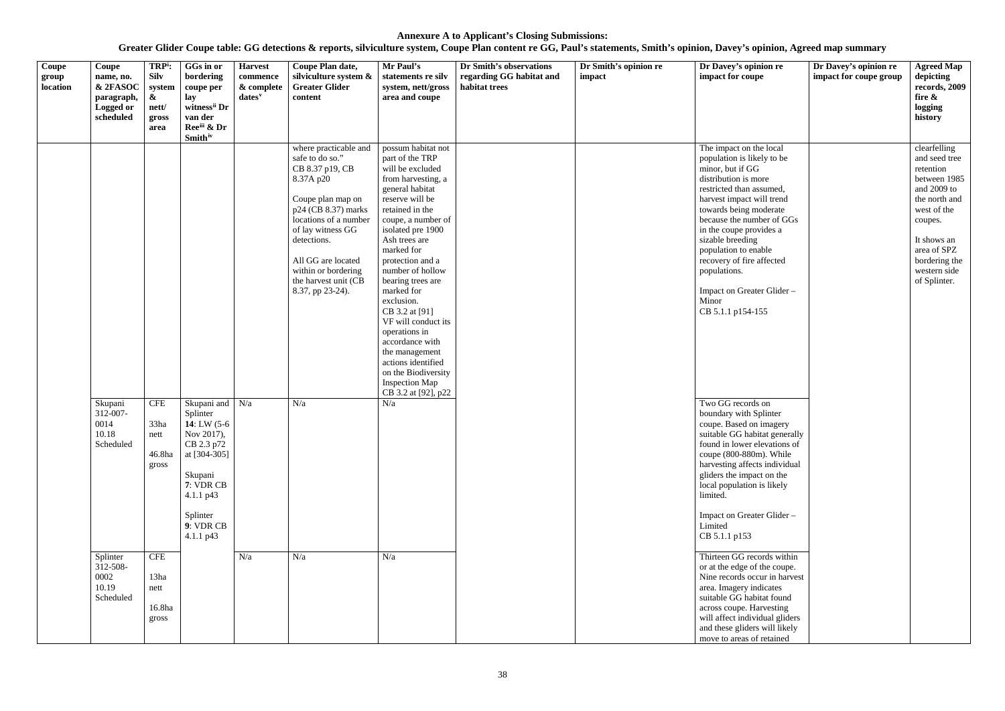<span id="page-38-4"></span><span id="page-38-3"></span><span id="page-38-2"></span><span id="page-38-1"></span><span id="page-38-0"></span>

| Coupe<br>group<br>location | Coupe<br>name, no.<br>& 2FASOC<br>paragraph,<br>Logged or<br>scheduled | TRP <sup>i</sup> :<br><b>Silv</b><br>system<br>$\boldsymbol{\alpha}$<br>nett/<br>gross<br>area | GGs in or<br>bordering<br>coupe per<br>lay<br>witness <sup>ii</sup> Dr<br>van der<br>Reeiii & Dr<br><b>Smith</b> iv                                                    | <b>Harvest</b><br>commence<br>& complete<br>dates <sup>v</sup> | Coupe Plan date,<br>silviculture system &<br><b>Greater Glider</b><br>content                                                                                                                                                                                                     | Mr Paul's<br>statements re silv<br>system, nett/gross<br>area and coupe                                                                                                                                                                                                                                                                                                                                                                                                                                        | Dr Smith's observations<br>regarding GG habitat and<br>habitat trees | Dr Smith's opinion re<br>impact | Dr Davey's opinion re<br>impact for coupe                                                                                                                                                                                                                                                                                                                                                                                                                                                                                                                                                                                                                                                                                                | Dr Davey's opinion re<br>impact for coupe group | <b>Agreed Map</b><br>depicting<br>records, 2009<br>fire &<br>logging<br>history                                                                                                                     |
|----------------------------|------------------------------------------------------------------------|------------------------------------------------------------------------------------------------|------------------------------------------------------------------------------------------------------------------------------------------------------------------------|----------------------------------------------------------------|-----------------------------------------------------------------------------------------------------------------------------------------------------------------------------------------------------------------------------------------------------------------------------------|----------------------------------------------------------------------------------------------------------------------------------------------------------------------------------------------------------------------------------------------------------------------------------------------------------------------------------------------------------------------------------------------------------------------------------------------------------------------------------------------------------------|----------------------------------------------------------------------|---------------------------------|------------------------------------------------------------------------------------------------------------------------------------------------------------------------------------------------------------------------------------------------------------------------------------------------------------------------------------------------------------------------------------------------------------------------------------------------------------------------------------------------------------------------------------------------------------------------------------------------------------------------------------------------------------------------------------------------------------------------------------------|-------------------------------------------------|-----------------------------------------------------------------------------------------------------------------------------------------------------------------------------------------------------|
|                            | Skupani<br>312-007-<br>0014<br>10.18<br>Scheduled                      | <b>CFE</b><br>33ha<br>nett<br>46.8ha<br>gross                                                  | Skupani and $N/a$<br>Splinter<br>14: LW $(5-6)$<br>Nov 2017),<br>CB 2.3 p72<br>at [304-305]<br>Skupani<br>7: VDR CB<br>4.1.1 p43<br>Splinter<br>9: VDR CB<br>4.1.1 p43 |                                                                | where practicable and<br>safe to do so."<br>CB 8.37 p19, CB<br>8.37A p20<br>Coupe plan map on<br>p24 (CB 8.37) marks<br>locations of a number<br>of lay witness GG<br>detections.<br>All GG are located<br>within or bordering<br>the harvest unit (CB<br>8.37, pp 23-24).<br>N/a | possum habitat not<br>part of the TRP<br>will be excluded<br>from harvesting, a<br>general habitat<br>reserve will be<br>retained in the<br>coupe, a number of<br>isolated pre 1900<br>Ash trees are<br>marked for<br>protection and a<br>number of hollow<br>bearing trees are<br>marked for<br>exclusion.<br>CB 3.2 at [91]<br>VF will conduct its<br>operations in<br>accordance with<br>the management<br>actions identified<br>on the Biodiversity<br><b>Inspection Map</b><br>CB 3.2 at [92], p22<br>N/a |                                                                      |                                 | The impact on the local<br>population is likely to be<br>minor, but if GG<br>distribution is more<br>restricted than assumed,<br>harvest impact will trend<br>towards being moderate<br>because the number of GGs<br>in the coupe provides a<br>sizable breeding<br>population to enable<br>recovery of fire affected<br>populations.<br>Impact on Greater Glider -<br>Minor<br>CB 5.1.1 p154-155<br>Two GG records on<br>boundary with Splinter<br>coupe. Based on imagery<br>suitable GG habitat generally<br>found in lower elevations of<br>coupe (800-880m). While<br>harvesting affects individual<br>gliders the impact on the<br>local population is likely<br>limited.<br>Impact on Greater Glider-<br>Limited<br>CB 5.1.1 p153 |                                                 | clearfelling<br>and seed tree<br>retention<br>between 1985<br>and 2009 to<br>the north and<br>west of the<br>coupes.<br>It shows an<br>area of SPZ<br>bordering the<br>western side<br>of Splinter. |
|                            | Splinter<br>312-508-<br>0002<br>10.19<br>Scheduled                     | <b>CFE</b><br>13ha<br>nett<br>16.8ha<br>gross                                                  |                                                                                                                                                                        | N/a                                                            | N/a                                                                                                                                                                                                                                                                               | N/a                                                                                                                                                                                                                                                                                                                                                                                                                                                                                                            |                                                                      |                                 | Thirteen GG records within<br>or at the edge of the coupe.<br>Nine records occur in harvest<br>area. Imagery indicates<br>suitable GG habitat found<br>across coupe. Harvesting<br>will affect individual gliders<br>and these gliders will likely<br>move to areas of retained                                                                                                                                                                                                                                                                                                                                                                                                                                                          |                                                 |                                                                                                                                                                                                     |